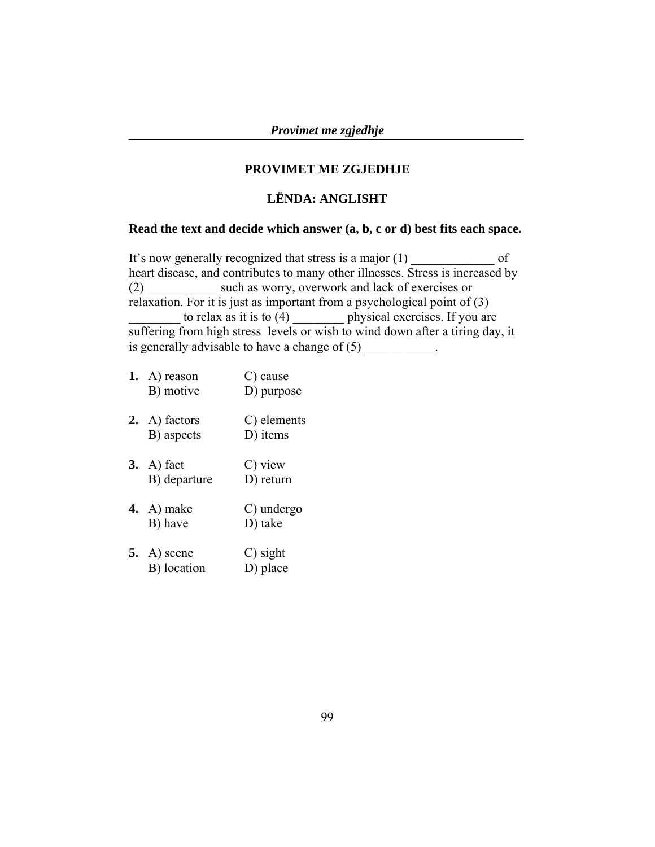### **PROVIMET ME ZGJEDHJE**

### **LËNDA: ANGLISHT**

### **Read the text and decide which answer (a, b, c or d) best fits each space.**

It's now generally recognized that stress is a major (1) of heart disease, and contributes to many other illnesses. Stress is increased by (2) \_\_\_\_\_\_\_\_\_\_\_ such as worry, overwork and lack of exercises or relaxation. For it is just as important from a psychological point of (3) to relax as it is to  $(4)$  physical exercises. If you are suffering from high stress levels or wish to wind down after a tiring day, it is generally advisable to have a change of  $(5)$ 

- 1. A) reason C) cause B) motive D) purpose **2.** A) factors C) elements
- B) aspects D) items
- **3.** A) fact C) view B) departure D) return
- **4.** A) make C) undergo B) have D) take
- **5.** A) scene C) sight B) location D) place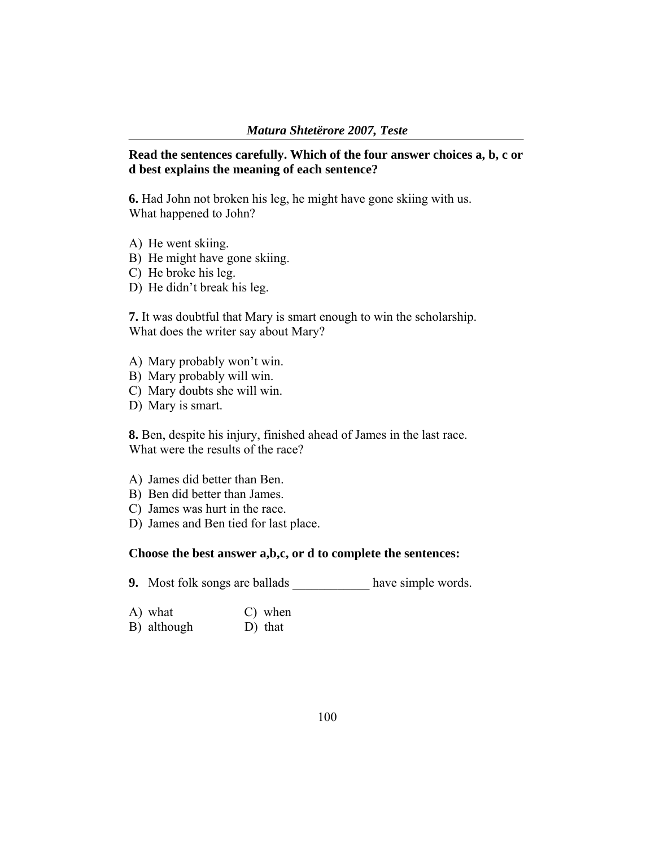### **Read the sentences carefully. Which of the four answer choices a, b, c or d best explains the meaning of each sentence?**

**6.** Had John not broken his leg, he might have gone skiing with us. What happened to John?

- A) He went skiing.
- B) He might have gone skiing.
- C) He broke his leg.
- D) He didn't break his leg.

**7.** It was doubtful that Mary is smart enough to win the scholarship. What does the writer say about Mary?

- A) Mary probably won't win.
- B) Mary probably will win.
- C) Mary doubts she will win.
- D) Mary is smart.

**8.** Ben, despite his injury, finished ahead of James in the last race. What were the results of the race?

- A) James did better than Ben.
- B) Ben did better than James.
- C) James was hurt in the race.
- D) James and Ben tied for last place.

### **Choose the best answer a,b,c, or d to complete the sentences:**

- **9.** Most folk songs are ballads have simple words.
- A) what C) when
- B) although D) that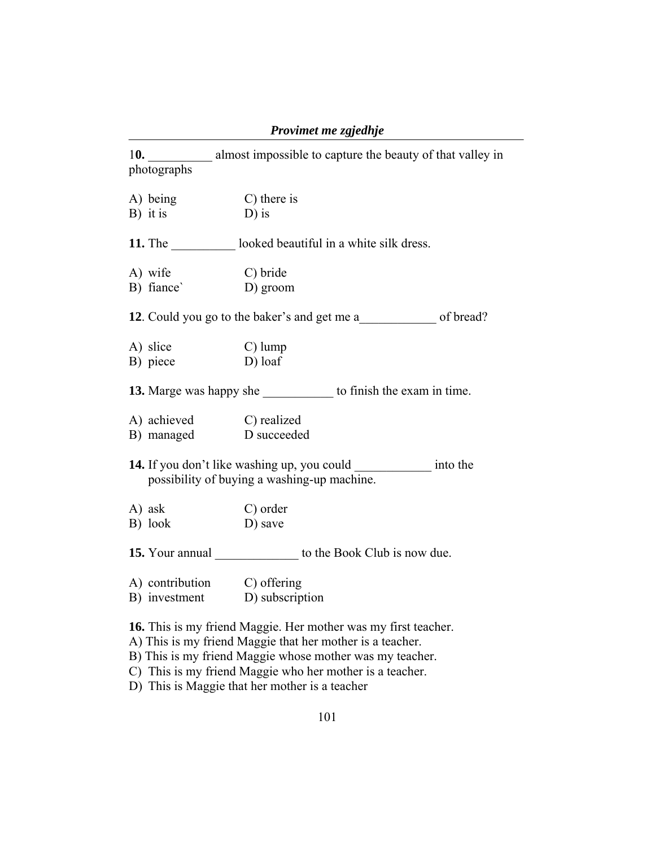| Provimet me zgjedhje |  |
|----------------------|--|
|                      |  |

| photographs                 | 10. almost impossible to capture the beauty of that valley in                                                                                                                                                                                                                                         |
|-----------------------------|-------------------------------------------------------------------------------------------------------------------------------------------------------------------------------------------------------------------------------------------------------------------------------------------------------|
| A) being<br>$B)$ it is      | C) there is<br>$D$ ) is                                                                                                                                                                                                                                                                               |
|                             | <b>11.</b> The looked beautiful in a white silk dress.                                                                                                                                                                                                                                                |
| A) wife<br>B) fiance        | C) bride<br>D) groom                                                                                                                                                                                                                                                                                  |
|                             |                                                                                                                                                                                                                                                                                                       |
| A) slice<br>B) piece        | $C)$ lump<br>D) loaf                                                                                                                                                                                                                                                                                  |
|                             | 13. Marge was happy she to finish the exam in time.                                                                                                                                                                                                                                                   |
| A) achieved C) realized     | B) managed D succeeded                                                                                                                                                                                                                                                                                |
|                             | 14. If you don't like washing up, you could ______________ into the<br>possibility of buying a washing-up machine.                                                                                                                                                                                    |
| A) ask<br>B) look           | C) order<br>D) save                                                                                                                                                                                                                                                                                   |
|                             | 15. Your annual _______________ to the Book Club is now due.                                                                                                                                                                                                                                          |
| A) contribution C) offering | B) investment D) subscription                                                                                                                                                                                                                                                                         |
|                             | 16. This is my friend Maggie. Her mother was my first teacher.<br>A) This is my friend Maggie that her mother is a teacher.<br>B) This is my friend Maggie whose mother was my teacher.<br>C) This is my friend Maggie who her mother is a teacher.<br>D) This is Maggie that her mother is a teacher |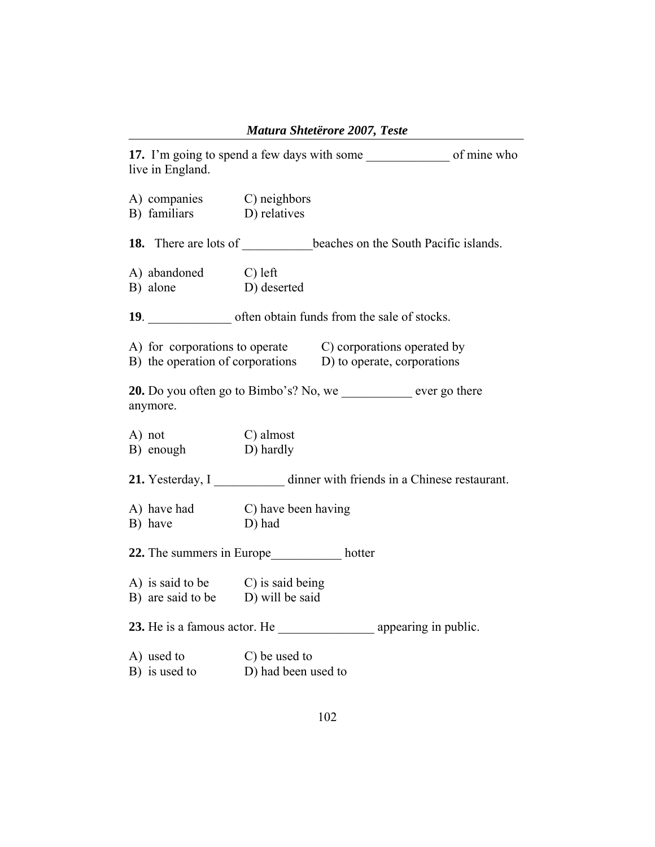|                                                                                                                            |                     | Matura Shteterore 2007, Leste |                                                               |
|----------------------------------------------------------------------------------------------------------------------------|---------------------|-------------------------------|---------------------------------------------------------------|
| live in England.                                                                                                           |                     |                               |                                                               |
| A) companies C) neighbors<br>B) familiars D) relatives                                                                     |                     |                               |                                                               |
|                                                                                                                            |                     |                               | 18. There are lots of beaches on the South Pacific islands.   |
| A) abandoned C) left<br>B) alone D) deserted                                                                               |                     |                               |                                                               |
| 19. often obtain funds from the sale of stocks.                                                                            |                     |                               |                                                               |
| A) for corporations to operate C) corporations operated by<br>B) the operation of corporations D) to operate, corporations |                     |                               |                                                               |
| 20. Do you often go to Bimbo's? No, we see the ever go there<br>anymore.                                                   |                     |                               |                                                               |
| A) not<br>B) enough D) hardly                                                                                              | C) almost           |                               |                                                               |
|                                                                                                                            |                     |                               | 21. Yesterday, I dinner with friends in a Chinese restaurant. |
| A) have had C) have been having<br>B) have                                                                                 | D) had              |                               |                                                               |
| 22. The summers in Europe hotter                                                                                           |                     |                               |                                                               |
| A) is said to be C) is said being<br>$\overrightarrow{B}$ are said to be $\overrightarrow{D}$ will be said                 |                     |                               |                                                               |
| 23. He is a famous actor. He _______________________ appearing in public.                                                  |                     |                               |                                                               |
| A) used to C) be used to<br>B) is used to                                                                                  | D) had been used to |                               |                                                               |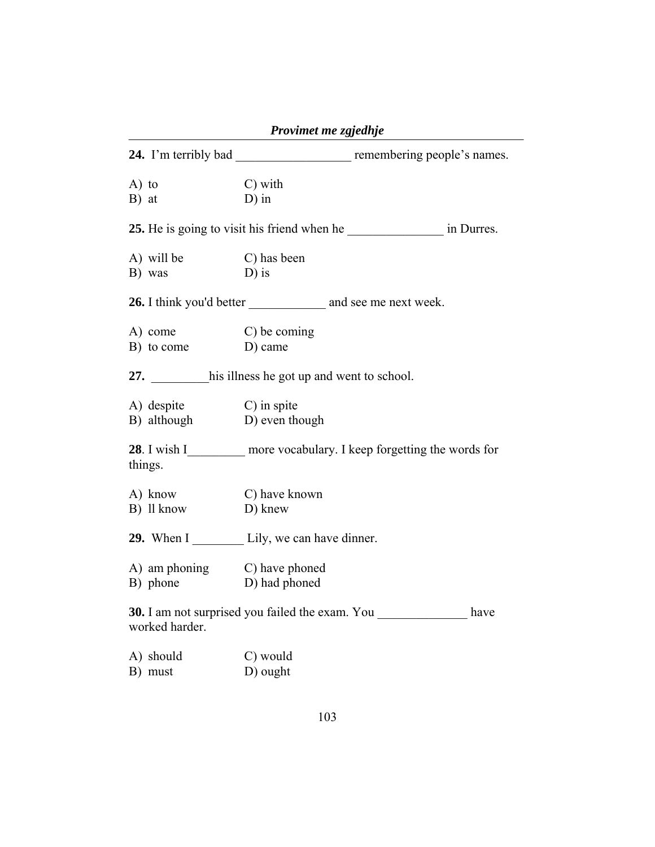|                                                        | Provimet me zgjedhje                                                       |
|--------------------------------------------------------|----------------------------------------------------------------------------|
|                                                        | 24. I'm terribly bad _________________________ remembering people's names. |
| $A)$ to<br>B) at                                       | C) with<br>$D$ ) in                                                        |
|                                                        |                                                                            |
| A) will be<br>B) was                                   | C) has been<br>$D$ ) is                                                    |
|                                                        |                                                                            |
| A) come<br>B) to come                                  | C) be coming<br>D) came                                                    |
|                                                        | 27. his illness he got up and went to school.                              |
| A) despite<br>B) although<br>D) even the               | D) even though                                                             |
| things.                                                | 28. I wish I__________ more vocabulary. I keep forgetting the words for    |
| A) know<br>B) ll know                                  | C) have known<br>D) knew                                                   |
|                                                        | 29. When I Lily, we can have dinner.                                       |
| A) am phoning C) have phoned<br>B) phone D) had phoned |                                                                            |
| worked harder.                                         | <b>30.</b> I am not surprised you failed the exam. You<br>have             |
| A) should<br>B) must                                   | C) would<br>D) ought                                                       |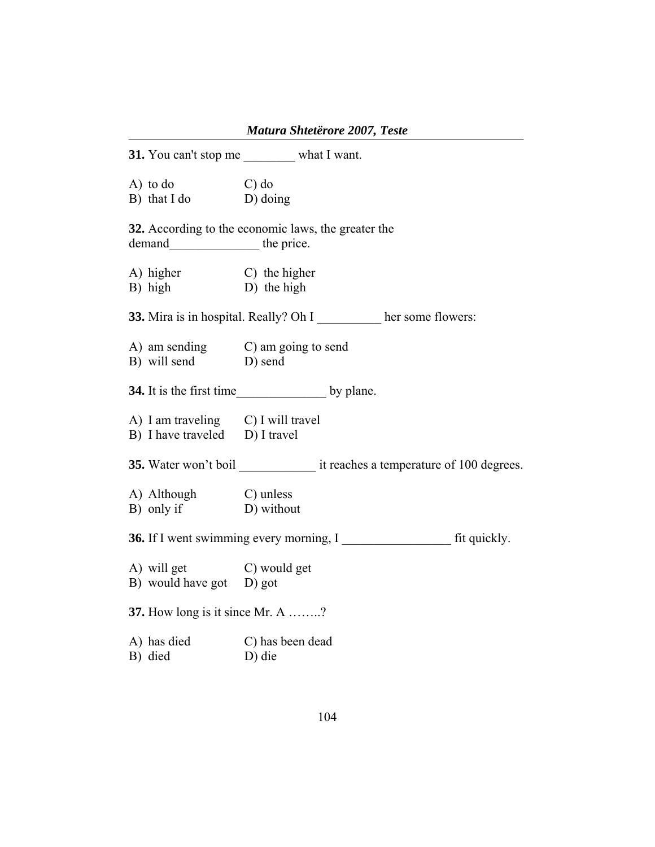| <i>Mutura Shieterore 2007</i> , Teste                                |                                                             |  |
|----------------------------------------------------------------------|-------------------------------------------------------------|--|
|                                                                      | 31. You can't stop me what I want.                          |  |
| A) to do C) do<br>B) that I do D) doing                              |                                                             |  |
| demand____________________ the price.                                | 32. According to the economic laws, the greater the         |  |
| A) higher<br>B) high<br>D) the high                                  |                                                             |  |
|                                                                      | 33. Mira is in hospital. Really? Oh I her some flowers:     |  |
| B) will send D) send                                                 | A) am sending C) am going to send                           |  |
|                                                                      |                                                             |  |
| A) I am traveling C) I will travel<br>B) I have traveled D) I travel |                                                             |  |
|                                                                      |                                                             |  |
| A) Although C) unless<br>B) only if D) without                       |                                                             |  |
|                                                                      | <b>36.</b> If I went swimming every morning, I fit quickly. |  |
| A) will get C) would get<br>B) would have got D) got                 |                                                             |  |
| 37. How long is it since Mr. A ?                                     |                                                             |  |
| A) has died<br>B) died                                               | C) has been dead<br>D) die                                  |  |

# *Matura Shtetërore 2007, Teste*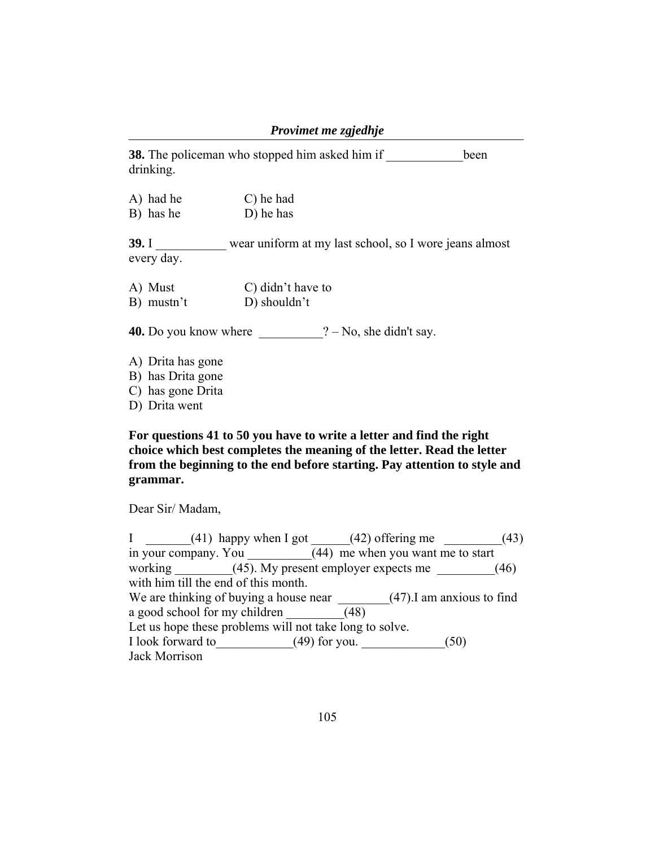|                                                             | Provimet me zgjedhje                                   |      |
|-------------------------------------------------------------|--------------------------------------------------------|------|
| drinking.                                                   | <b>38.</b> The policeman who stopped him asked him if  | been |
| A) had he<br>B) has he                                      | C) he had<br>D) he has                                 |      |
| 39.1<br>every day.                                          | wear uniform at my last school, so I wore jeans almost |      |
| A) Must<br>B) mustn't                                       | C) didn't have to<br>D) shouldn't                      |      |
| 40. Do you know where                                       | $? - No$ , she didn't say.                             |      |
| A) Drita has gone<br>B) has Drita gone<br>C) has gone Drita |                                                        |      |

D) Drita went

**For questions 41 to 50 you have to write a letter and find the right choice which best completes the meaning of the letter. Read the letter from the beginning to the end before starting. Pay attention to style and grammar.** 

Dear Sir/ Madam,

I  $\qquad \qquad$  (41) happy when I got  $\qquad \qquad$  (42) offering me  $\qquad \qquad$  (43) in your company. You  $\sqrt{(44)}$  me when you want me to start working  $\frac{(45)}{Ny}$  present employer expects me  $(46)$ with him till the end of this month. We are thinking of buying a house near \_\_\_\_\_\_\_\_(47). I am anxious to find a good school for my children  $\sqrt{(48)}$ Let us hope these problems will not take long to solve. I look forward to  $(49)$  for you.  $(50)$ Jack Morrison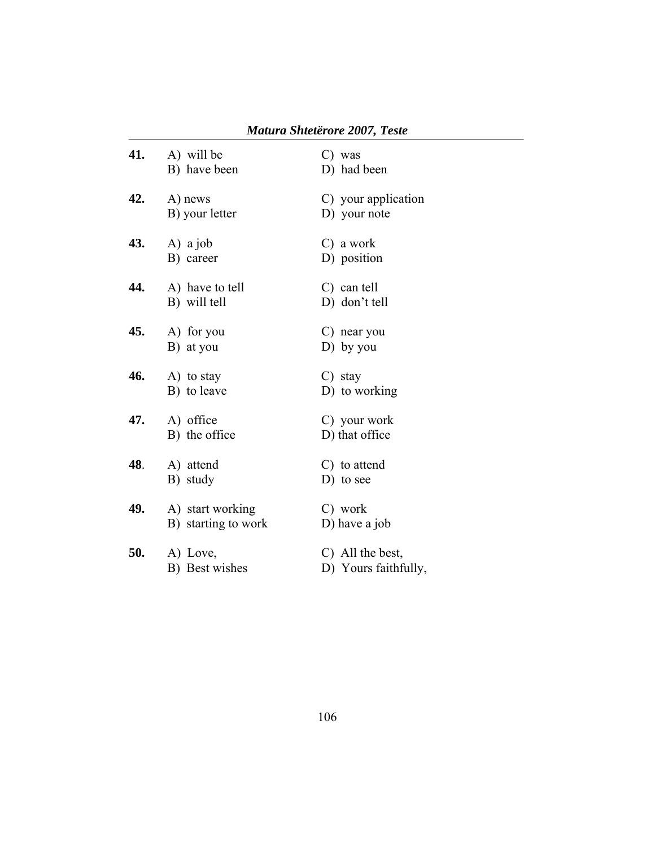| 41. | A) will be<br>B) have been              | C) was<br>D) had been                    |
|-----|-----------------------------------------|------------------------------------------|
| 42. | A) news<br>B) your letter               | C) your application<br>D) your note      |
| 43. | A) a job<br>B) career                   | C) a work<br>D) position                 |
| 44. | A) have to tell<br>B) will tell         | $C)$ can tell<br>D) don't tell           |
| 45. | A) for you<br>B) at you                 | C) near you<br>$D)$ by you               |
| 46. | A) to stay<br>B) to leave               | $C$ ) stay<br>D) to working              |
| 47. | A) office<br>B) the office              | C) your work<br>D) that office           |
| 48. | A) attend<br>B) study                   | C) to attend<br>$D)$ to see              |
| 49. | A) start working<br>B) starting to work | C) work<br>D) have a job                 |
| 50. | A) Love,<br>B) Best wishes              | C) All the best,<br>D) Yours faithfully, |

# *Matura Shtetërore 2007, Teste*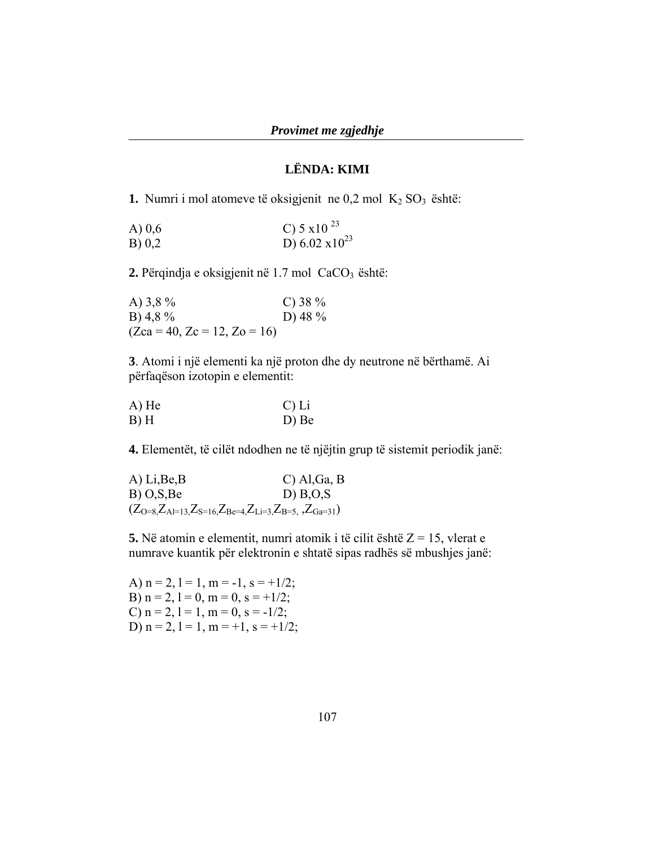### **LËNDA: KIMI**

**1.** Numri i mol atomeve të oksigjenit ne  $0,2$  mol  $K_2$  SO<sub>3</sub> është:

| A $) 0,6$ | C) $5 \times 10^{23}$ |
|-----------|-----------------------|
| B) 0,2    | D) 6.02 $x10^{23}$    |

2. Përqindja e oksigjenit në 1.7 mol CaCO<sub>3</sub> është:

| A) $3,8\%$                     | C) 38 $%$ |
|--------------------------------|-----------|
| B) 4,8 $%$                     | D) 48 $%$ |
| $(Zca = 40, Zc = 12, Zo = 16)$ |           |

**3**. Atomi i një elementi ka një proton dhe dy neutrone në bërthamë. Ai përfaqëson izotopin e elementit:

| $A)$ He | $C$ ) Li |
|---------|----------|
| $B)$ H  | D) Be    |

**4.** Elementët, të cilët ndodhen ne të njëjtin grup të sistemit periodik janë:

A) Li,Be,B C) Al,Ga, B B) O,S,Be D) B,O,S  $(Z_{O=8},Z_{Al=13},Z_{S=16},Z_{Be=4},Z_{Li=3},Z_{B=5},Z_{Ga=31})$ 

**5.** Në atomin e elementit, numri atomik i të cilit është Z = 15, vlerat e numrave kuantik për elektronin e shtatë sipas radhës së mbushjes janë:

A)  $n = 2$ ,  $l = 1$ ,  $m = -1$ ,  $s = +1/2$ ; B)  $n = 2$ ,  $l = 0$ ,  $m = 0$ ,  $s = +1/2$ ; C)  $n = 2$ ,  $l = 1$ ,  $m = 0$ ,  $s = -1/2$ ; D)  $n = 2$ ,  $l = 1$ ,  $m = +1$ ,  $s = +1/2$ ;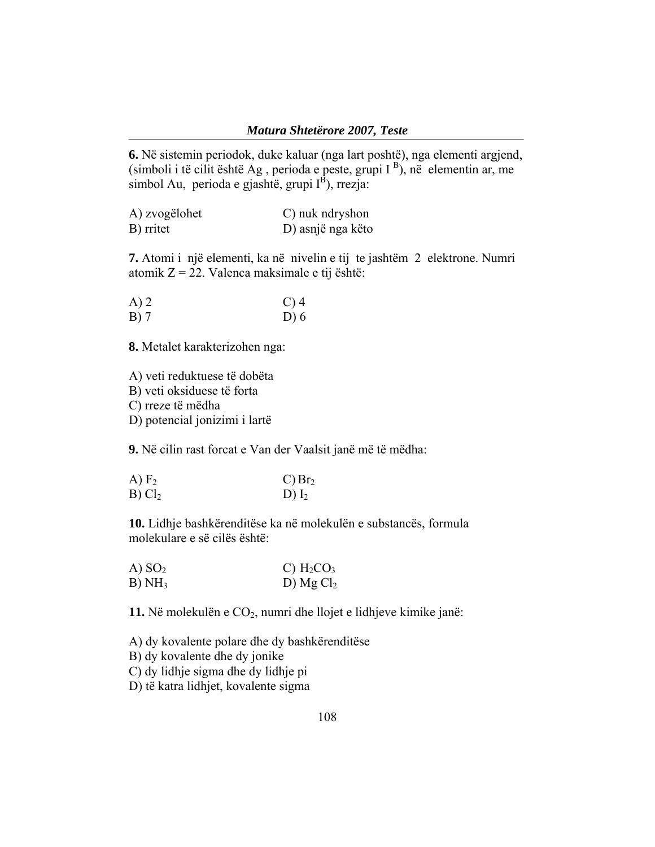**6.** Në sistemin periodok, duke kaluar (nga lart poshtë), nga elementi argjend,  $(\text{simboli i të cilit është Ag}, \text{perioda e peste}, \text{grupi I}^B), n\ddot{e} \text{ elementin ar}, \text{me}$ simbol Au, perioda e gjashtë, grupi  $I^{\hat{B}}$ ), rrezja:

| A) zvogëlohet | C) nuk ndryshon   |
|---------------|-------------------|
| B) rritet     | D) asnjë nga këto |

**7.** Atomi i një elementi, ka në nivelin e tij te jashtëm 2 elektrone. Numri atomik Z = 22. Valenca maksimale e tij është:

| $A)$ 2 | $C$ ) 4 |
|--------|---------|
| $B)$ 7 | D) 6    |

**8.** Metalet karakterizohen nga:

A) veti reduktuese të dobëta

B) veti oksiduese të forta

C) rreze të mëdha

D) potencial jonizimi i lartë

**9.** Në cilin rast forcat e Van der Vaalsit janë më të mëdha:

| A) F <sub>2</sub>  | $C)$ Br <sub>2</sub> |
|--------------------|----------------------|
| B) Cl <sub>2</sub> | D) $I_2$             |

**10.** Lidhje bashkërenditëse ka në molekulën e substancës, formula molekulare e së cilës është:

| (A) SO <sub>2</sub> | C) $H_2CO_3$ |
|---------------------|--------------|
| B)NH <sub>3</sub>   | D) $MgCl2$   |

11. Në molekulën e CO<sub>2</sub>, numri dhe llojet e lidhjeve kimike janë:

A) dy kovalente polare dhe dy bashkërenditëse

B) dy kovalente dhe dy jonike

C) dy lidhje sigma dhe dy lidhje pi

D) të katra lidhjet, kovalente sigma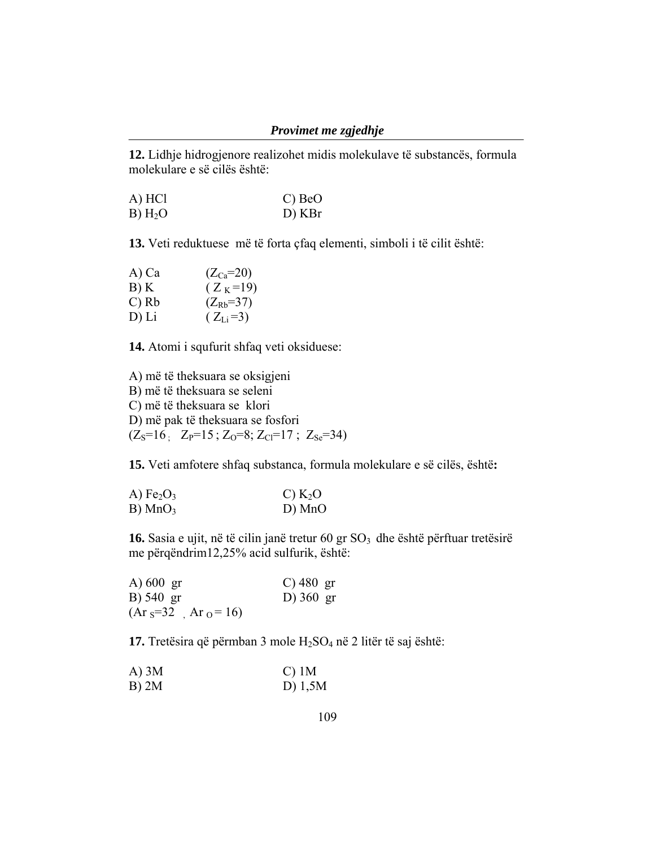**12.** Lidhje hidrogjenore realizohet midis molekulave të substancës, formula molekulare e së cilës është:

A) HCl C) BeO B) H2O D) KBr

**13.** Veti reduktuese më të forta çfaq elementi, simboli i të cilit është:

| A) Ca   | $(Z_{Ca} = 20)$     |
|---------|---------------------|
| B) K    | $(Z_K=19)$          |
| $C)$ Rb | $(Z_{\rm Rb} = 37)$ |
| D) Li   | $(Z_{Li} = 3)$      |

**14.** Atomi i squfurit shfaq veti oksiduese:

A) më të theksuara se oksigjeni B) më të theksuara se seleni C) më të theksuara se klori D) më pak të theksuara se fosfori  $(Z_S=16$ ;  $Z_P=15$ ;  $Z_O=8$ ;  $Z_{Cl}=17$ ;  $Z_{Se}=34$ )

**15.** Veti amfotere shfaq substanca, formula molekulare e së cilës, është**:** 

| A) $Fe2O3$            | $C)$ K <sub>2</sub> O |
|-----------------------|-----------------------|
| $B)$ MnO <sub>3</sub> | D) MnO                |

16. Sasia e ujit, në të cilin janë tretur 60 gr SO<sub>3</sub> dhe është përftuar tretësirë me përqëndrim12,25% acid sulfurik, është:

| A) $600 \text{ gr}$  | C) 480 gr           |
|----------------------|---------------------|
| B) 540 gr            | D) $360 \text{ gr}$ |
| $(Ar_s=32$ $Ar_0=16$ |                     |

**17.** Tretësira që përmban 3 mole H2SO4 në 2 litër të saj është:

| $A)$ 3M | $C)$ 1M   |
|---------|-----------|
| B) 2M   | D) $1,5M$ |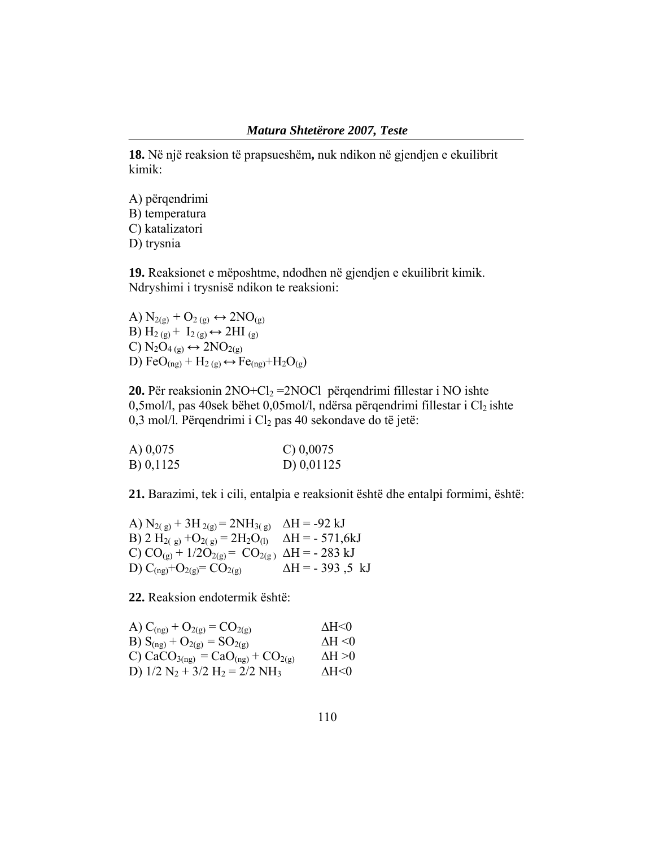**18.** Në një reaksion të prapsueshëm**,** nuk ndikon në gjendjen e ekuilibrit kimik:

A) përqendrimi B) temperatura C) katalizatori D) trysnia

**19.** Reaksionet e mëposhtme, ndodhen në gjendjen e ekuilibrit kimik. Ndryshimi i trysnisë ndikon te reaksioni:

A)  $N_{2(g)} + O_{2(g)} \leftrightarrow 2NO_{(g)}$ B)  $H_{2(g)} + I_{2(g)} \leftrightarrow 2HI_{(g)}$ C)  $N_2O_{4(g)} \leftrightarrow 2NO_{2(g)}$ D) FeO(ng) + H<sub>2(g)</sub>  $\leftrightarrow$  Fe<sub>(ng)</sub>+H<sub>2</sub>O<sub>(g</sub>)

**20.** Për reaksionin  $2NO+Cl_2 = 2NOCl$  përqendrimi fillestar i NO ishte 0,5mol/l, pas 40sek bëhet 0,05mol/l, ndërsa përqendrimi fillestar i  $Cl_2$  ishte 0,3 mol/l. Përqendrimi i  $Cl<sub>2</sub>$  pas 40 sekondave do të jetë:

| A) $0,075$ | C) $0,0075$  |
|------------|--------------|
| B) 0,1125  | D) $0,01125$ |

**21.** Barazimi, tek i cili, entalpia e reaksionit është dhe entalpi formimi, është:

A)  $N_{2(g)} + 3H_{2(g)} = 2NH_{3(g)}$   $\Delta H = -92$  kJ B) 2 H<sub>2(g)</sub> +O<sub>2(g)</sub> = 2H<sub>2</sub>O<sub>(l)</sub>  $\Delta H = -571,6kJ$ C)  $CO_{(g)} + 1/2O_{2(g)} = CO_{2(g)}$   $\Delta H = -283$  kJ D)  $C_{(ng)} + O_{2(g)} = CO_{2(g)}$   $\Delta H = -393, 5 \text{ kJ}$ 

**22.** Reaksion endotermik është:

| A) $C_{(ng)} + O_{2(g)} = CO_{2(g)}$                                   | $\triangle H \leq 0$   |
|------------------------------------------------------------------------|------------------------|
| B) $S_{(ng)} + O_{2(g)} = SO_{2(g)}$                                   | $\triangle$ H $\leq$ 0 |
| C) CaCO <sub>3(ng)</sub> = CaO <sub>(ng)</sub> + CO <sub>2(g)</sub>    | $\triangle H > 0$      |
| D) $1/2$ N <sub>2</sub> + $3/2$ H <sub>2</sub> = $2/2$ NH <sub>3</sub> | $\triangle H \le 0$    |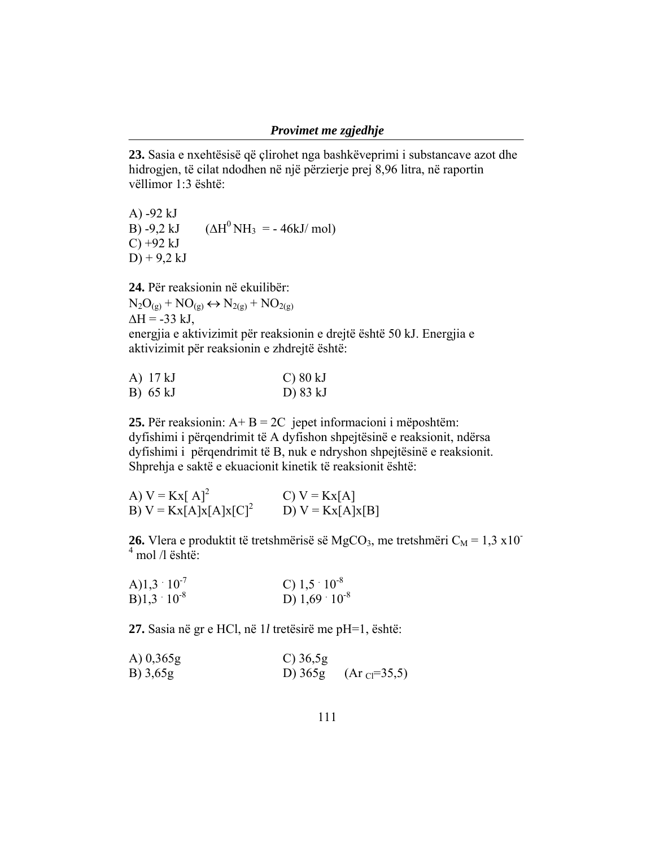**23.** Sasia e nxehtësisë që çlirohet nga bashkëveprimi i substancave azot dhe hidrogjen, të cilat ndodhen në një përzierje prej 8,96 litra, në raportin vëllimor 1:3 është:

A) -92 kJ B) -9,2 kJ  $( \Delta H^0 \text{NH}_3 = -46 \text{kJ/mol} )$  $C$ ) +92 kJ  $D$ ) + 9,2 kJ

**24.** Për reaksionin në ekuilibër:  $N_2O_{(g)} + NO_{(g)} \leftrightarrow N_{2(g)} + NO_{2(g)}$  $\Delta H = -33$  kJ, energjia e aktivizimit për reaksionin e drejtë është 50 kJ. Energjia e aktivizimit për reaksionin e zhdrejtë është:

| A) 17 kJ | $C$ ) 80 kJ |
|----------|-------------|
| B) 65 kJ | D) 83 kJ    |

**25.** Për reaksionin: A+ B = 2C jepet informacioni i mëposhtëm: dyfishimi i përqendrimit të A dyfishon shpejtësinë e reaksionit, ndërsa dyfishimi i përqendrimit të B, nuk e ndryshon shpejtësinë e reaksionit. Shprehja e saktë e ekuacionit kinetik të reaksionit është:

| A) $V = Kx[A]^2$         | $C) V = Kx[A]$     |
|--------------------------|--------------------|
| B) $V = Kx[A]x[A]x[C]^2$ | D) $V = Kx[A]x[B]$ |

**26.** Vlera e produktit të tretshmërisë së MgCO<sub>3</sub>, me tretshmëri C<sub>M</sub> = 1,3 x10<sup>-</sup>  $4 \text{ mol}$  /l është:

A)1,3 
$$
10^7
$$
  
\nB)1,3  $10^8$   
\nC) 1,5  $10^8$   
\nD) 1,69  $10^8$ 

**27.** Sasia në gr e HCl, në 1*l* tretësirë me pH=1, është:

| A) $0,365g$ | $C$ ) 36,5g |                                |
|-------------|-------------|--------------------------------|
| B) 3,65g    |             | D) $365g$ (Ar $_{Cl} = 35,5$ ) |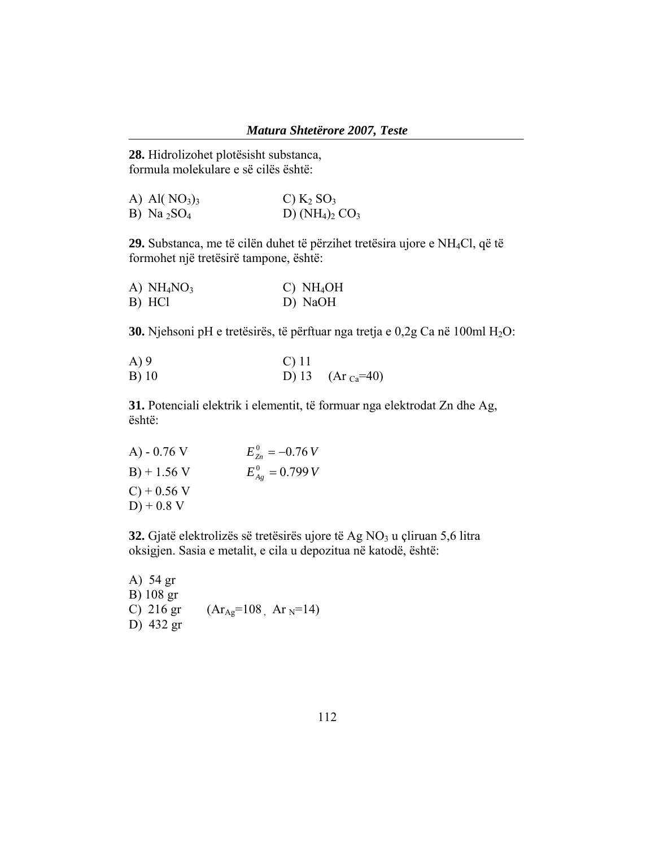**28.** Hidrolizohet plotësisht substanca, formula molekulare e së cilës është:

| A) Al $(NO_3)_3$           | C) $K_2$ SO <sub>3</sub> |
|----------------------------|--------------------------|
| B) Na $_2$ SO <sub>4</sub> | D) $(NH_4)_2$ $CO_3$     |

**29.** Substanca, me të cilën duhet të përzihet tretësira ujore e NH4Cl, që të formohet një tretësirë tampone, është:

| A) $NH4NO3$ |  | $C)$ NH <sub>4</sub> OH |
|-------------|--|-------------------------|
| B) HCl      |  | D) NaOH                 |

**30.** Njehsoni pH e tretësirës, të përftuar nga tretja e 0,2g Ca në 100ml H<sub>2</sub>O:

| A)9     | $\mathcal{C}$ ) 11 |                          |
|---------|--------------------|--------------------------|
| $B)$ 10 |                    | D) 13 (Ar $_{Ca} = 40$ ) |

**31.** Potenciali elektrik i elementit, të formuar nga elektrodat Zn dhe Ag, është:

A) - 0.76 V 
$$
E_{2n}^0 = -0.76 V
$$
  
\nB) + 1.56 V  $E_{Ag}^0 = 0.799 V$   
\nC) + 0.56 V  
\nD) + 0.8 V

**32.** Gjatë elektrolizës së tretësirës ujore të Ag NO<sub>3</sub> u çliruan 5,6 litra oksigjen. Sasia e metalit, e cila u depozitua në katodë, është:

A) 54 gr B) 108 gr C) 216 gr  $(Ar_{Ag}=108$ ,  $Ar_N=14$ D) 432 gr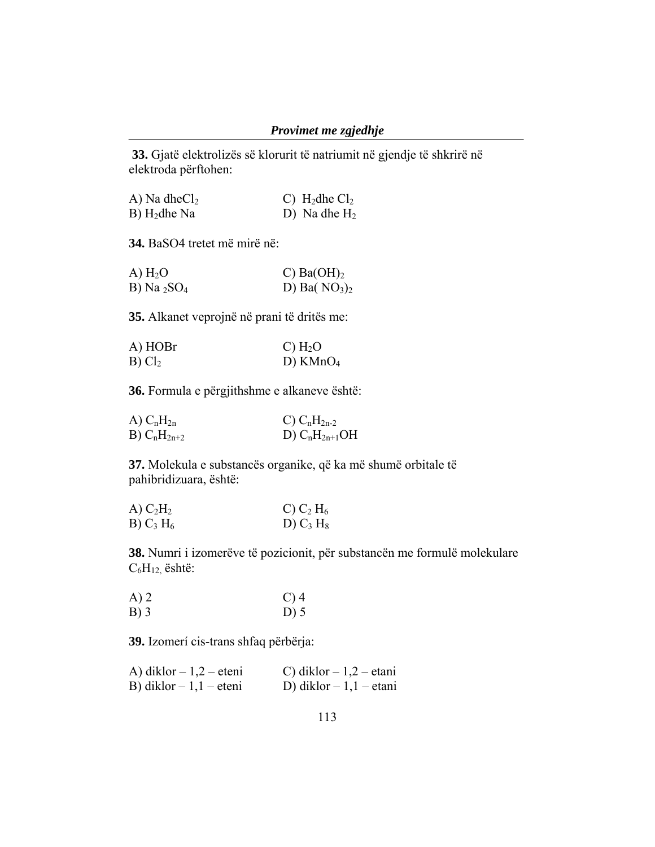**33.** Gjatë elektrolizës së klorurit të natriumit në gjendje të shkrirë në elektroda përftohen:

| A) Na dhe $Cl2$            | C) $H_2$ dhe Cl <sub>2</sub> |
|----------------------------|------------------------------|
| $B)$ H <sub>2</sub> dhe Na | D) Na dhe $H_2$              |

**34.** BaSO4 tretet më mirë në:

| A) H <sub>2</sub> O        | C) $Ba(OH)_2$  |
|----------------------------|----------------|
| B) Na $_2$ SO <sub>4</sub> | D) Ba( $NO3)2$ |

**35.** Alkanet veprojnë në prani të dritës me:

| A) HOBr            | C) H <sub>2</sub> O |
|--------------------|---------------------|
| B) Cl <sub>2</sub> | D) $KMnO4$          |

**36.** Formula e përgjithshme e alkaneve është:

| A) C <sub>n</sub> H <sub>2n</sub> | C) $C_nH_{2n-2}$   |
|-----------------------------------|--------------------|
| B) $C_nH_{2n+2}$                  | D) $C_nH_{2n+1}OH$ |

**37.** Molekula e substancës organike, që ka më shumë orbitale të pahibridizuara, është:

| A) $C_2H_2$ | C) $C_2$ H <sub>6</sub> |
|-------------|-------------------------|
| B) $C_3H_6$ | D) $C_3 H_8$            |

**38.** Numri i izomerëve të pozicionit, për substancën me formulë molekulare  $C_6H_{12}$ , është:

| A)2    | $C$ ) 4 |
|--------|---------|
| $B)$ 3 | $D)$ 5  |

**39.** Izomerí cis-trans shfaq përbërja:

| A) diklor $-1,2$ – eteni | C) diklor $-1,2$ – etani |
|--------------------------|--------------------------|
| B) diklor $-1,1$ – eteni | D) diklor $-1,1$ – etani |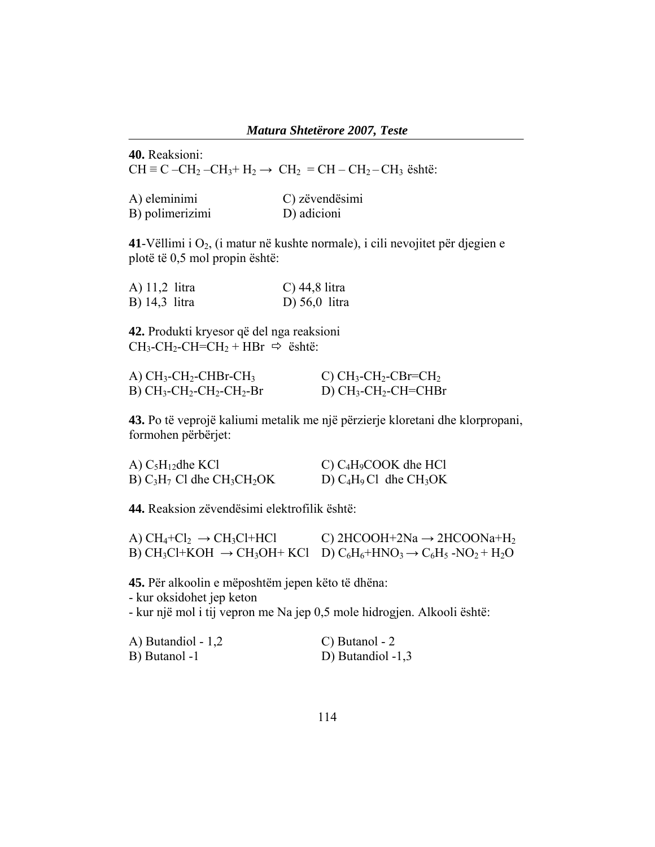**40.** Reaksioni: CH ≡ C –CH<sub>2</sub> –CH<sub>3</sub>+ H<sub>2</sub> → CH<sub>2</sub> = CH – CH<sub>2</sub> – CH<sub>3</sub> është:

| A) eleminimi    | C) zëvendësimi |
|-----------------|----------------|
| B) polimerizimi | D) adicioni    |

**41**-Vëllimi i O2, (i matur në kushte normale), i cili nevojitet për djegien e plotë të 0,5 mol propin është:

| A) 11,2 litra | C) $44,8$ litra             |
|---------------|-----------------------------|
| B) 14,3 litra | D $\left(56,0\right)$ litra |

**42.** Produkti kryesor që del nga reaksioni  $CH_3$ -CH<sub>2</sub>-CH=CH<sub>2</sub> + HBr  $\Rightarrow$  është:

| A) $CH_3$ -CH <sub>2</sub> -CHBr-CH <sub>3</sub> | C) $CH_3$ -CH <sub>2</sub> -CBr=CH <sub>2</sub> |
|--------------------------------------------------|-------------------------------------------------|
| $B) CH3-CH2-CH2-CH2-Br$                          | D) $CH_3$ - $CH_2$ - $CH=CHBr$                  |

**43.** Po të veprojë kaliumi metalik me një përzierje kloretani dhe klorpropani, formohen përbërjet:

| A) $C_5H_{12}$ dhe KCl                                | C) $C_4H_9COOK$ dhe HCl    |
|-------------------------------------------------------|----------------------------|
| B) $C_3H_7$ Cl dhe CH <sub>3</sub> CH <sub>2</sub> OK | D) $C_4H_9Cl$ dhe $CH_3OK$ |

**44.** Reaksion zëvendësimi elektrofilik është:

| A) $CH_4+Cl_2 \rightarrow CH_3Cl+HCl$ | C) 2HCOOH+2Na $\rightarrow$ 2HCOONa+H <sub>2</sub>                                                                                                                                                |
|---------------------------------------|---------------------------------------------------------------------------------------------------------------------------------------------------------------------------------------------------|
|                                       | B) CH <sub>3</sub> Cl+KOH $\rightarrow$ CH <sub>3</sub> OH+KCl D) C <sub>6</sub> H <sub>6</sub> +HNO <sub>3</sub> $\rightarrow$ C <sub>6</sub> H <sub>5</sub> -NO <sub>2</sub> + H <sub>2</sub> O |

**45.** Për alkoolin e mëposhtëm jepen këto të dhëna:

- kur oksidohet jep keton

- kur një mol i tij vepron me Na jep 0,5 mole hidrogjen. Alkooli është:

| A) Butandiol - $1,2$ | C) Butanol - 2    |
|----------------------|-------------------|
| B) Butanol -1        | D) Butandiol -1,3 |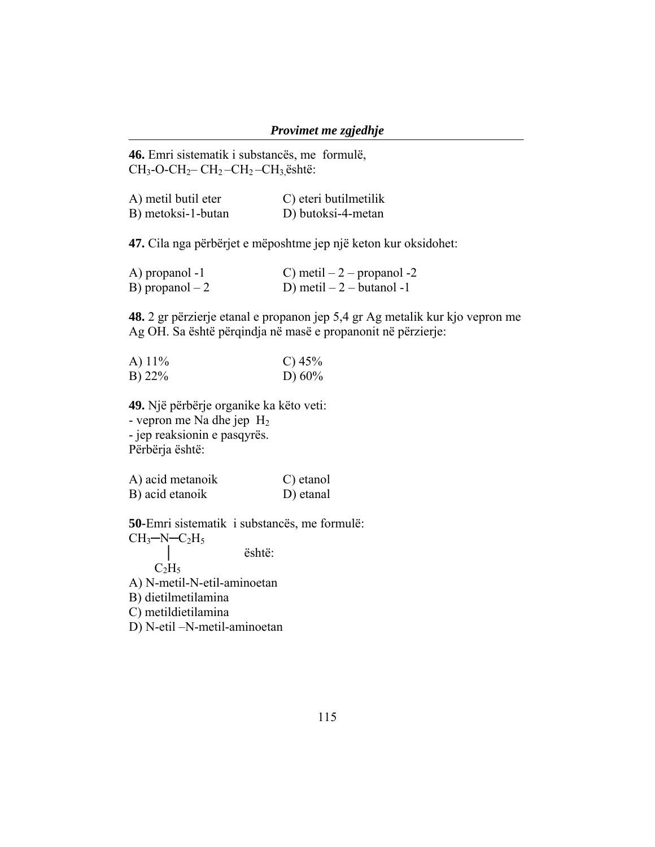**46.** Emri sistematik i substancës, me formulë,  $CH_3$ -O-CH<sub>2</sub> – CH<sub>2</sub> – CH<sub>2</sub> – CH<sub>3</sub>, është:

| A) metil butil eter | C) eteri butilmetilik |
|---------------------|-----------------------|
| B) metoksi-1-butan  | D) butoksi-4-metan    |

**47.** Cila nga përbërjet e mëposhtme jep një keton kur oksidohet:

| A) propanol -1   | C) metil $-2$ – propanol -2 |
|------------------|-----------------------------|
| B) propanol $-2$ | D) metil $-2$ - butanol -1  |

**48.** 2 gr përzierje etanal e propanon jep 5,4 gr Ag metalik kur kjo vepron me Ag OH. Sa është përqindja në masë e propanonit në përzierje:

| A) $11\%$ | C) $45%$  |
|-----------|-----------|
| B) $22\%$ | D) $60\%$ |

**49.** Një përbërje organike ka këto veti: - vepron me Na dhe jep H2 - jep reaksionin e pasqyrës. Përbërja është:

| A) acid metanoik | C) etanol |
|------------------|-----------|
| B) acid etanoik  | D) etanal |

**50-**Emri sistematik i substancës, me formulë:  $CH<sub>3</sub>$ -N-C<sub>2</sub>H<sub>5</sub> │ është:  $C_2H_5$ A) N-metil-N-etil-aminoetan B) dietilmetilamina

C) metildietilamina

D) N-etil –N-metil-aminoetan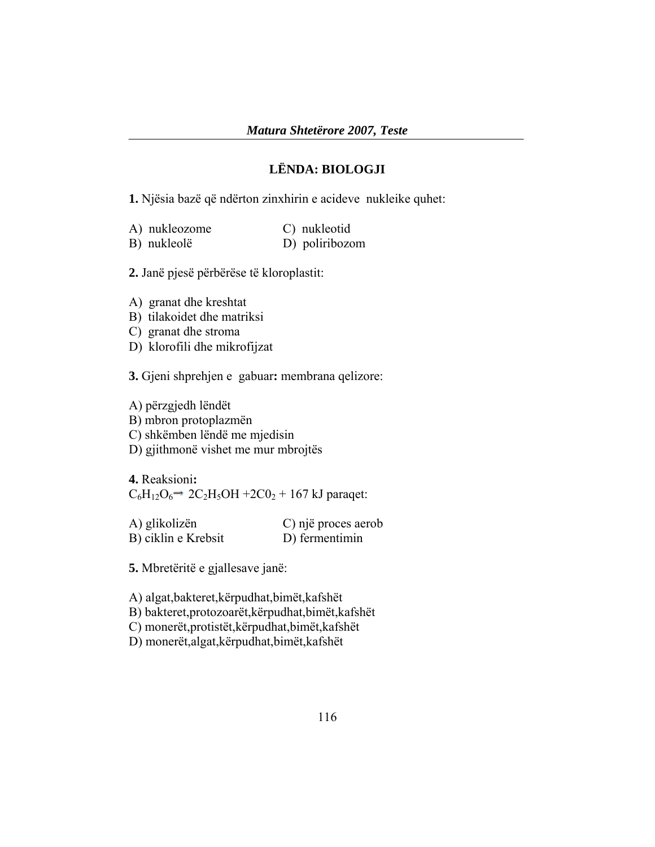### **LËNDA: BIOLOGJI**

**1.** Njësia bazë që ndërton zinxhirin e acideve nukleike quhet:

| A) nukleozome | C) nukleotid   |
|---------------|----------------|
| B) nukleolë   | D) poliribozom |

**2.** Janë pjesë përbërëse të kloroplastit:

- A) granat dhe kreshtat
- B) tilakoidet dhe matriksi
- C) granat dhe stroma
- D) klorofili dhe mikrofijzat

**3.** Gjeni shprehjen e gabuar**:** membrana qelizore:

A) përzgjedh lëndët B) mbron protoplazmën C) shkëmben lëndë me mjedisin D) gjithmonë vishet me mur mbrojtës

**4.** Reaksioni**:**   $C_6H_{12}O_6 \rightarrow 2C_2H_5OH + 2CO_2 + 167$  kJ paraqet:

| A) glikolizën       | C) një proces aerob |
|---------------------|---------------------|
| B) ciklin e Krebsit | D) fermentimin      |

**5.** Mbretëritë e gjallesave janë:

A) algat,bakteret,kërpudhat,bimët,kafshët

B) bakteret,protozoarët,kërpudhat,bimët,kafshët

C) monerët,protistët,kërpudhat,bimët,kafshët

D) monerët,algat,kërpudhat,bimët,kafshët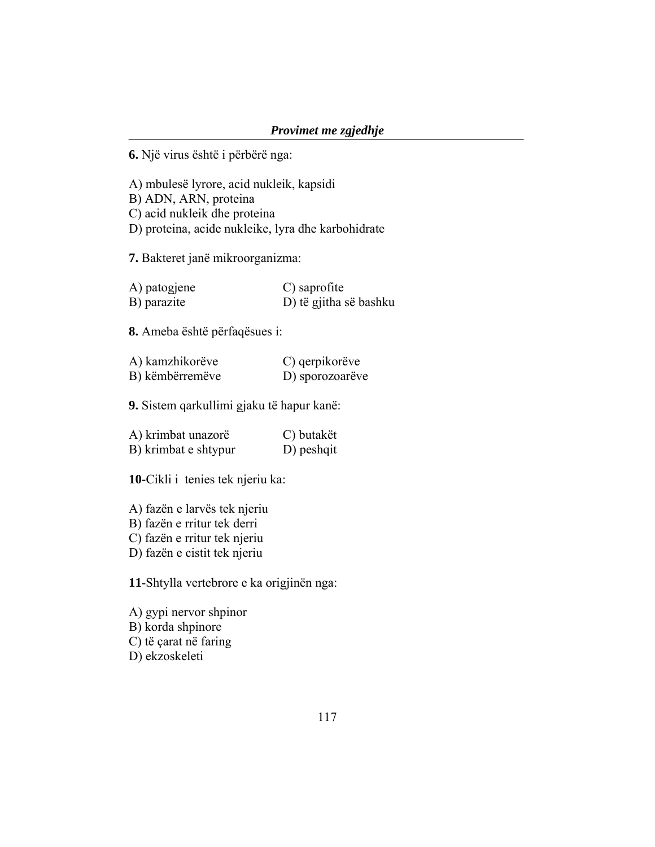**6.** Një virus është i përbërë nga:

A) mbulesë lyrore, acid nukleik, kapsidi B) ADN, ARN, proteina C) acid nukleik dhe proteina D) proteina, acide nukleike, lyra dhe karbohidrate

**7.** Bakteret janë mikroorganizma:

| A) patogjene | C) saprofite           |
|--------------|------------------------|
| B) parazite  | D) të gjitha së bashku |

**8.** Ameba është përfaqësues i:

| A) kamzhikorëve | C) qerpikorëve  |
|-----------------|-----------------|
| B) këmbërremëve | D) sporozoarëve |

**9.** Sistem qarkullimi gjaku të hapur kanë:

| A) krimbat unazorë   | C) butakët |
|----------------------|------------|
| B) krimbat e shtypur | D) peshqit |

**10-**Cikli i tenies tek njeriu ka:

A) fazën e larvës tek njeriu

B) fazën e rritur tek derri

C) fazën e rritur tek njeriu

D) fazën e cistit tek njeriu

**11**-Shtylla vertebrore e ka origjinën nga:

A) gypi nervor shpinor B) korda shpinore C) të çarat në faring D) ekzoskeleti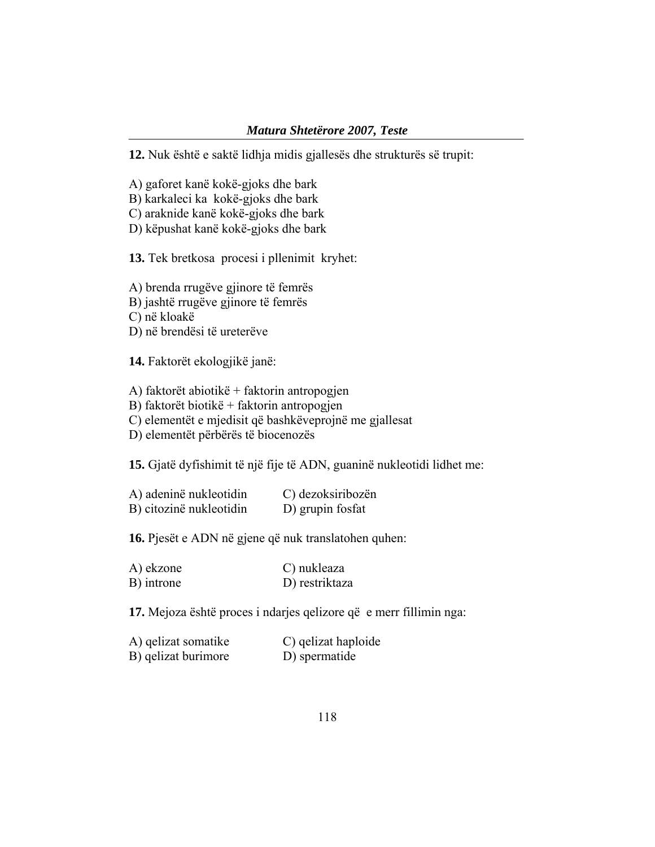#### *Matura Shtetërore 2007, Teste*

**12.** Nuk është e saktë lidhja midis gjallesës dhe strukturës së trupit:

- A) gaforet kanë kokë-gjoks dhe bark
- B) karkaleci ka kokë-gjoks dhe bark
- C) araknide kanë kokë-gjoks dhe bark
- D) këpushat kanë kokë-gjoks dhe bark

**13.** Tek bretkosa procesi i pllenimit kryhet:

A) brenda rrugëve gjinore të femrës

B) jashtë rrugëve gjinore të femrës

C) në kloakë

D) në brendësi të ureterëve

**14.** Faktorët ekologjikë janë:

A) faktorët abiotikë + faktorin antropogjen

B) faktorët biotikë + faktorin antropogjen

C) elementët e mjedisit që bashkëveprojnë me gjallesat

D) elementët përbërës të biocenozës

**15.** Gjatë dyfishimit të një fije të ADN, guaninë nukleotidi lidhet me:

| A) adeninë nukleotidin  | C) dezoksiribozën |
|-------------------------|-------------------|
| B) citozinë nukleotidin | D) grup in fosfat |

**16.** Pjesët e ADN në gjene që nuk translatohen quhen:

| A) ekzone  | C) nukleaza    |
|------------|----------------|
| B) introne | D) restriktaza |

**17.** Mejoza është proces i ndarjes qelizore që e merr fillimin nga:

| A) qelizat somatike | C) qelizat haploide |
|---------------------|---------------------|
| B) qelizat burimore | D) spermatide       |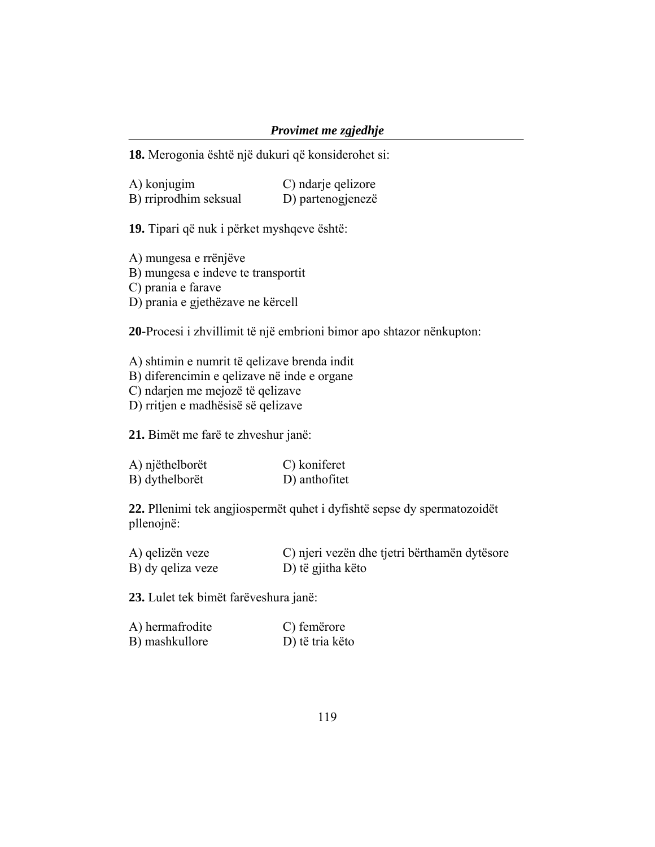### *Provimet me zgjedhje*

**18.** Merogonia është një dukuri që konsiderohet si:

| A) konjugim           | C) ndarje qelizore |
|-----------------------|--------------------|
| B) rriprodhim seksual | D) partenogjenezë  |

**19.** Tipari që nuk i përket myshqeve është:

A) mungesa e rrënjëve

B) mungesa e indeve te transportit

C) prania e farave

D) prania e gjethëzave ne kërcell

**20-**Procesi i zhvillimit të një embrioni bimor apo shtazor nënkupton:

A) shtimin e numrit të qelizave brenda indit

B) diferencimin e qelizave në inde e organe

C) ndarjen me mejozë të qelizave

D) rritjen e madhësisë së qelizave

**21.** Bimët me farë te zhveshur janë:

| A) njëthelborët | C) koniferet  |
|-----------------|---------------|
| B) dythelborët  | D) anthofitet |

**22.** Pllenimi tek angjiospermët quhet i dyfishtë sepse dy spermatozoidët pllenojnë:

| A) gelizën veze   | C) njeri vezën dhe tjetri bërthamën dytësore |
|-------------------|----------------------------------------------|
| B) dy qeliza veze | D) të gjitha këto                            |

**23.** Lulet tek bimët farëveshura janë:

| A) hermafrodite | C) femerore     |
|-----------------|-----------------|
| B) mashkullore  | D) të tria këto |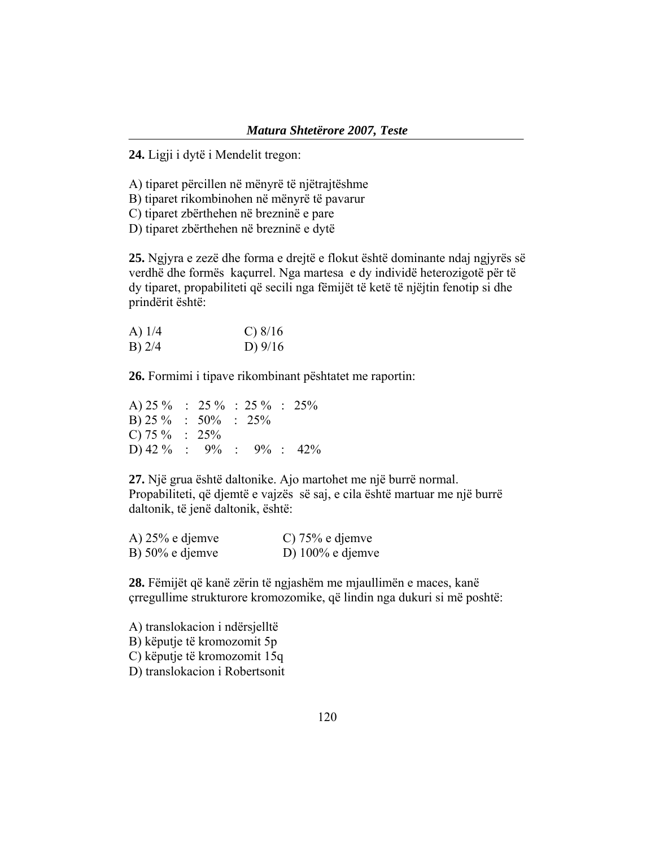**24.** Ligji i dytë i Mendelit tregon:

A) tiparet përcillen në mënyrë të njëtrajtëshme

B) tiparet rikombinohen në mënyrë të pavarur

C) tiparet zbërthehen në brezninë e pare

D) tiparet zbërthehen në brezninë e dytë

**25.** Ngjyra e zezë dhe forma e drejtë e flokut është dominante ndaj ngjyrës së verdhë dhe formës kaçurrel. Nga martesa e dy individë heterozigotë për të dy tiparet, propabiliteti që secili nga fëmijët të ketë të njëjtin fenotip si dhe prindërit është:

| A) $1/4$ | C) 8/16   |
|----------|-----------|
| $B)$ 2/4 | D) $9/16$ |

**26.** Formimi i tipave rikombinant pështatet me raportin:

| A) $25\%$ : $25\%$ : $25\%$ : $25\%$ |  |  |  |
|--------------------------------------|--|--|--|
| B) $25\%$ : $50\%$ : $25\%$          |  |  |  |
| C) 75 $\%$ : 25%                     |  |  |  |
| D) 42 % : 9% : 9% : 42%              |  |  |  |

**27.** Një grua është daltonike. Ajo martohet me një burrë normal. Propabiliteti, që djemtë e vajzës së saj, e cila është martuar me një burrë daltonik, të jenë daltonik, është:

| A) $25%$ e djemve  | C) $75%$ e djemve   |
|--------------------|---------------------|
| B) $50\%$ e djemve | D) $100\%$ e djemve |

**28.** Fëmijët që kanë zërin të ngjashëm me mjaullimën e maces, kanë çrregullime strukturore kromozomike, që lindin nga dukuri si më poshtë:

A) translokacion i ndërsjelltë B) këputje të kromozomit 5p C) këputje të kromozomit 15q D) translokacion i Robertsonit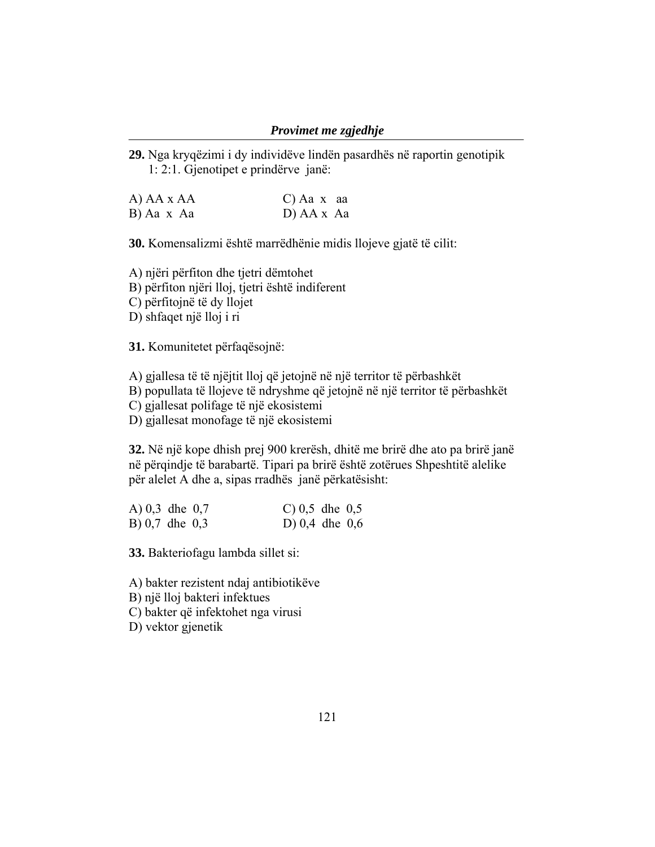#### *Provimet me zgjedhje*

**29.** Nga kryqëzimi i dy individëve lindën pasardhës në raportin genotipik 1: 2:1. Gjenotipet e prindërve janë:

| A) AA x AA | $C)$ Aa x aa |
|------------|--------------|
| B) Aa x Aa | D) AA x Aa   |

**30.** Komensalizmi është marrëdhënie midis llojeve gjatë të cilit:

A) njëri përfiton dhe tjetri dëmtohet B) përfiton njëri lloj, tjetri është indiferent

C) përfitojnë të dy llojet

D) shfaqet një lloj i ri

**31.** Komunitetet përfaqësojnë:

A) gjallesa të të njëjtit lloj që jetojnë në një territor të përbashkët

B) popullata të llojeve të ndryshme që jetojnë në një territor të përbashkët

C) gjallesat polifage të një ekosistemi

D) gjallesat monofage të një ekosistemi

**32.** Në një kope dhish prej 900 krerësh, dhitë me brirë dhe ato pa brirë janë në përqindje të barabartë. Tipari pa brirë është zotërues Shpeshtitë alelike për alelet A dhe a, sipas rradhës janë përkatësisht:

| A) $0,3$ dhe $0,7$ |  | C) $0,5$ dhe $0,5$ |  |
|--------------------|--|--------------------|--|
| B) $0,7$ dhe $0,3$ |  | D) $0,4$ dhe $0,6$ |  |

**33.** Bakteriofagu lambda sillet si:

A) bakter rezistent ndaj antibiotikëve

B) një lloj bakteri infektues

C) bakter që infektohet nga virusi

D) vektor gjenetik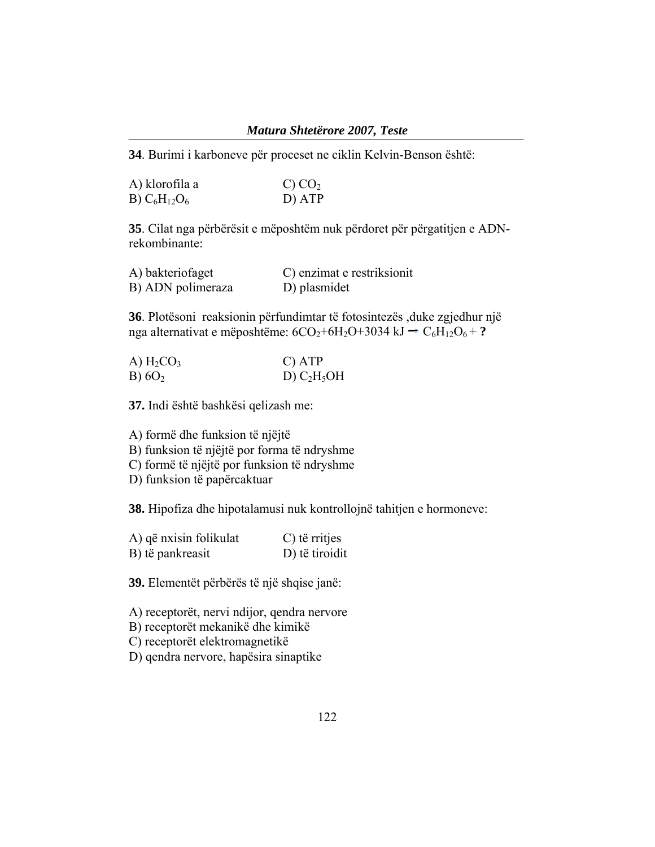#### *Matura Shtetërore 2007, Teste*

**34**. Burimi i karboneve për proceset ne ciklin Kelvin-Benson është:

| A) klorofila a    | C) CO <sub>2</sub> |
|-------------------|--------------------|
| B) $C_6H_{12}O_6$ | D) ATP             |

**35**. Cilat nga përbërësit e mëposhtëm nuk përdoret për përgatitjen e ADNrekombinante:

| A) bakteriofaget  | C) enzimat e restriksionit |
|-------------------|----------------------------|
| B) ADN polimeraza | D) plasmidet               |

**36**. Plotësoni reaksionin përfundimtar të fotosintezës ,duke zgjedhur një nga alternativat e mëposhtëme:  $6CO_2 + 6H_2O + 3034 \text{ kJ} \rightarrow C_6H_1O_6 + ?$ 

| A) H <sub>2</sub> CO <sub>3</sub> | $C)$ ATP      |
|-----------------------------------|---------------|
| B) $6O2$                          | D) $C_2H_5OH$ |

**37.** Indi është bashkësi qelizash me:

A) formë dhe funksion të njëjtë

B) funksion të njëjtë por forma të ndryshme

C) formë të njëjtë por funksion të ndryshme

D) funksion të papërcaktuar

**38.** Hipofiza dhe hipotalamusi nuk kontrollojnë tahitjen e hormoneve:

| A) që nxisin folikulat | C) të rritjes  |
|------------------------|----------------|
| B) të pankreasit       | D) të tiroidit |

**39.** Elementët përbërës të një shqise janë:

A) receptorët, nervi ndijor, qendra nervore

B) receptorët mekanikë dhe kimikë

C) receptorët elektromagnetikë

D) qendra nervore, hapësira sinaptike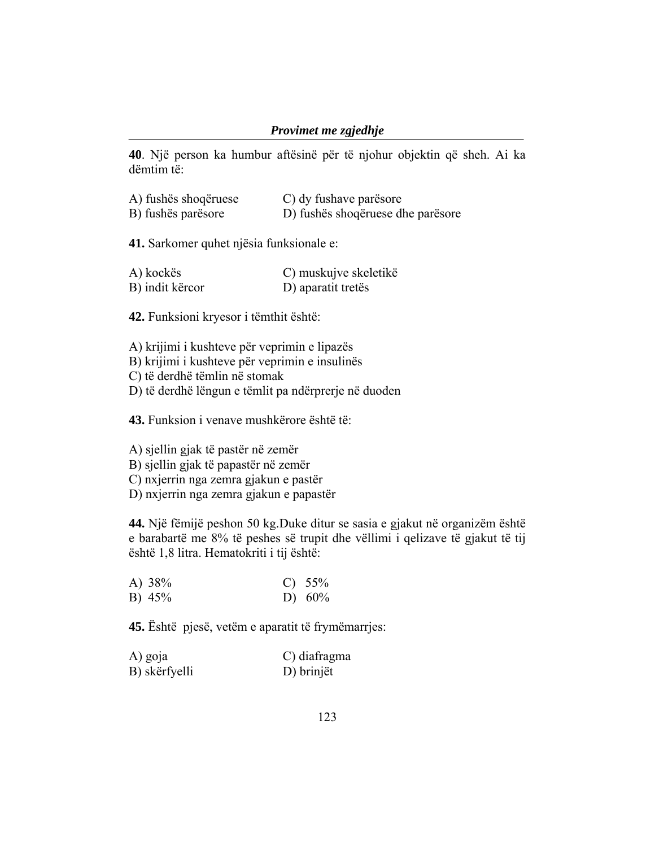### *Provimet me zgjedhje*

**40**. Një person ka humbur aftësinë për të njohur objektin që sheh. Ai ka dëmtim të:

| A) fushës shoqëruese | C) dy fushave parësore            |
|----------------------|-----------------------------------|
| B) fushës parësore   | D) fushës shoqëruese dhe parësore |

**41.** Sarkomer quhet njësia funksionale e:

| A) kockës       | C) muskujve skeletikë |
|-----------------|-----------------------|
| B) indit kërcor | D) aparatit tretës    |

**42.** Funksioni kryesor i tëmthit është:

A) krijimi i kushteve për veprimin e lipazës

B) krijimi i kushteve për veprimin e insulinës

C) të derdhë tëmlin në stomak

D) të derdhë lëngun e tëmlit pa ndërprerje në duoden

**43.** Funksion i venave mushkërore është të:

A) sjellin gjak të pastër në zemër

B) sjellin gjak të papastër në zemër

C) nxjerrin nga zemra gjakun e pastër

D) nxjerrin nga zemra gjakun e papastër

**44.** Një fëmijë peshon 50 kg.Duke ditur se sasia e gjakut në organizëm është e barabartë me 8% të peshes së trupit dhe vëllimi i qelizave të gjakut të tij është 1,8 litra. Hematokriti i tij është:

| A) 38% | C) $55\%$ |
|--------|-----------|
| B) 45% | D) $60\%$ |

**45.** Është pjesë, vetëm e aparatit të frymëmarrjes:

| A) goja       | C) diafragma |
|---------------|--------------|
| B) skërfyelli | D) brinjët   |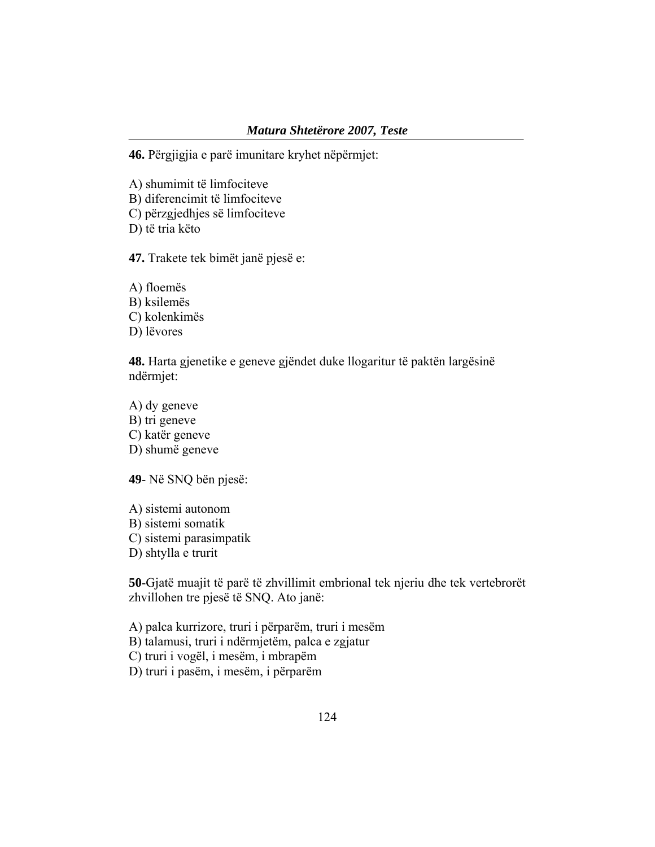#### *Matura Shtetërore 2007, Teste*

**46.** Përgjigjia e parë imunitare kryhet nëpërmjet:

A) shumimit të limfociteve

B) diferencimit të limfociteve

C) përzgjedhjes së limfociteve

D) të tria këto

**47.** Trakete tek bimët janë pjesë e:

A) floemës B) ksilemës C) kolenkimës D) lëvores

**48.** Harta gjenetike e geneve gjëndet duke llogaritur të paktën largësinë ndërmjet:

A) dy geneve B) tri geneve C) katër geneve D) shumë geneve

**49**- Në SNQ bën pjesë:

A) sistemi autonom B) sistemi somatik C) sistemi parasimpatik D) shtylla e trurit

**50**-Gjatë muajit të parë të zhvillimit embrional tek njeriu dhe tek vertebrorët zhvillohen tre pjesë të SNQ. Ato janë:

A) palca kurrizore, truri i përparëm, truri i mesëm

B) talamusi, truri i ndërmjetëm, palca e zgjatur

C) truri i vogël, i mesëm, i mbrapëm

D) truri i pasëm, i mesëm, i përparëm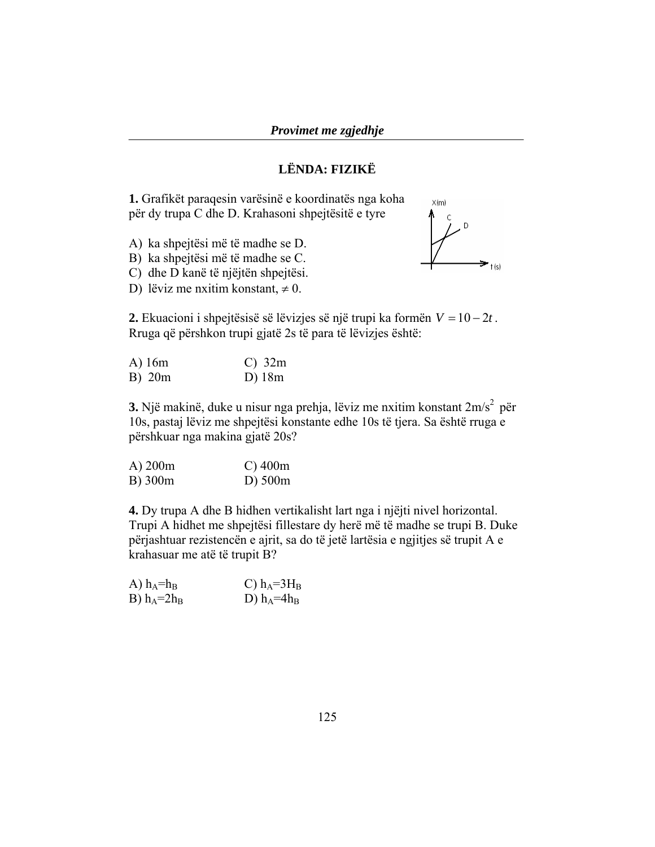## **LËNDA: FIZIKË**

**1.** Grafikët paraqesin varësinë e koordinatës nga koha për dy trupa C dhe D. Krahasoni shpejtësitë e tyre

- A) ka shpejtësi më të madhe se D.
- B) ka shpejtësi më të madhe se C.
- C) dhe D kanë të njëjtën shpejtësi.
- D) lëviz me nxitim konstant,  $\neq 0$ .



**2.** Ekuacioni i shpejtësisë së lëvizjes së një trupi ka formën  $V = 10 - 2t$ . Rruga që përshkon trupi gjatë 2s të para të lëvizjes është:

| $A)$ 16m | $C)$ 32m |
|----------|----------|
| B) 20m   | $D)$ 18m |

**3.** Një makinë, duke u nisur nga prehja, lëviz me nxitim konstant 2m/s<sup>2</sup> për 10s, pastaj lëviz me shpejtësi konstante edhe 10s të tjera. Sa është rruga e përshkuar nga makina gjatë 20s?

| $A)$ 200 $m$ | $C$ ) 400m   |
|--------------|--------------|
| B) 300m      | $D)$ 500 $m$ |

**4.** Dy trupa A dhe B hidhen vertikalisht lart nga i njëjti nivel horizontal. Trupi A hidhet me shpejtësi fillestare dy herë më të madhe se trupi B. Duke përjashtuar rezistencën e ajrit, sa do të jetë lartësia e ngjitjes së trupit A e krahasuar me atë të trupit B?

| A) $h_A=h_B$  | C) $h_A = 3H_B$ |
|---------------|-----------------|
| B) $h_A=2h_B$ | D) $h_A=4h_B$   |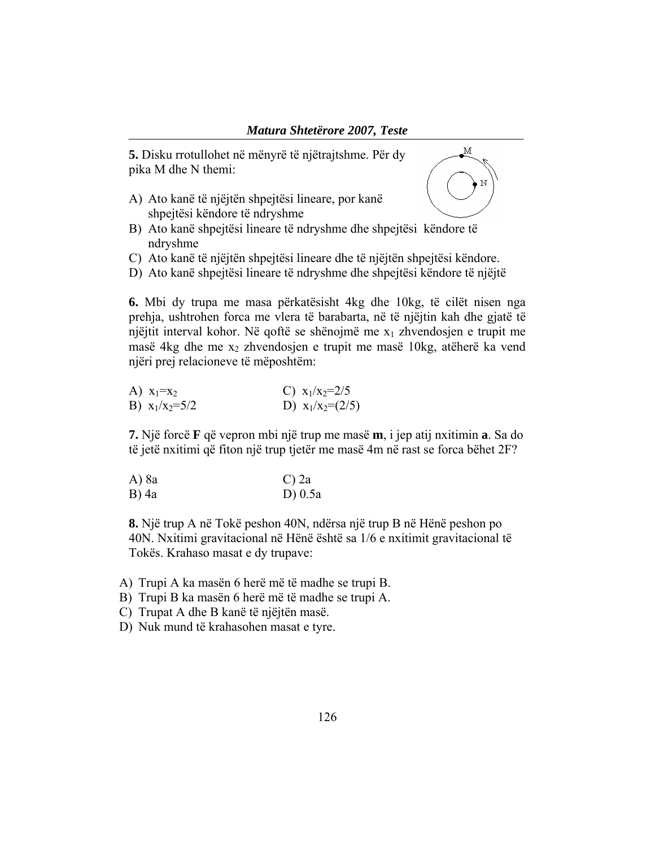**5.** Disku rrotullohet në mënyrë të njëtrajtshme. Për dy pika M dhe N themi:

A) Ato kanë të njëjtën shpejtësi lineare, por kanë shpejtësi këndore të ndryshme



- B) Ato kanë shpejtësi lineare të ndryshme dhe shpejtësi këndore të ndryshme
- C) Ato kanë të njëjtën shpejtësi lineare dhe të njëjtën shpejtësi këndore.
- D) Ato kanë shpejtësi lineare të ndryshme dhe shpejtësi këndore të njëjtë

**6.** Mbi dy trupa me masa përkatësisht 4kg dhe 10kg, të cilët nisen nga prehja, ushtrohen forca me vlera të barabarta, në të njëjtin kah dhe gjatë të njëjtit interval kohor. Në qoftë se shënojmë me x1 zhvendosjen e trupit me masë 4kg dhe me  $x_2$  zhvendosjen e trupit me masë 10kg, atëherë ka vend njëri prej relacioneve të mëposhtëm:

| A) $x_1 = x_2$   | C) $x_1/x_2=2/5$   |
|------------------|--------------------|
| B) $x_1/x_2=5/2$ | D) $x_1/x_2=(2/5)$ |

**7.** Një forcë **F** që vepron mbi një trup me masë **m**, i jep atij nxitimin **a**. Sa do të jetë nxitimi që fiton një trup tjetër me masë 4m në rast se forca bëhet 2F?

A) 8a C) 2a B) 4a D) 0.5a

**8.** Një trup A në Tokë peshon 40N, ndërsa një trup B në Hënë peshon po 40N. Nxitimi gravitacional në Hënë është sa 1/6 e nxitimit gravitacional të Tokës. Krahaso masat e dy trupave:

- A) Trupi A ka masën 6 herë më të madhe se trupi B.
- B) Trupi B ka masën 6 herë më të madhe se trupi A.
- C) Trupat A dhe B kanë të njëjtën masë.
- D) Nuk mund të krahasohen masat e tyre.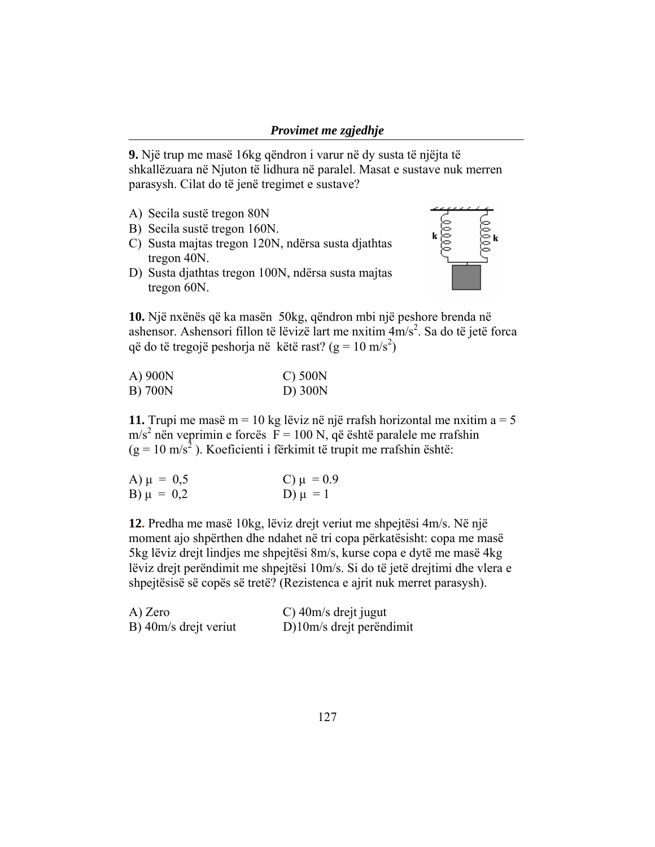**9.** Një trup me masë 16kg qëndron i varur në dy susta të njëjta të shkallëzuara në Njuton të lidhura në paralel. Masat e sustave nuk merren parasysh. Cilat do të jenë tregimet e sustave?

- A) Secila sustë tregon 80N
- B) Secila sustë tregon 160N.
- C) Susta majtas tregon 120N, ndërsa susta djathtas tregon 40N.
- D) Susta djathtas tregon 100N, ndërsa susta majtas tregon 60N.



**10.** Një nxënës që ka masën 50kg, qëndron mbi një peshore brenda në ashensor. Ashensori fillon të lëvizë lart me nxitim  $4m/s^2$ . Sa do të jetë forca që do të tregojë peshorja në këtë rast?  $(g = 10 \text{ m/s}^2)$ 

| A) 900N | $C$ ) 500 $N$ |
|---------|---------------|
| B) 700N | D) 300N       |

**11.** Trupi me masë m = 10 kg lëviz në një rrafsh horizontal me nxitim  $a = 5$  $m/s<sup>2</sup>$  nën veprimin e forcës  $\overline{F} = 100$  N, që është paralele me rrafshin  $(g = 10 \text{ m/s}^2)$ . Koeficienti i fërkimit të trupit me rrafshin është:

| A) $\mu = 0.5$ | C) $\mu = 0.9$ |
|----------------|----------------|
| B) $\mu = 0.2$ | D) $\mu = 1$   |

**12.** Predha me masë 10kg, lëviz drejt veriut me shpejtësi 4m/s. Në një moment ajo shpërthen dhe ndahet në tri copa përkatësisht: copa me masë 5kg lëviz drejt lindjes me shpejtësi 8m/s, kurse copa e dytë me masë 4kg lëviz drejt perëndimit me shpejtësi 10m/s. Si do të jetë drejtimi dhe vlera e shpejtësisë së copës së tretë? (Rezistenca e ajrit nuk merret parasysh).

| A) Zero               | C) $40m/s$ drejt jugut   |
|-----------------------|--------------------------|
| B) 40m/s drejt veriut | D)10m/s drejt perëndimit |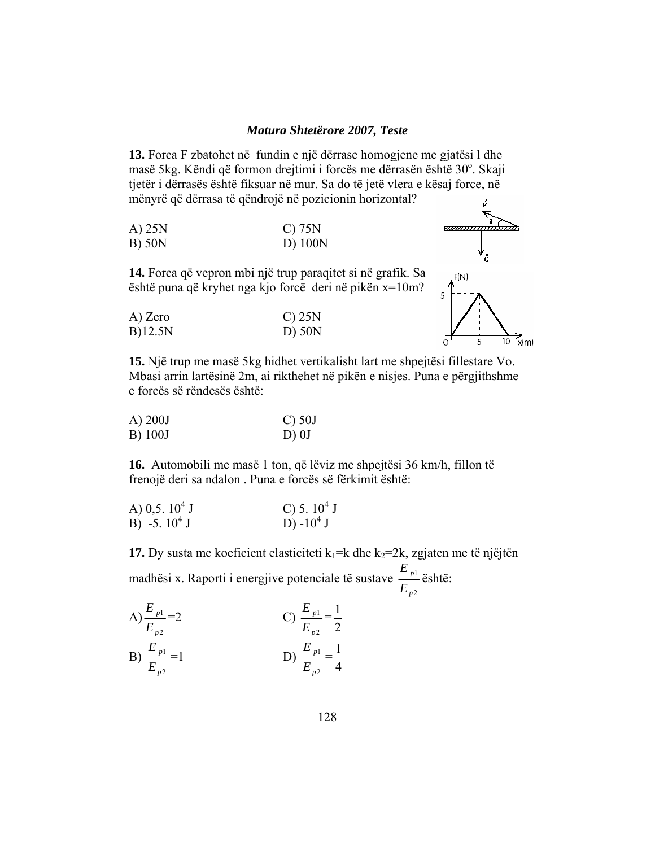**13.** Forca F zbatohet në fundin e një dërrase homogjene me gjatësi l dhe masë 5kg. Këndi që formon drejtimi i forcës me dërrasën është 30°. Skaji tjetër i dërrasës është fiksuar në mur. Sa do të jetë vlera e kësaj force, në mënyrë që dërrasa të qëndrojë në pozicionin horizontal?

| A) 25N | $C$ ) 75N |
|--------|-----------|
| B) 50N | D) 100N   |



**14.** Forca që vepron mbi një trup paraqitet si në grafik. Sa është puna që kryhet nga kjo forcë deri në pikën x=10m?

| A) Zero    | $C$ ) 25N |
|------------|-----------|
| $B$ )12.5N | $D)$ 50N  |



**15.** Një trup me masë 5kg hidhet vertikalisht lart me shpejtësi fillestare Vo. Mbasi arrin lartësinë 2m, ai rikthehet në pikën e nisjes. Puna e përgjithshme e forcës së rëndesës është:

| $(A)$ 200J | $\bigcirc$ 50J |
|------------|----------------|
| B) 100J    | D) 0J          |

**16.** Automobili me masë 1 ton, që lëviz me shpejtësi 36 km/h, fillon të frenojë deri sa ndalon . Puna e forcës së fërkimit është:

| A) 0,5. $10^4$ J | C) 5. $10^4$ J        |
|------------------|-----------------------|
| B) -5. $10^4$ J  | D) -10 <sup>4</sup> J |

**17.** Dy susta me koeficient elasticiteti  $k_1=k$  dhe  $k_2=2k$ , zgjaten me të njëjtën madhësi x. Raporti i energjive potenciale të sustave 2 1 *p p E E* është:

A) 
$$
\frac{E_{p1}}{E_{p2}} = 2
$$
  
\nB)  $\frac{E_{p1}}{E_{p2}} = 1$   
\nC)  $\frac{E_{p1}}{E_{p2}} = \frac{1}{2}$   
\nD)  $\frac{E_{p1}}{E_{p2}} = \frac{1}{4}$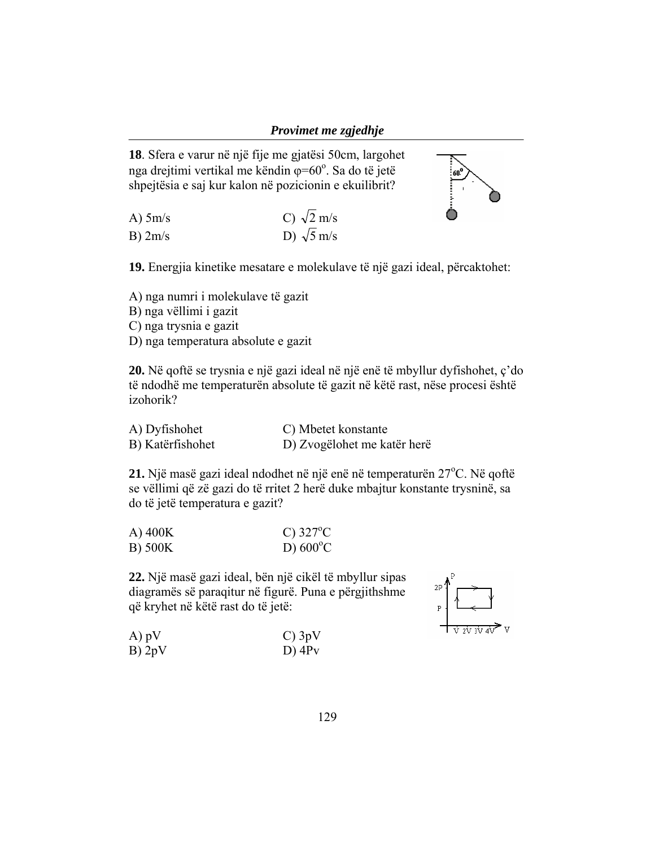

**18**. Sfera e varur në një fije me gjatësi 50cm, largohet nga drejtimi vertikal me këndin  $\varphi = 60^\circ$ . Sa do të jetë shpejtësia e saj kur kalon në pozicionin e ekuilibrit?

A) 5m/s C)  $\sqrt{2}$  m/s B)  $2m/s$  D)  $\sqrt{5}$  m/s

**19.** Energjia kinetike mesatare e molekulave të një gazi ideal, përcaktohet:

A) nga numri i molekulave të gazit

B) nga vëllimi i gazit

C) nga trysnia e gazit

D) nga temperatura absolute e gazit

**20.** Në qoftë se trysnia e një gazi ideal në një enë të mbyllur dyfishohet, ç'do të ndodhë me temperaturën absolute të gazit në këtë rast, nëse procesi është izohorik?

| A) Dyfishohet    | C) Mbetet konstante         |
|------------------|-----------------------------|
| B) Katërfishohet | D) Zvogëlohet me katër herë |

**21.** Një masë gazi ideal ndodhet në një enë në temperaturën 27<sup>o</sup>C. Në qoftë se vëllimi që zë gazi do të rritet 2 herë duke mbajtur konstante trysninë, sa do të jetë temperatura e gazit?

| $(A)$ 400K | C) $327^{\circ}$ C |
|------------|--------------------|
| B) 500K    | D) $600^{\circ}$ C |

**22.** Një masë gazi ideal, bën një cikël të mbyllur sipas diagramës së paraqitur në figurë. Puna e përgjithshme që kryhet në këtë rast do të jetë:



| A) pV  | $C$ ) 3pV            |
|--------|----------------------|
| B) 2pV | $D)$ 4P <sub>v</sub> |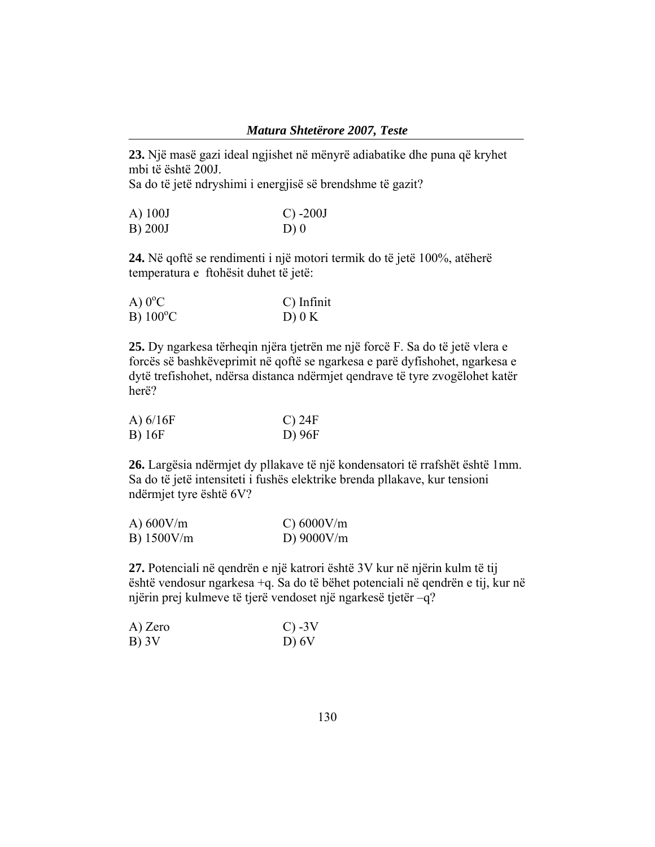**23.** Një masë gazi ideal ngjishet në mënyrë adiabatike dhe puna që kryhet mbi të është 200J.

Sa do të jetë ndryshimi i energjisë së brendshme të gazit?

| A) 100J | $C) -200J$ |
|---------|------------|
| B) 200J | D(0)       |

**24.** Në qoftë se rendimenti i një motori termik do të jetë 100%, atëherë temperatura e ftohësit duhet të jetë:

| A) $0^{\circ}$ C  | C) Infinit |
|-------------------|------------|
| $B) 100^{\circ}C$ | $D)$ 0 K   |

**25.** Dy ngarkesa tërheqin njëra tjetrën me një forcë F. Sa do të jetë vlera e forcës së bashkëveprimit në qoftë se ngarkesa e parë dyfishohet, ngarkesa e dytë trefishohet, ndërsa distanca ndërmjet qendrave të tyre zvogëlohet katër herë?

| A) $6/16F$ | $C$ ) 24F |
|------------|-----------|
| B) 16F     | D) 96F    |

**26.** Largësia ndërmjet dy pllakave të një kondensatori të rrafshët është 1mm. Sa do të jetë intensiteti i fushës elektrike brenda pllakave, kur tensioni ndërmjet tyre është 6V?

| A) $600V/m$  | C) 6000V/m   |
|--------------|--------------|
| $B)$ 1500V/m | D) $9000V/m$ |

**27.** Potenciali në qendrën e një katrori është 3V kur në njërin kulm të tij është vendosur ngarkesa +q. Sa do të bëhet potenciali në qendrën e tij, kur në njërin prej kulmeve të tjerë vendoset një ngarkesë tjetër –q?

| A) Zero | $C$ ) -3V |
|---------|-----------|
| B) 3V   | D) 6V     |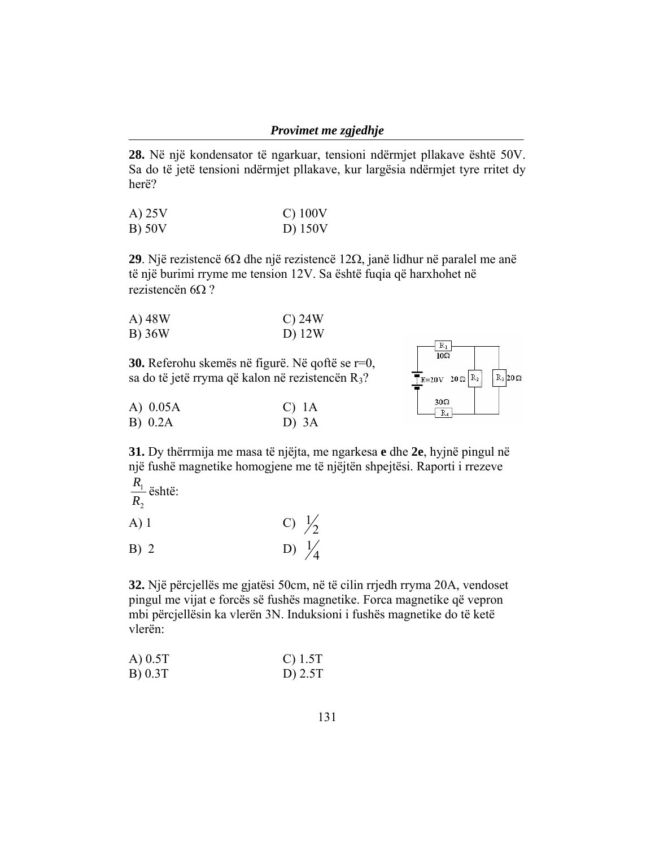**28.** Në një kondensator të ngarkuar, tensioni ndërmjet pllakave është 50V. Sa do të jetë tensioni ndërmjet pllakave, kur largësia ndërmjet tyre rritet dy herë?

| A) 25V | $C)$ 100V |
|--------|-----------|
| B) 50V | D) 150V   |

**29**. Një rezistencë 6Ω dhe një rezistencë 12Ω, janë lidhur në paralel me anë të një burimi rryme me tension 12V. Sa është fuqia që harxhohet në rezistencën 6Ω ?

| A) 48W | $C$ ) 24 $W$ |
|--------|--------------|
| B) 36W | D) 12W       |

**30.** Referohu skemës në figurë. Në qoftë se r=0, sa do të jetë rryma që kalon në rezistencën  $R_3$ ?

| A) $0.05A$ | $C)$ 1A |  |
|------------|---------|--|
| B) 0.2A    | D) $3A$ |  |



**31.** Dy thërrmija me masa të njëjta, me ngarkesa **e** dhe **2e**, hyjnë pingul në një fushë magnetike homogjene me të njëjtën shpejtësi. Raporti i rrezeve  $\frac{R_1}{\cdots}$ është:

$$
\frac{R_1}{R_2} \ddot{\text{e}} \text{sh}
$$

A) 1 C)  $\frac{1}{2}$ B) 2 D)  $\frac{1}{4}$ 

**32.** Një përcjellës me gjatësi 50cm, në të cilin rrjedh rryma 20A, vendoset pingul me vijat e forcës së fushës magnetike. Forca magnetike që vepron mbi përcjellësin ka vlerën 3N. Induksioni i fushës magnetike do të ketë vlerën:

| $A)$ 0.5T | C) 1.5T   |
|-----------|-----------|
| B) 0.3T   | D) $2.5T$ |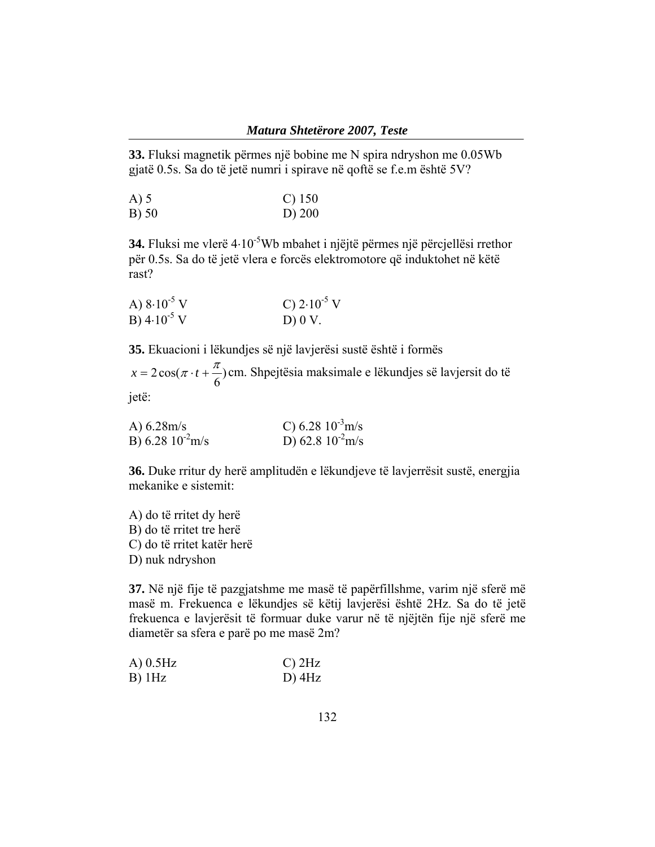**33.** Fluksi magnetik përmes një bobine me N spira ndryshon me 0.05Wb gjatë 0.5s. Sa do të jetë numri i spirave në qoftë se f.e.m është 5V?

| A) 5  | $C)$ 150 |
|-------|----------|
| B) 50 | $D)$ 200 |

**34.** Fluksi me vlerë 4⋅10<sup>-5</sup>Wb mbahet i njëjtë përmes një përcjellësi rrethor për 0.5s. Sa do të jetë vlera e forcës elektromotore që induktohet në këtë rast?

| A) $8.10^{-5}$ V | C) $2 \cdot 10^{-5}$ V |
|------------------|------------------------|
| B) $4.10^{-5}$ V | $D)$ 0 V.              |

**35.** Ekuacioni i lëkundjes së një lavjerësi sustë është i formës

 $x = 2\cos(\pi \cdot t + \frac{\pi}{6})$ cm. Shpejtësia maksimale e lëkundjes së lavjersit do të

jetë:

| A) $6.28m/s$          | C) 6.28 $10^{-3}$ m/s |
|-----------------------|-----------------------|
| B) 6.28 $10^{-2}$ m/s | D) 62.8 $10^{2}$ m/s  |

**36.** Duke rritur dy herë amplitudën e lëkundjeve të lavjerrësit sustë, energjia mekanike e sistemit:

A) do të rritet dy herë B) do të rritet tre herë C) do të rritet katër herë D) nuk ndryshon

**37.** Në një fije të pazgjatshme me masë të papërfillshme, varim një sferë më masë m. Frekuenca e lëkundjes së këtij lavjerësi është 2Hz. Sa do të jetë frekuenca e lavjerësit të formuar duke varur në të njëjtën fije një sferë me diametër sa sfera e parë po me masë 2m?

| $A)$ 0.5Hz | $C)$ 2Hz |
|------------|----------|
| $B)$ 1Hz   | $D)$ 4Hz |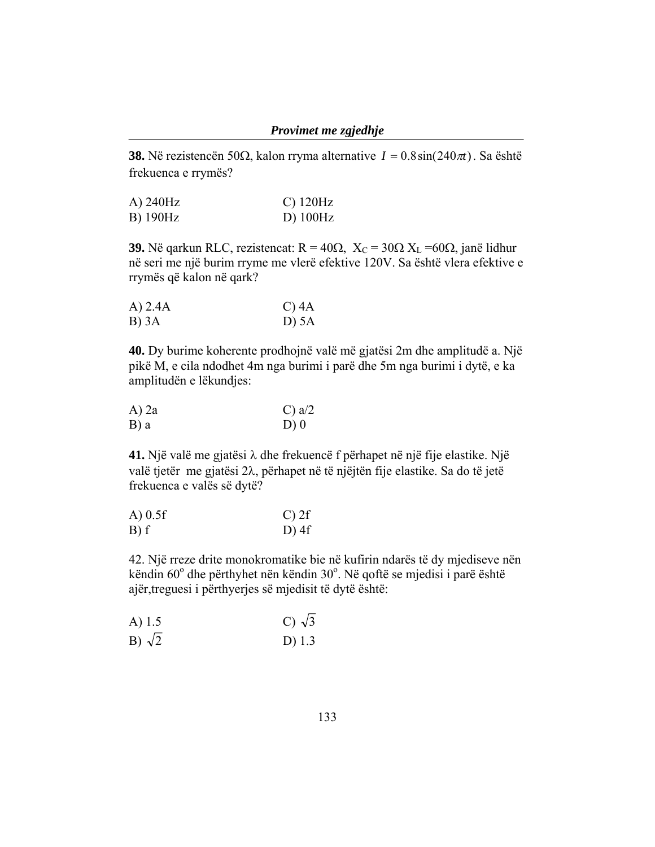**38.** Në rezistencën 50Ω, kalon rryma alternative  $I = 0.8 \sin(240 \pi t)$ . Sa është frekuenca e rrymës?

| A) 240Hz | $C)$ 120Hz |
|----------|------------|
| B) 190Hz | $D)$ 100Hz |

**39.** Në qarkun RLC, rezistencat:  $R = 40\Omega$ ,  $X_C = 30\Omega$   $X_L = 60\Omega$ , janë lidhur në seri me një burim rryme me vlerë efektive 120V. Sa është vlera efektive e rrymës që kalon në qark?

| $A)$ 2.4 $A$ | C) $4A$ |
|--------------|---------|
| B) 3A        | D) 5A   |

**40.** Dy burime koherente prodhojnë valë më gjatësi 2m dhe amplitudë a. Një pikë M, e cila ndodhet 4m nga burimi i parë dhe 5m nga burimi i dytë, e ka amplitudën e lëkundjes:

| $A)$ 2a | C) $a/2$ |
|---------|----------|
| B) a    | D)0      |

**41.** Një valë me gjatësi λ dhe frekuencë f përhapet në një fije elastike. Një valë tjetër me gjatësi 2λ, përhapet në të njëjtën fije elastike. Sa do të jetë frekuenca e valës së dytë?

| $A)$ 0.5f | $C$ ) 2f |
|-----------|----------|
| B) f      | $D)$ 4f  |

42. Një rreze drite monokromatike bie në kufirin ndarës të dy mjediseve nën këndin  $60^{\circ}$  dhe përthyhet nën këndin  $30^{\circ}$ . Në qoftë se mjedisi i parë është ajër,treguesi i përthyerjes së mjedisit të dytë është:

| C) $\sqrt{3}$ |  |
|---------------|--|
|               |  |

B)  $\sqrt{2}$  D) 1.3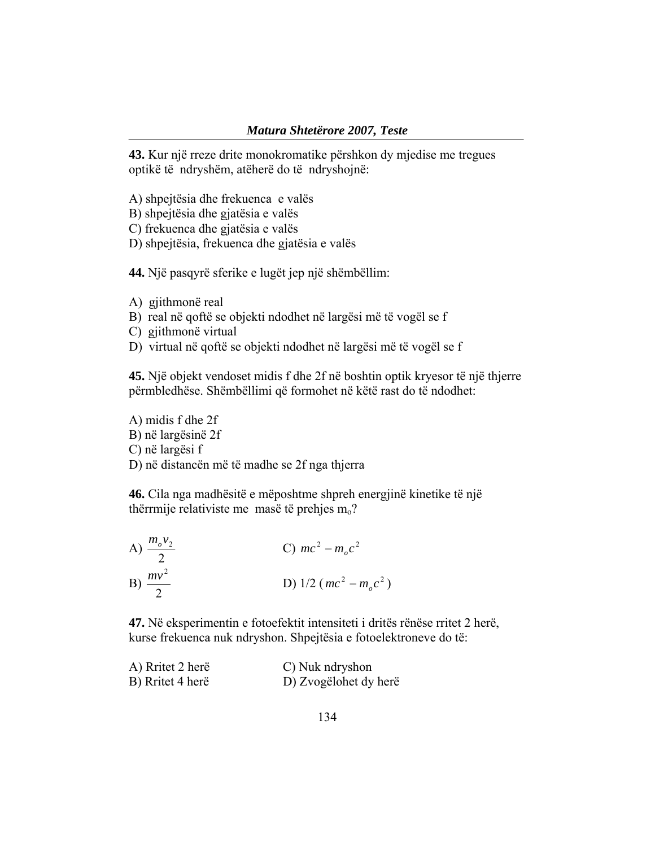**43.** Kur një rreze drite monokromatike përshkon dy mjedise me tregues optikë të ndryshëm, atëherë do të ndryshojnë:

- A) shpejtësia dhe frekuenca e valës
- B) shpejtësia dhe gjatësia e valës
- C) frekuenca dhe gjatësia e valës
- D) shpejtësia, frekuenca dhe gjatësia e valës

**44.** Një pasqyrë sferike e lugët jep një shëmbëllim:

- A) gjithmonë real
- B) real në qoftë se objekti ndodhet në largësi më të vogël se f
- C) gjithmonë virtual
- D) virtual në qoftë se objekti ndodhet në largësi më të vogël se f

**45.** Një objekt vendoset midis f dhe 2f në boshtin optik kryesor të një thjerre përmbledhëse. Shëmbëllimi që formohet në këtë rast do të ndodhet:

A) midis f dhe 2f B) në largësinë 2f C) në largësi f D) në distancën më të madhe se 2f nga thjerra

**46.** Cila nga madhësitë e mëposhtme shpreh energjinë kinetike të një thërrmije relativiste me masë të prehjes  $m<sub>o</sub>$ ?

A) 
$$
\frac{m_o v_2}{2}
$$
  
\nB)  $\frac{mv^2}{2}$   
\nC)  $mc^2 - m_o c^2$   
\nD)  $1/2 (mc^2 - m_o c^2)$ 

**47.** Në eksperimentin e fotoefektit intensiteti i dritës rënëse rritet 2 herë, kurse frekuenca nuk ndryshon. Shpejtësia e fotoelektroneve do të:

| A) Rritet 2 herë | C) Nuk ndryshon       |
|------------------|-----------------------|
| B) Rritet 4 herë | D) Zvogëlohet dy herë |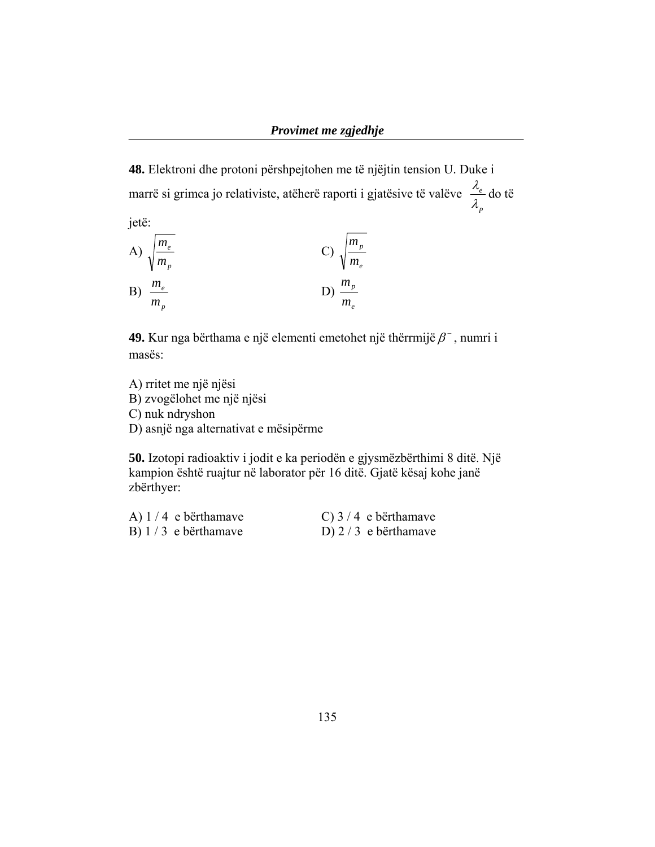**48.** Elektroni dhe protoni përshpejtohen me të njëjtin tension U. Duke i marrë si grimca jo relativiste, atëherë raporti i gjatësive të valëve *p e*  $\frac{\lambda_e}{\lambda}$  do të

jetë:  
\nA) 
$$
\sqrt{\frac{m_e}{m_p}}
$$
  
\nB)  $\frac{m_e}{m_p}$   
\nC)  $\sqrt{\frac{m_p}{m_e}}$   
\nD)  $\frac{m_p}{m_e}$ 

**49.** Kur nga bërthama e një elementi emetohet një thërrmijë  $\beta$ <sup>-</sup>, numri i masës:

A) rritet me një njësi B) zvogëlohet me një njësi C) nuk ndryshon D) asnjë nga alternativat e mësipërme

**50.** Izotopi radioaktiv i jodit e ka periodën e gjysmëzbërthimi 8 ditë. Një kampion është ruajtur në laborator për 16 ditë. Gjatë kësaj kohe janë zbërthyer:

| A) $1/4$ e bërthamave | C) $3/4$ e bërthamave |
|-----------------------|-----------------------|
| B) $1/3$ e bërthamave | D) $2/3$ e bërthamave |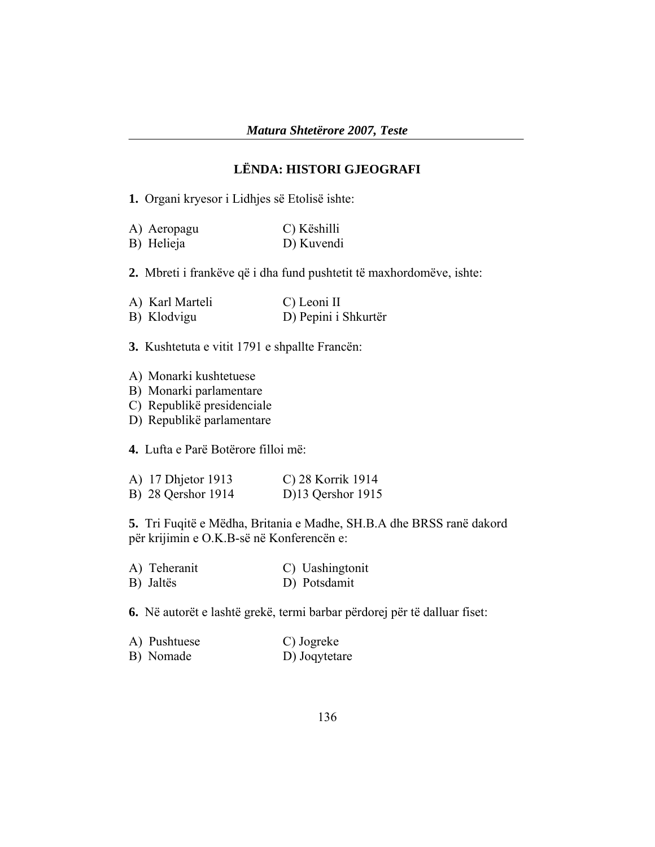## **LËNDA: HISTORI GJEOGRAFI**

**1.** Organi kryesor i Lidhjes së Etolisë ishte:

| A) Aeropagu | C) Këshilli |
|-------------|-------------|
| B) Helieja  | D) Kuvendi  |

**2.** Mbreti i frankëve që i dha fund pushtetit të maxhordomëve, ishte:

| A) Karl Marteli | C) Leoni II          |
|-----------------|----------------------|
| B) Klodvigu     | D) Pepini i Shkurtër |

**3.** Kushtetuta e vitit 1791 e shpallte Francën:

- A) Monarki kushtetuese
- B) Monarki parlamentare
- C) Republikë presidenciale
- D) Republikë parlamentare

**4.** Lufta e Parë Botërore filloi më:

| A) 17 Dhjetor 1913 | C) 28 Korrik 1914   |
|--------------------|---------------------|
| B) 28 Qershor 1914 | D $13$ Qershor 1915 |

**5.** Tri Fuqitë e Mëdha, Britania e Madhe, SH.B.A dhe BRSS ranë dakord për krijimin e O.K.B-së në Konferencën e:

| A) Teheranit | C) Uashingtonit |
|--------------|-----------------|
| B) Jaltës    | D) Potsdamit    |

**6.** Në autorët e lashtë grekë, termi barbar përdorej për të dalluar fiset:

| A) Pushtuese | C) Jogreke    |
|--------------|---------------|
| B) Nomade    | D) Joqytetare |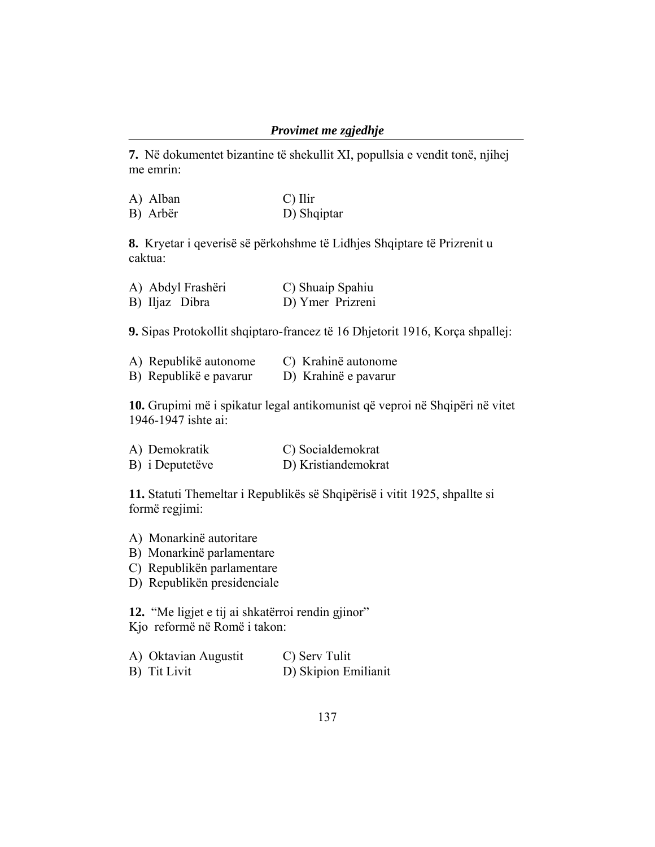#### *Provimet me zgjedhje*

**7.** Në dokumentet bizantine të shekullit XI, popullsia e vendit tonë, njihej me emrin:

| A) Alban | $\mathcal{C}$ ) Ilir |
|----------|----------------------|
| B) Arbër | D) Shqiptar          |

**8.** Kryetar i qeverisë së përkohshme të Lidhjes Shqiptare të Prizrenit u caktua:

| A) Abdyl Frashëri | C) Shuaip Spahiu |
|-------------------|------------------|
| B) Iljaz Dibra    | D) Ymer Prizreni |

**9.** Sipas Protokollit shqiptaro-francez të 16 Dhjetorit 1916, Korça shpallej:

| A) Republikë autonome  | C) Krahinë autonome  |
|------------------------|----------------------|
| B) Republikë e pavarur | D) Krahinë e pavarur |

**10.** Grupimi më i spikatur legal antikomunist që veproi në Shqipëri në vitet 1946-1947 ishte ai:

| A) Demokratik   | C) Socialdemokrat   |
|-----------------|---------------------|
| B) i Deputetëve | D) Kristiandemokrat |

**11.** Statuti Themeltar i Republikës së Shqipërisë i vitit 1925, shpallte si formë regjimi:

- A) Monarkinë autoritare
- B) Monarkinë parlamentare
- C) Republikën parlamentare
- D) Republikën presidenciale

**12.** "Me ligjet e tij ai shkatërroi rendin gjinor" Kjo reformë në Romë i takon:

| A) Oktavian Augustit | C) Serv Tulit        |
|----------------------|----------------------|
| B) Tit Livit         | D) Skipion Emilianit |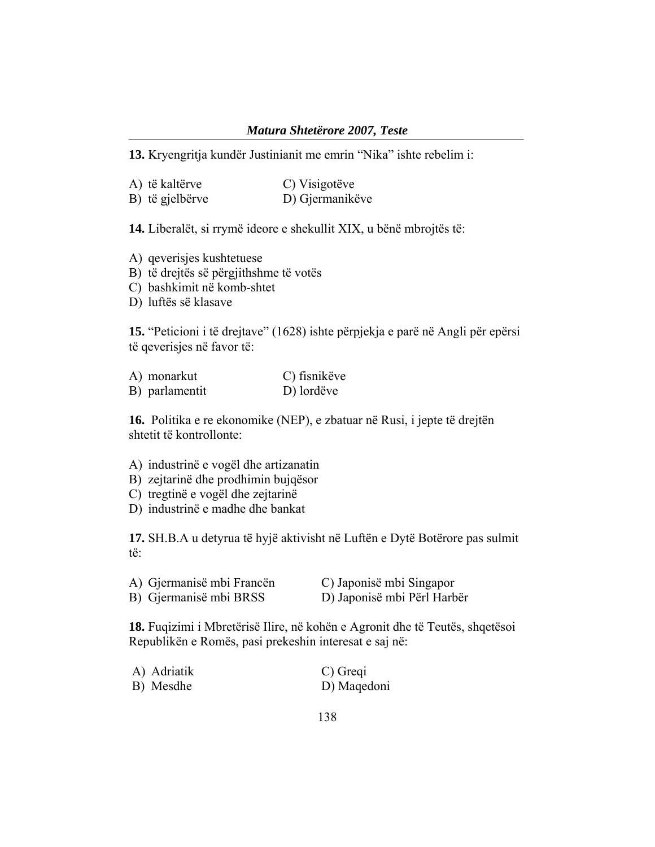#### *Matura Shtetërore 2007, Teste*

**13.** Kryengritja kundër Justinianit me emrin "Nika" ishte rebelim i:

| A) të kaltërve  | C) Visigotëve   |
|-----------------|-----------------|
| B) të gjelbërve | D) Gjermanikëve |

**14.** Liberalët, si rrymë ideore e shekullit XIX, u bënë mbrojtës të:

- A) qeverisjes kushtetuese
- B) të drejtës së përgjithshme të votës
- C) bashkimit në komb-shtet
- D) luftës së klasave

**15.** "Peticioni i të drejtave" (1628) ishte përpjekja e parë në Angli për epërsi të qeverisjes në favor të:

| A) monarkut    | C) fisnikëve |
|----------------|--------------|
| B) parlamentit | D) lordëve   |

**16.** Politika e re ekonomike (NEP), e zbatuar në Rusi, i jepte të drejtën shtetit të kontrollonte:

- A) industrinë e vogël dhe artizanatin
- B) zejtarinë dhe prodhimin bujqësor
- C) tregtinë e vogël dhe zejtarinë
- D) industrinë e madhe dhe bankat

**17.** SH.B.A u detyrua të hyjë aktivisht në Luftën e Dytë Botërore pas sulmit të:

| A) Gjermanisë mbi Francën | C) Japonisë mbi Singapor    |
|---------------------------|-----------------------------|
| B) Gjermanisë mbi BRSS    | D) Japonisë mbi Përl Harbër |

**18.** Fuqizimi i Mbretërisë Ilire, në kohën e Agronit dhe të Teutës, shqetësoi Republikën e Romës, pasi prekeshin interesat e saj në:

| A) Adriatik | C) Greqi    |
|-------------|-------------|
| B) Mesdhe   | D) Maqedoni |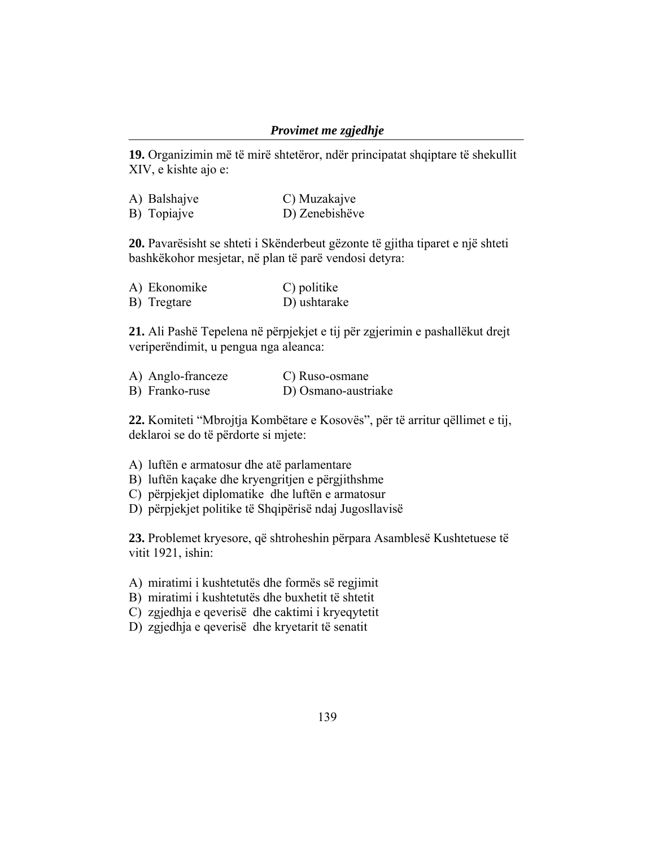#### *Provimet me zgjedhje*

**19.** Organizimin më të mirë shtetëror, ndër principatat shqiptare të shekullit XIV, e kishte ajo e:

| A) Balshajve | C) Muzakajve   |
|--------------|----------------|
| B) Topiajve  | D) Zenebishëve |

**20.** Pavarësisht se shteti i Skënderbeut gëzonte të gjitha tiparet e një shteti bashkëkohor mesjetar, në plan të parë vendosi detyra:

| A) Ekonomike | C) politike  |
|--------------|--------------|
| B) Tregtare  | D) ushtarake |

**21.** Ali Pashë Tepelena në përpjekjet e tij për zgjerimin e pashallëkut drejt veriperëndimit, u pengua nga aleanca:

| A) Anglo-franceze | C) Ruso-osmane      |
|-------------------|---------------------|
| B) Franko-ruse    | D) Osmano-austriake |

**22.** Komiteti "Mbrojtja Kombëtare e Kosovës", për të arritur qëllimet e tij, deklaroi se do të përdorte si mjete:

- A) luftën e armatosur dhe atë parlamentare
- B) luftën kaçake dhe kryengritjen e përgjithshme
- C) përpjekjet diplomatike dhe luftën e armatosur
- D) përpjekjet politike të Shqipërisë ndaj Jugosllavisë

**23.** Problemet kryesore, që shtroheshin përpara Asamblesë Kushtetuese të vitit 1921, ishin:

- A) miratimi i kushtetutës dhe formës së regjimit
- B) miratimi i kushtetutës dhe buxhetit të shtetit
- C) zgjedhja e qeverisë dhe caktimi i kryeqytetit
- D) zgjedhja e qeverisë dhe kryetarit të senatit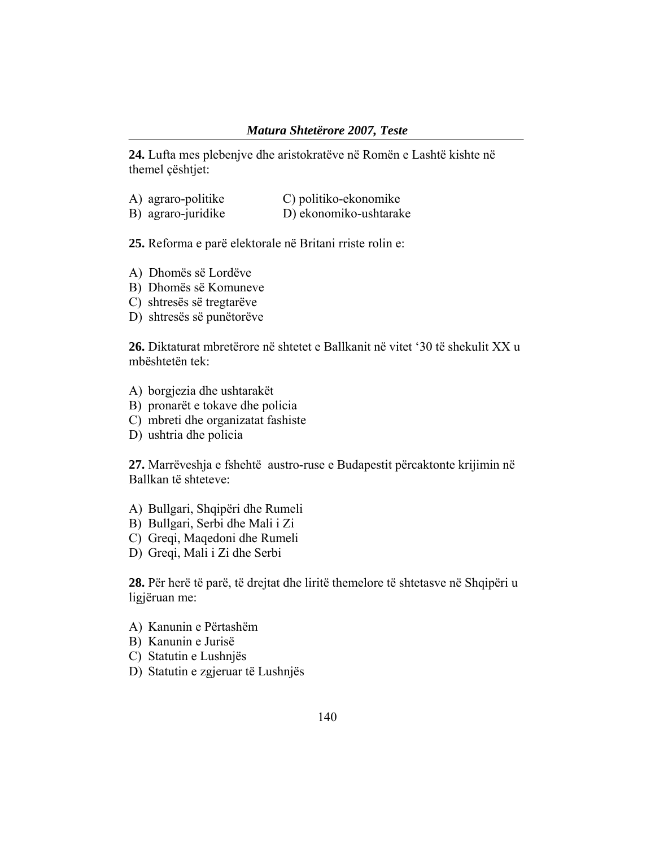**24.** Lufta mes plebenjve dhe aristokratëve në Romën e Lashtë kishte në themel çështjet:

| A) agraro-politike | C) politiko-ekonomike  |
|--------------------|------------------------|
| B) agraro-juridike | D) ekonomiko-ushtarake |

**25.** Reforma e parë elektorale në Britani rriste rolin e:

- A) Dhomës së Lordëve
- B) Dhomës së Komuneve
- C) shtresës së tregtarëve
- D) shtresës së punëtorëve

**26.** Diktaturat mbretërore në shtetet e Ballkanit në vitet '30 të shekulit XX u mbështetën tek:

- A) borgjezia dhe ushtarakët
- B) pronarët e tokave dhe policia
- C) mbreti dhe organizatat fashiste
- D) ushtria dhe policia

**27.** Marrëveshja e fshehtë austro-ruse e Budapestit përcaktonte krijimin në Ballkan të shteteve:

- A) Bullgari, Shqipëri dhe Rumeli
- B) Bullgari, Serbi dhe Mali i Zi
- C) Greqi, Maqedoni dhe Rumeli
- D) Greqi, Mali i Zi dhe Serbi

**28.** Për herë të parë, të drejtat dhe liritë themelore të shtetasve në Shqipëri u ligjëruan me:

- A) Kanunin e Përtashëm
- B) Kanunin e Jurisë
- C) Statutin e Lushnjës
- D) Statutin e zgjeruar të Lushnjës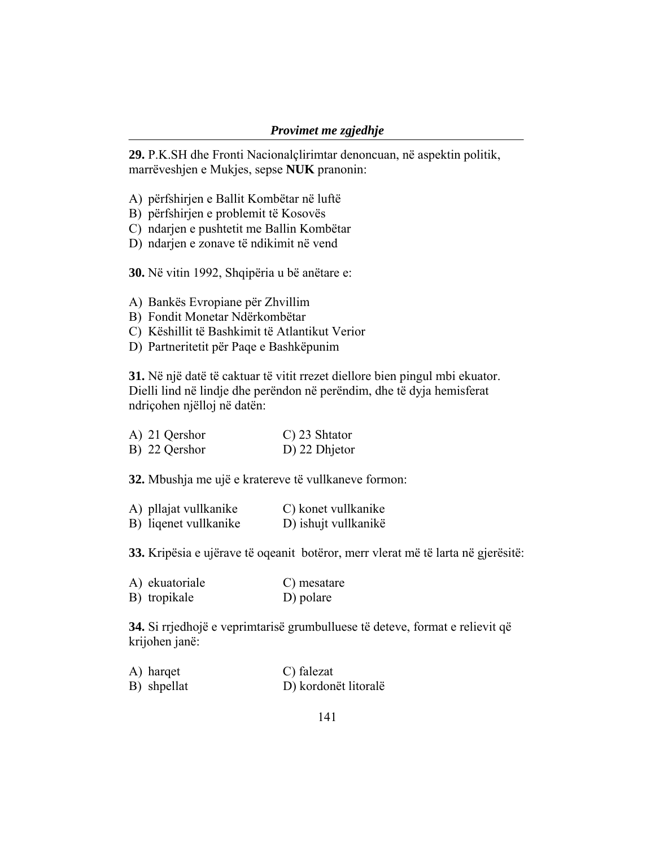**29.** P.K.SH dhe Fronti Nacionalçlirimtar denoncuan, në aspektin politik, marrëveshjen e Mukjes, sepse **NUK** pranonin:

- A) përfshirjen e Ballit Kombëtar në luftë
- B) përfshirjen e problemit të Kosovës
- C) ndarjen e pushtetit me Ballin Kombëtar
- D) ndarjen e zonave të ndikimit në vend

**30.** Në vitin 1992, Shqipëria u bë anëtare e:

- A) Bankës Evropiane për Zhvillim
- B) Fondit Monetar Ndërkombëtar
- C) Këshillit të Bashkimit të Atlantikut Verior
- D) Partneritetit për Paqe e Bashkëpunim

**31.** Në një datë të caktuar të vitit rrezet diellore bien pingul mbi ekuator. Dielli lind në lindje dhe perëndon në perëndim, dhe të dyja hemisferat ndriçohen njëlloj në datën:

| A) 21 Qershor | C) 23 Shtator |
|---------------|---------------|
| B) 22 Qershor | D) 22 Dhjetor |

**32.** Mbushja me ujë e kratereve të vullkaneve formon:

| A) pllajat vullkanike | C) konet vullkanike  |
|-----------------------|----------------------|
| B) liqenet vullkanike | D) ishujt vullkanikë |

**33.** Kripësia e ujërave të oqeanit botëror, merr vlerat më të larta në gjerësitë:

| A) ekuatoriale | C) mesatare |
|----------------|-------------|
| B) tropikale   | D) polare   |

**34.** Si rrjedhojë e veprimtarisë grumbulluese të deteve, format e relievit që krijohen janë:

A) harqet C) falezat B) shpellat D) kordonët litoralë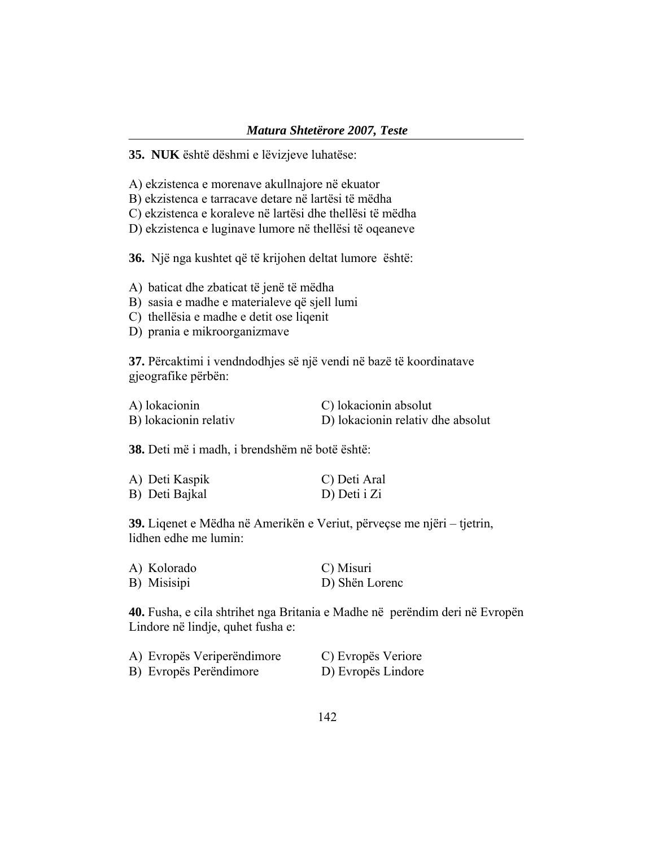**35. NUK** është dëshmi e lëvizjeve luhatëse:

A) ekzistenca e morenave akullnajore në ekuator

B) ekzistenca e tarracave detare në lartësi të mëdha

C) ekzistenca e koraleve në lartësi dhe thellësi të mëdha

D) ekzistenca e luginave lumore në thellësi të oqeaneve

**36.** Një nga kushtet që të krijohen deltat lumore është:

A) baticat dhe zbaticat të jenë të mëdha

B) sasia e madhe e materialeve që sjell lumi

C) thellësia e madhe e detit ose liqenit

D) prania e mikroorganizmave

**37.** Përcaktimi i vendndodhjes së një vendi në bazë të koordinatave gjeografike përbën:

| A) lokacionin         | C) lokacionin absolut             |
|-----------------------|-----------------------------------|
| B) lokacionin relativ | D) lokacionin relativ dhe absolut |

**38.** Deti më i madh, i brendshëm në botë është:

| A) Deti Kaspik | C) Deti Aral |
|----------------|--------------|
| B) Deti Bajkal | D) Deti i Zi |

**39.** Liqenet e Mëdha në Amerikën e Veriut, përveçse me njëri – tjetrin, lidhen edhe me lumin:

| A) Kolorado | C) Misuri      |
|-------------|----------------|
| B) Misisipi | D) Shën Lorenc |

**40.** Fusha, e cila shtrihet nga Britania e Madhe në perëndim deri në Evropën Lindore në lindje, quhet fusha e:

| A) Evropës Veriperëndimore | C) Evropës Veriore |
|----------------------------|--------------------|
| B) Evropës Perëndimore     | D) Evropës Lindore |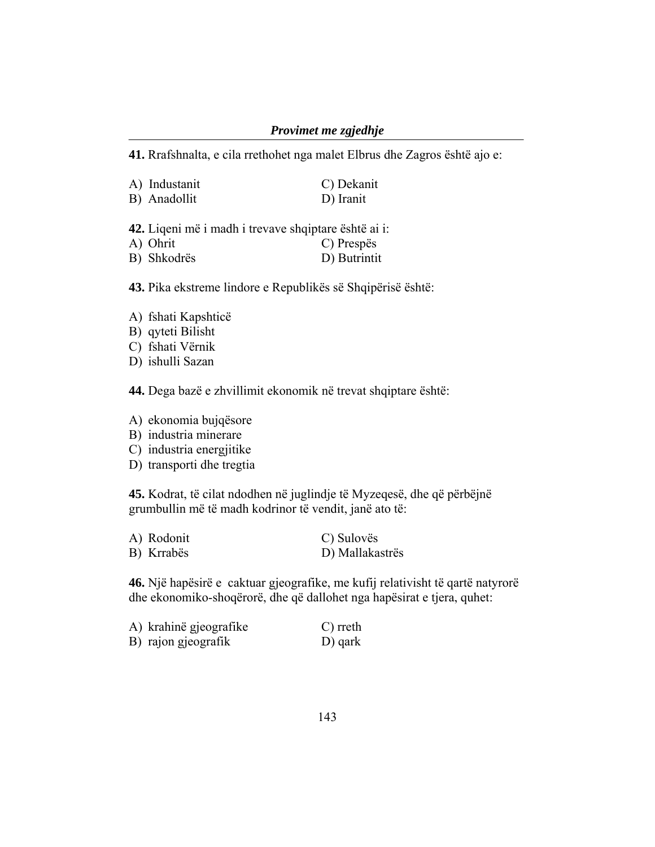#### *Provimet me zgjedhje*

**41.** Rrafshnalta, e cila rrethohet nga malet Elbrus dhe Zagros është ajo e:

| A) Industanit | C) Dekanit |
|---------------|------------|
| B) Anadollit  | D) Iranit  |

**42.** Liqeni më i madh i trevave shqiptare është ai i:  $\bigcap$  Dragnäg

| A) UIIII    | $\cup$ Prespes |
|-------------|----------------|
| B) Shkodrës | D) Butrintit   |

**43.** Pika ekstreme lindore e Republikës së Shqipërisë është:

- A) fshati Kapshticë
- B) qyteti Bilisht
- C) fshati Vërnik
- D) ishulli Sazan

**44.** Dega bazë e zhvillimit ekonomik në trevat shqiptare është:

A) ekonomia bujqësore

- B) industria minerare
- C) industria energjitike
- D) transporti dhe tregtia

**45.** Kodrat, të cilat ndodhen në juglindje të Myzeqesë, dhe që përbëjnë grumbullin më të madh kodrinor të vendit, janë ato të:

| A) Rodonit | C) Sulovës      |
|------------|-----------------|
| B) Krrabës | D) Mallakastrës |

**46.** Një hapësirë e caktuar gjeografike, me kufij relativisht të qartë natyrorë dhe ekonomiko-shoqërorë, dhe që dallohet nga hapësirat e tjera, quhet:

| A) krahinë gjeografike | C) rreth |
|------------------------|----------|
| B) rajon gjeografik    | D) qark  |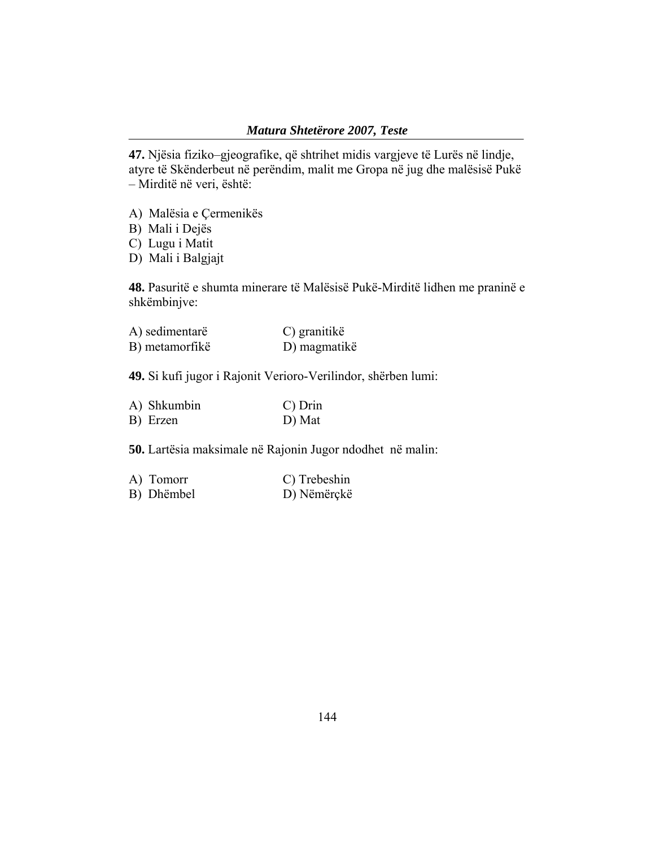**47.** Njësia fiziko–gjeografike, që shtrihet midis vargjeve të Lurës në lindje, atyre të Skënderbeut në perëndim, malit me Gropa në jug dhe malësisë Pukë – Mirditë në veri, është:

- A) Malësia e Çermenikës
- B) Mali i Dejës
- C) Lugu i Matit
- D) Mali i Balgjajt

**48.** Pasuritë e shumta minerare të Malësisë Pukë-Mirditë lidhen me praninë e shkëmbinjve:

| A) sedimentarë | C) granitikë |
|----------------|--------------|
| B) metamorfikë | D) magmatikë |

**49.** Si kufi jugor i Rajonit Verioro-Verilindor, shërben lumi:

| A) Shkumbin | $C$ ) Drin |
|-------------|------------|
| B) Erzen    | D) Mat     |

**50.** Lartësia maksimale në Rajonin Jugor ndodhet në malin:

| A) Tomorr  | C) Trebeshin |
|------------|--------------|
| B) Dhëmbel | D) Nëmërçkë  |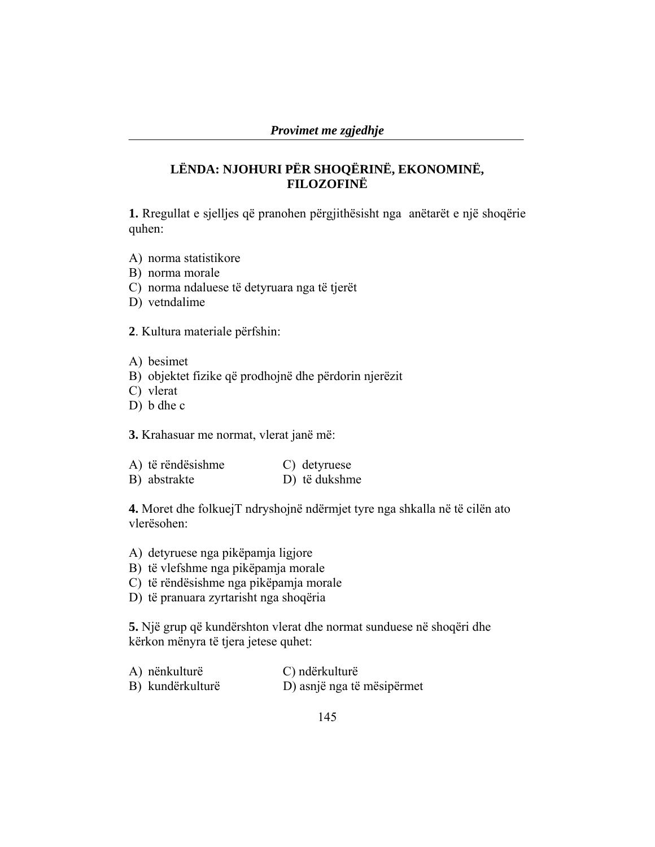## **LËNDA: NJOHURI PËR SHOQËRINË, EKONOMINË, FILOZOFINË**

**1.** Rregullat e sjelljes që pranohen përgjithësisht nga anëtarët e një shoqërie quhen:

- A) norma statistikore
- B) norma morale
- C) norma ndaluese të detyruara nga të tjerët
- D) vetndalime

**2**. Kultura materiale përfshin:

- A) besimet
- B) objektet fizike që prodhojnë dhe përdorin njerëzit
- C) vlerat
- D) b dhe c

**3.** Krahasuar me normat, vlerat janë më:

| A) të rëndësishme | C) detyruese  |
|-------------------|---------------|
| B) abstrakte      | D) të dukshme |

**4.** Moret dhe folkuejT ndryshojnë ndërmjet tyre nga shkalla në të cilën ato vlerësohen:

- A) detyruese nga pikëpamja ligjore
- B) të vlefshme nga pikëpamja morale
- C) të rëndësishme nga pikëpamja morale
- D) të pranuara zyrtarisht nga shoqëria

**5.** Një grup që kundërshton vlerat dhe normat sunduese në shoqëri dhe kërkon mënyra të tjera jetese quhet:

| A) nënkulturë    | C) ndërkulturë             |
|------------------|----------------------------|
| B) kundërkulturë | D) asnjë nga të mësipërmet |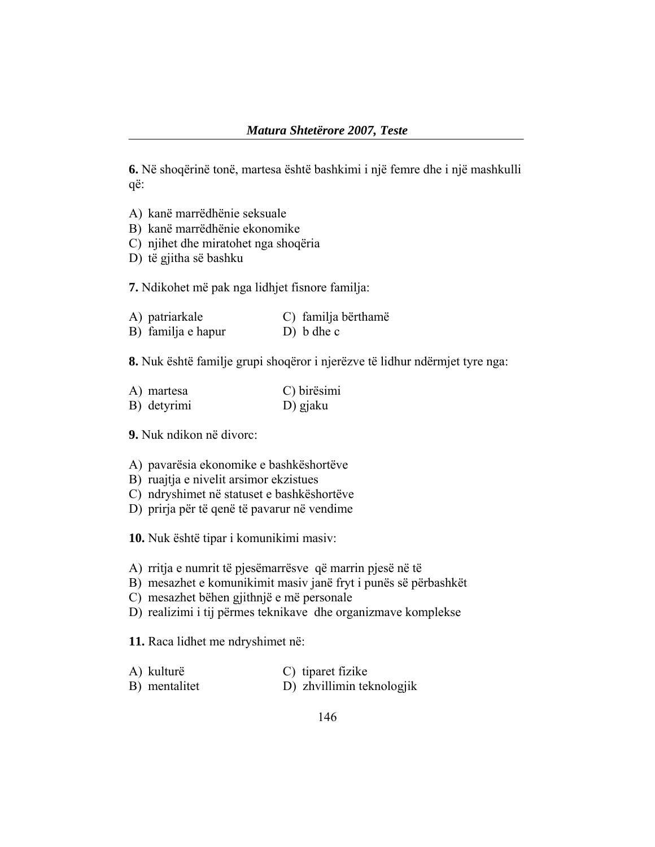**6.** Në shoqërinë tonë, martesa është bashkimi i një femre dhe i një mashkulli që:

- A) kanë marrëdhënie seksuale
- B) kanë marrëdhënie ekonomike
- C) njihet dhe miratohet nga shoqëria
- D) të gjitha së bashku

**7.** Ndikohet më pak nga lidhjet fisnore familja:

| A) patriarkale     | C) familja bërthamë |
|--------------------|---------------------|
| B) familja e hapur | $D)$ b dhe c        |

**8.** Nuk është familje grupi shoqëror i njerëzve të lidhur ndërmjet tyre nga:

| A) martesa  | C) birësimi |
|-------------|-------------|
| B) detyrimi | D) gjaku    |

**9.** Nuk ndikon në divorc:

- A) pavarësia ekonomike e bashkëshortëve
- B) ruajtja e nivelit arsimor ekzistues
- C) ndryshimet në statuset e bashkëshortëve
- D) prirja për të qenë të pavarur në vendime

**10.** Nuk është tipar i komunikimi masiv:

- A) rritja e numrit të pjesëmarrësve që marrin pjesë në të
- B) mesazhet e komunikimit masiv janë fryt i punës së përbashkët
- C) mesazhet bëhen gjithnjë e më personale
- D) realizimi i tij përmes teknikave dhe organizmave komplekse

**11.** Raca lidhet me ndryshimet në:

- A) kulturë C) tiparet fizike
- B) mentalitet D) zhvillimin teknologjik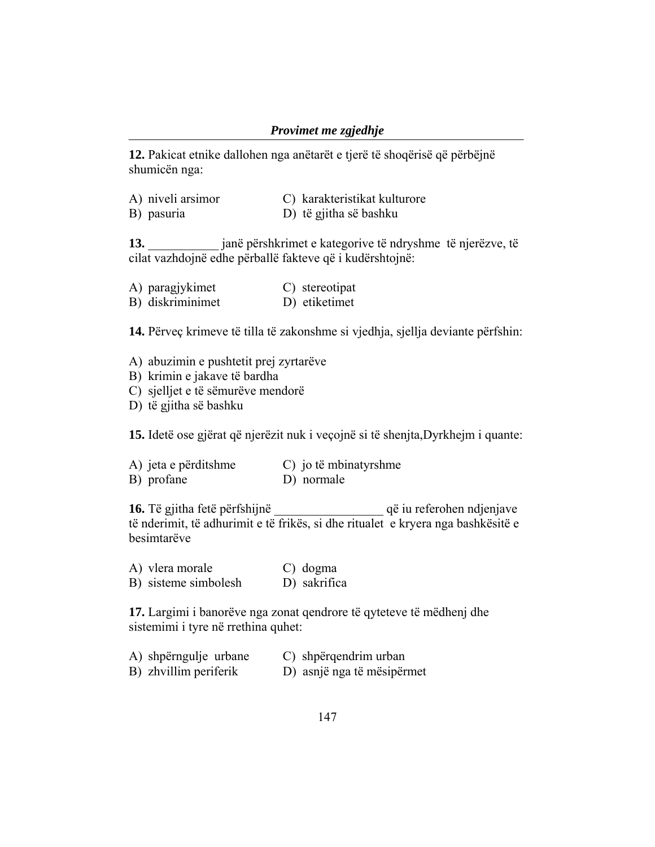#### *Provimet me zgjedhje*

**12.** Pakicat etnike dallohen nga anëtarët e tjerë të shoqërisë që përbëjnë shumicën nga:

| A) niveli arsimor | C) karakteristikat kulturore |
|-------------------|------------------------------|
|-------------------|------------------------------|

B) pasuria D) të gjitha së bashku

**13.** \_\_\_\_\_\_\_\_\_\_\_ janë përshkrimet e kategorive të ndryshme të njerëzve, të cilat vazhdojnë edhe përballë fakteve që i kudërshtojnë:

| A) paragjykimet  | C) stereotipat |
|------------------|----------------|
| B) diskriminimet | D) etiketimet  |

**14.** Përveç krimeve të tilla të zakonshme si vjedhja, sjellja deviante përfshin:

- A) abuzimin e pushtetit prej zyrtarëve
- B) krimin e jakave të bardha
- C) sjelljet e të sëmurëve mendorë
- D) të gjitha së bashku

**15.** Idetë ose gjërat që njerëzit nuk i veçojnë si të shenjta,Dyrkhejm i quante:

| A) jeta e përditshme | C) jo të mbinatyrshme |
|----------------------|-----------------------|
| B) profane           | D) normale            |

**16.** Të gjitha fetë përfshijnë që iu referohen ndjenjave të nderimit, të adhurimit e të frikës, si dhe ritualet e kryera nga bashkësitë e besimtarëve

| A) vlera morale      | C) dogma     |
|----------------------|--------------|
| B) sisteme simbolesh | D) sakrifica |

**17.** Largimi i banorëve nga zonat qendrore të qyteteve të mëdhenj dhe sistemimi i tyre në rrethina quhet:

| A) shpërngulje urbane | C) shpërqendrim urban      |
|-----------------------|----------------------------|
| B) zhvillim periferik | D) asnjë nga të mësipërmet |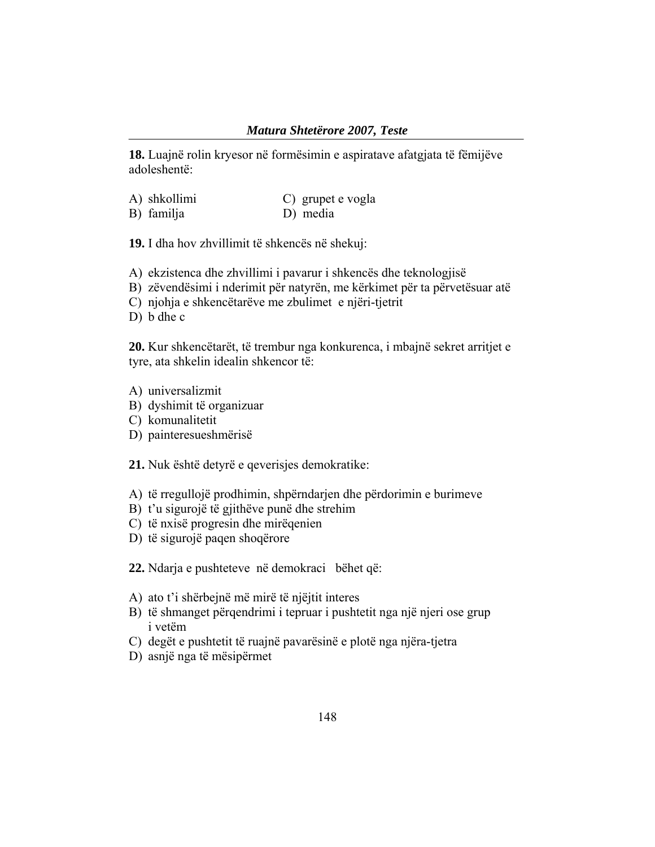**18.** Luajnë rolin kryesor në formësimin e aspiratave afatgjata të fëmijëve adoleshentë:

| A) shkollimi | C) grupet e vogla |
|--------------|-------------------|
| B) familja   | D) media          |

**19.** I dha hov zhvillimit të shkencës në shekuj:

- A) ekzistenca dhe zhvillimi i pavarur i shkencës dhe teknologjisë
- B) zëvendësimi i nderimit për natyrën, me kërkimet për ta përvetësuar atë
- C) njohja e shkencëtarëve me zbulimet e njëri-tjetrit
- D) b dhe c

**20.** Kur shkencëtarët, të trembur nga konkurenca, i mbajnë sekret arritjet e tyre, ata shkelin idealin shkencor të:

- A) universalizmit
- B) dyshimit të organizuar
- C) komunalitetit
- D) painteresueshmërisë

**21.** Nuk është detyrë e qeverisjes demokratike:

- A) të rregullojë prodhimin, shpërndarjen dhe përdorimin e burimeve
- B) t'u sigurojë të gjithëve punë dhe strehim
- C) të nxisë progresin dhe mirëqenien
- D) të sigurojë paqen shoqërore

**22.** Ndarja e pushteteve në demokraci bëhet që:

- A) ato t'i shërbejnë më mirë të njëjtit interes
- B) të shmanget përqendrimi i tepruar i pushtetit nga një njeri ose grup i vetëm
- C) degët e pushtetit të ruajnë pavarësinë e plotë nga njëra-tjetra
- D) asnjë nga të mësipërmet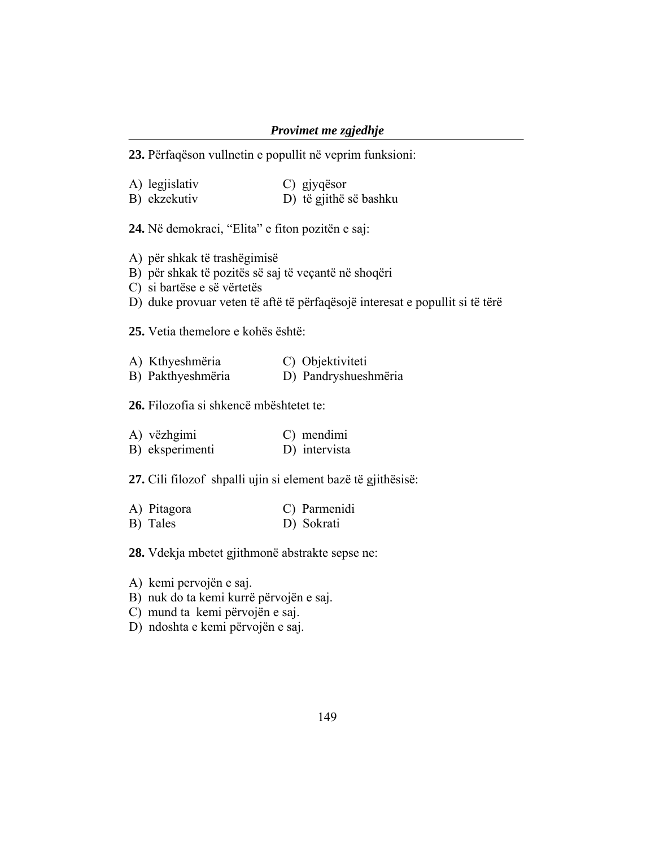### *Provimet me zgjedhje*

**23.** Përfaqëson vullnetin e popullit në veprim funksioni:

| A) legjislativ | C) gjyqësor            |
|----------------|------------------------|
| B) ekzekutiv   | D) të gjithë së bashku |

**24.** Në demokraci, "Elita" e fiton pozitën e saj:

- A) për shkak të trashëgimisë
- B) për shkak të pozitës së saj të veçantë në shoqëri
- C) si bartëse e së vërtetës
- D) duke provuar veten të aftë të përfaqësojë interesat e popullit si të tërë

**25.** Vetia themelore e kohës është:

| A) Kthyeshmëria   | C) Objektiviteti     |
|-------------------|----------------------|
| B) Pakthyeshmëria | D) Pandryshueshmëria |

**26.** Filozofia si shkencë mbështetet te:

| A) vëzhgimi     | C) mendimi    |
|-----------------|---------------|
| B) eksperimenti | D) intervista |

**27.** Cili filozof shpalli ujin si element bazë të gjithësisë:

| A) Pitagora | C) Parmenidi |
|-------------|--------------|
| B) Tales    | D) Sokrati   |

**28.** Vdekja mbetet gjithmonë abstrakte sepse ne:

- A) kemi pervojën e saj.
- B) nuk do ta kemi kurrë përvojën e saj.
- C) mund ta kemi përvojën e saj.
- D) ndoshta e kemi përvojën e saj.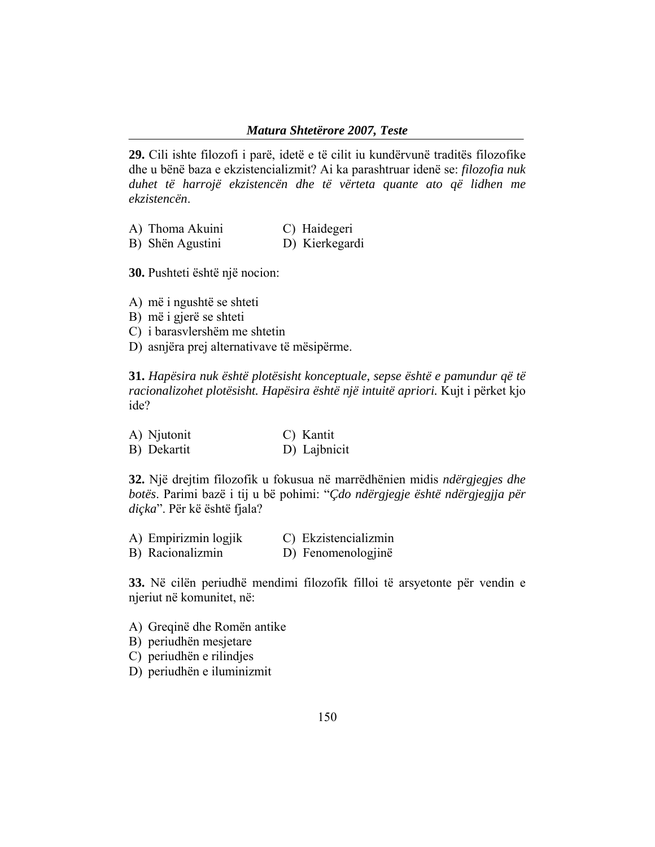**29.** Cili ishte filozofi i parë, idetë e të cilit iu kundërvunë traditës filozofike dhe u bënë baza e ekzistencializmit? Ai ka parashtruar idenë se: *filozofia nuk duhet të harrojë ekzistencën dhe të vërteta quante ato që lidhen me ekzistencën*.

| A) Thoma Akuini  | C) Haidegeri   |
|------------------|----------------|
| B) Shën Agustini | D) Kierkegardi |

**30.** Pushteti është një nocion:

A) më i ngushtë se shteti

- B) më i gjerë se shteti
- C) i barasvlershëm me shtetin
- D) asnjëra prej alternativave të mësipërme.

**31.** *Hapësira nuk është plotësisht konceptuale, sepse është e pamundur që të racionalizohet plotësisht. Hapësira është një intuitë apriori.* Kujt i përket kjo ide?

| A) Njutonit | C) Kantit    |
|-------------|--------------|
| B) Dekartit | D) Lajbnicit |

**32.** Një drejtim filozofik u fokusua në marrëdhënien midis *ndërgjegjes dhe botës*. Parimi bazë i tij u bë pohimi: "*Çdo ndërgjegje është ndërgjegjja për diçka*". Për kë është fjala?

| A) Empirizmin logjik | C) Ekzistencializmin |
|----------------------|----------------------|
| B) Racionalizmin     | D) Fenomenologjinë   |

**33.** Në cilën periudhë mendimi filozofik filloi të arsyetonte për vendin e njeriut në komunitet, në:

- A) Greqinë dhe Romën antike
- B) periudhën mesjetare
- C) periudhën e rilindjes
- D) periudhën e iluminizmit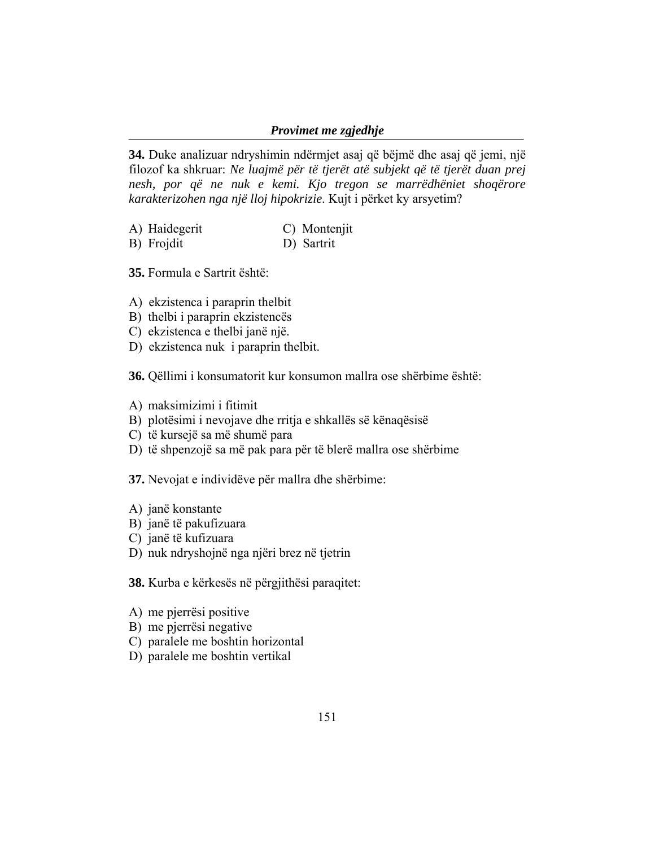#### *Provimet me zgjedhje*

**34.** Duke analizuar ndryshimin ndërmjet asaj që bëjmë dhe asaj që jemi, një filozof ka shkruar: *Ne luajmë për të tjerët atë subjekt që të tjerët duan prej nesh, por që ne nuk e kemi. Kjo tregon se marrëdhëniet shoqërore karakterizohen nga një lloj hipokrizie*. Kujt i përket ky arsyetim?

- A) Haidegerit C) Montenjit<br>B) Froidit D) Sartrit
- B) Frojdit

**35.** Formula e Sartrit është:

- A) ekzistenca i paraprin thelbit
- B) thelbi i paraprin ekzistencës
- C) ekzistenca e thelbi janë një.
- D) ekzistenca nuk i paraprin thelbit.

**36.** Qëllimi i konsumatorit kur konsumon mallra ose shërbime është:

- A) maksimizimi i fitimit
- B) plotësimi i nevojave dhe rritja e shkallës së kënaqësisë
- C) të kursejë sa më shumë para
- D) të shpenzojë sa më pak para për të blerë mallra ose shërbime

**37.** Nevojat e individëve për mallra dhe shërbime:

- A) janë konstante
- B) janë të pakufizuara
- C) janë të kufizuara
- D) nuk ndryshojnë nga njëri brez në tjetrin

**38.** Kurba e kërkesës në përgjithësi paraqitet:

- A) me pjerrësi positive
- B) me pjerrësi negative
- C) paralele me boshtin horizontal
- D) paralele me boshtin vertikal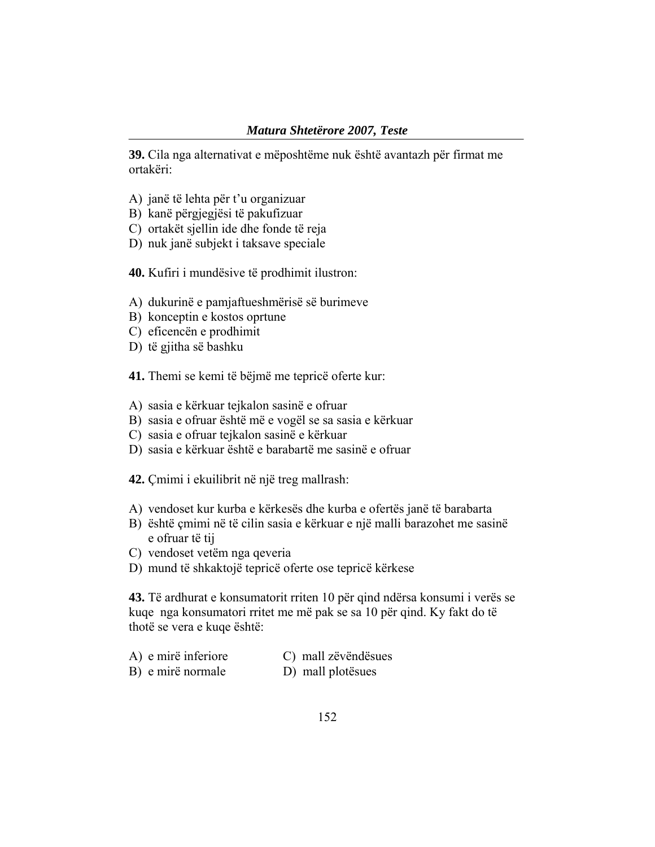**39.** Cila nga alternativat e mëposhtëme nuk është avantazh për firmat me ortakëri:

- A) janë të lehta për t'u organizuar
- B) kanë përgjegjësi të pakufizuar
- C) ortakët sjellin ide dhe fonde të reja
- D) nuk janë subjekt i taksave speciale

**40.** Kufiri i mundësive të prodhimit ilustron:

- A) dukurinë e pamjaftueshmërisë së burimeve
- B) konceptin e kostos oprtune
- C) eficencën e prodhimit
- D) të gjitha së bashku

**41.** Themi se kemi të bëjmë me tepricë oferte kur:

- A) sasia e kërkuar tejkalon sasinë e ofruar
- B) sasia e ofruar është më e vogël se sa sasia e kërkuar
- C) sasia e ofruar tejkalon sasinë e kërkuar
- D) sasia e kërkuar është e barabartë me sasinë e ofruar

**42.** Çmimi i ekuilibrit në një treg mallrash:

- A) vendoset kur kurba e kërkesës dhe kurba e ofertës janë të barabarta
- B) është çmimi në të cilin sasia e kërkuar e një malli barazohet me sasinë e ofruar të tij
- C) vendoset vetëm nga qeveria
- D) mund të shkaktojë tepricë oferte ose tepricë kërkese

**43.** Të ardhurat e konsumatorit rriten 10 për qind ndërsa konsumi i verës se kuqe nga konsumatori rritet me më pak se sa 10 për qind. Ky fakt do të thotë se vera e kuqe është:

| A) e mirë inferiore | C) mall zëvëndësues |
|---------------------|---------------------|
| B) e mirë normale   | D) mall plotesues   |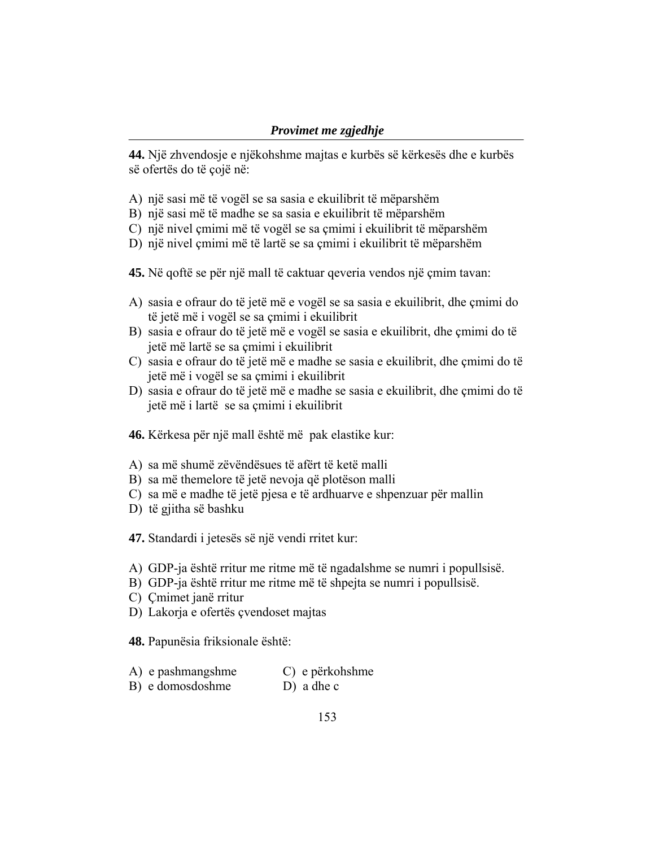**44.** Një zhvendosje e njëkohshme majtas e kurbës së kërkesës dhe e kurbës së ofertës do të cojë në:

- A) një sasi më të vogël se sa sasia e ekuilibrit të mëparshëm
- B) një sasi më të madhe se sa sasia e ekuilibrit të mëparshëm
- C) një nivel çmimi më të vogël se sa çmimi i ekuilibrit të mëparshëm
- D) një nivel çmimi më të lartë se sa çmimi i ekuilibrit të mëparshëm
- **45.** Në qoftë se për një mall të caktuar qeveria vendos një çmim tavan:
- A) sasia e ofraur do të jetë më e vogël se sa sasia e ekuilibrit, dhe çmimi do të jetë më i vogël se sa çmimi i ekuilibrit
- B) sasia e ofraur do të jetë më e vogël se sasia e ekuilibrit, dhe çmimi do të jetë më lartë se sa çmimi i ekuilibrit
- C) sasia e ofraur do të jetë më e madhe se sasia e ekuilibrit, dhe çmimi do të jetë më i vogël se sa çmimi i ekuilibrit
- D) sasia e ofraur do të jetë më e madhe se sasia e ekuilibrit, dhe çmimi do të jetë më i lartë se sa çmimi i ekuilibrit
- **46.** Kërkesa për një mall është më pak elastike kur:
- A) sa më shumë zëvëndësues të afërt të ketë malli
- B) sa më themelore të jetë nevoja që plotëson malli
- C) sa më e madhe të jetë pjesa e të ardhuarve e shpenzuar për mallin
- D) të gjitha së bashku
- **47.** Standardi i jetesës së një vendi rritet kur:
- A) GDP-ja është rritur me ritme më të ngadalshme se numri i popullsisë.
- B) GDP-ja është rritur me ritme më të shpejta se numri i popullsisë.
- C) Çmimet janë rritur
- D) Lakorja e ofertës çvendoset majtas

**48.** Papunësia friksionale është:

- A) e pashmangshme C) e përkohshme
- B) e domosdoshme D) a dhe c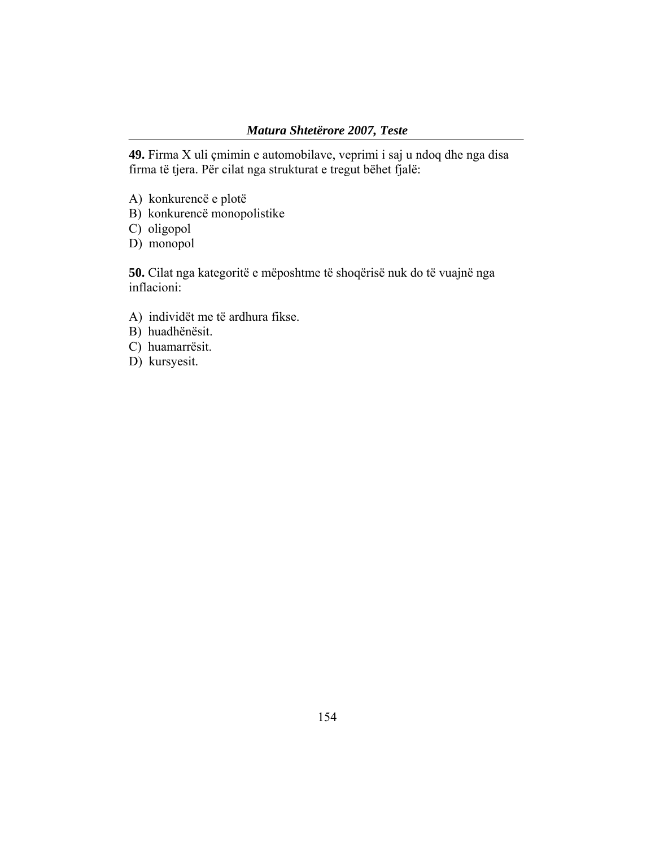**49.** Firma X uli çmimin e automobilave, veprimi i saj u ndoq dhe nga disa firma të tjera. Për cilat nga strukturat e tregut bëhet fjalë:

- A) konkurencë e plotë
- B) konkurencë monopolistike
- C) oligopol
- D) monopol

**50.** Cilat nga kategoritë e mëposhtme të shoqërisë nuk do të vuajnë nga inflacioni:

- A) individët me të ardhura fikse.
- B) huadhënësit.
- C) huamarrësit.
- D) kursyesit.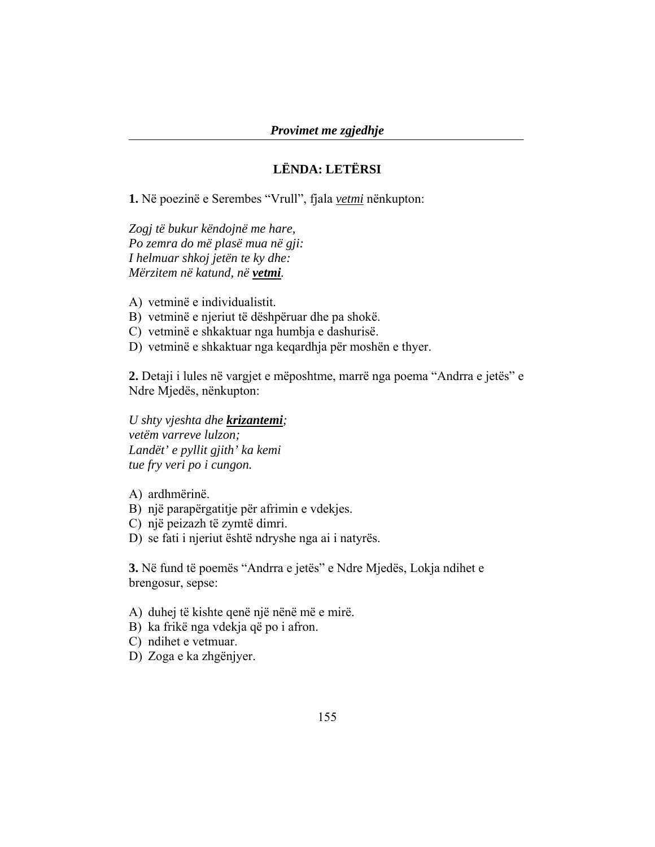## **LËNDA: LETËRSI**

**1.** Në poezinë e Serembes "Vrull", fjala *vetmi* nënkupton:

*Zogj të bukur këndojnë me hare, Po zemra do më plasë mua në gji: I helmuar shkoj jetën te ky dhe: Mërzitem në katund, në vetmi.* 

- A) vetminë e individualistit.
- B) vetminë e njeriut të dëshpëruar dhe pa shokë.
- C) vetminë e shkaktuar nga humbja e dashurisë.
- D) vetminë e shkaktuar nga keqardhja për moshën e thyer.

**2.** Detaji i lules në vargjet e mëposhtme, marrë nga poema "Andrra e jetës" e Ndre Mjedës, nënkupton:

#### *U shty vjeshta dhe krizantemi;*

*vetëm varreve lulzon; Landët' e pyllit gjith' ka kemi tue fry veri po i cungon.* 

A) ardhmërinë.

- B) një parapërgatitje për afrimin e vdekjes.
- C) një peizazh të zymtë dimri.
- D) se fati i njeriut është ndryshe nga ai i natyrës.

**3.** Në fund të poemës "Andrra e jetës" e Ndre Mjedës, Lokja ndihet e brengosur, sepse:

- A) duhej të kishte qenë një nënë më e mirë.
- B) ka frikë nga vdekja që po i afron.
- C) ndihet e vetmuar.
- D) Zoga e ka zhgënjyer.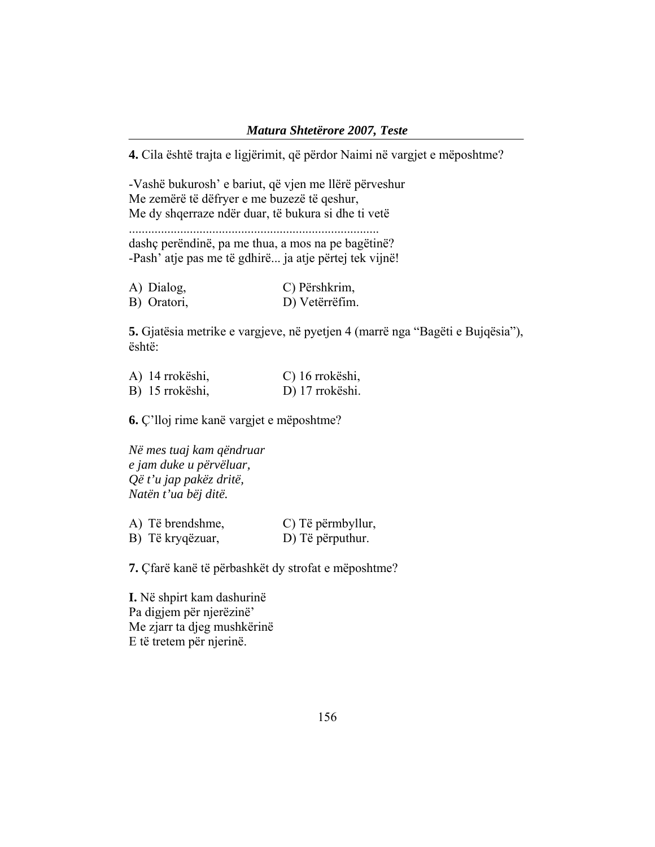#### *Matura Shtetërore 2007, Teste*

**4.** Cila është trajta e ligjërimit, që përdor Naimi në vargjet e mëposhtme?

-Vashë bukurosh' e bariut, që vjen me llërë përveshur Me zemërë të dëfryer e me buzezë të qeshur,

Me dy shqerraze ndër duar, të bukura si dhe ti vetë

..............................................................................

dashç perëndinë, pa me thua, a mos na pe bagëtinë? -Pash' atje pas me të gdhirë... ja atje përtej tek vijnë!

| A) Dialog,  | C) Përshkrim,  |
|-------------|----------------|
| B) Oratori, | D) Vetërrëfim. |

**5.** Gjatësia metrike e vargjeve, në pyetjen 4 (marrë nga "Bagëti e Bujqësia"), është:

| A) 14 rrokëshi, | C) 16 rrokëshi, |
|-----------------|-----------------|
| B) 15 rrokëshi, | D) 17 rrokëshi. |

**6.** Ç'lloj rime kanë vargjet e mëposhtme?

*Në mes tuaj kam qëndruar e jam duke u përvëluar, Që t'u jap pakëz dritë, Natën t'ua bëj ditë.* 

| A) Të brendshme, | C) Të përmbyllur, |
|------------------|-------------------|
| B) Të kryqëzuar, | D) Të përputhur.  |

**7.** Çfarë kanë të përbashkët dy strofat e mëposhtme?

**I.** Në shpirt kam dashurinë Pa digjem për njerëzinë' Me zjarr ta djeg mushkërinë E të tretem për njerinë.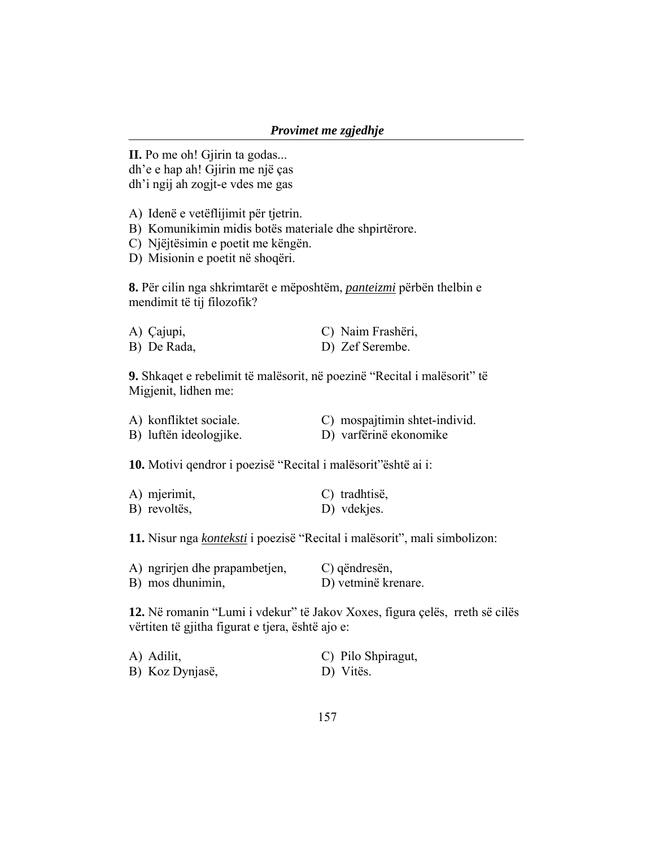**II.** Po me oh! Gjirin ta godas... dh'e e hap ah! Gjirin me një ças dh'i ngij ah zogjt-e vdes me gas

A) Idenë e vetëflijimit për tjetrin.

B) Komunikimin midis botës materiale dhe shpirtërore.

C) Njëjtësimin e poetit me këngën.

D) Misionin e poetit në shoqëri.

**8.** Për cilin nga shkrimtarët e mëposhtëm, *panteizmi* përbën thelbin e mendimit të tij filozofik?

| A) Çajupi,  | C) Naim Frashëri, |
|-------------|-------------------|
| B) De Rada, | D) Zef Serembe.   |

**9.** Shkaqet e rebelimit të malësorit, në poezinë "Recital i malësorit" të Migjenit, lidhen me:

| A) konfliktet sociale. | C) mospajtimin shtet-individ. |
|------------------------|-------------------------------|
| B) luftën ideologjike. | D) varfërinë ekonomike        |

**10.** Motivi qendror i poezisë "Recital i malësorit"është ai i:

| A) mjerimit, | C) tradhtisë, |
|--------------|---------------|
| B) revoltës, | D) vdekjes.   |

**11.** Nisur nga *konteksti* i poezisë "Recital i malësorit", mali simbolizon:

| A) ngrirjen dhe prapambetjen, | C) qëndresën,       |
|-------------------------------|---------------------|
| B) mos dhunimin,              | D) vetminë krenare. |

**12.** Në romanin "Lumi i vdekur" të Jakov Xoxes, figura çelës, rreth së cilës vërtiten të gjitha figurat e tjera, është ajo e:

| A) Adilit,      | C) Pilo Shpiragut, |
|-----------------|--------------------|
| B) Koz Dynjasë, | D) Vitës.          |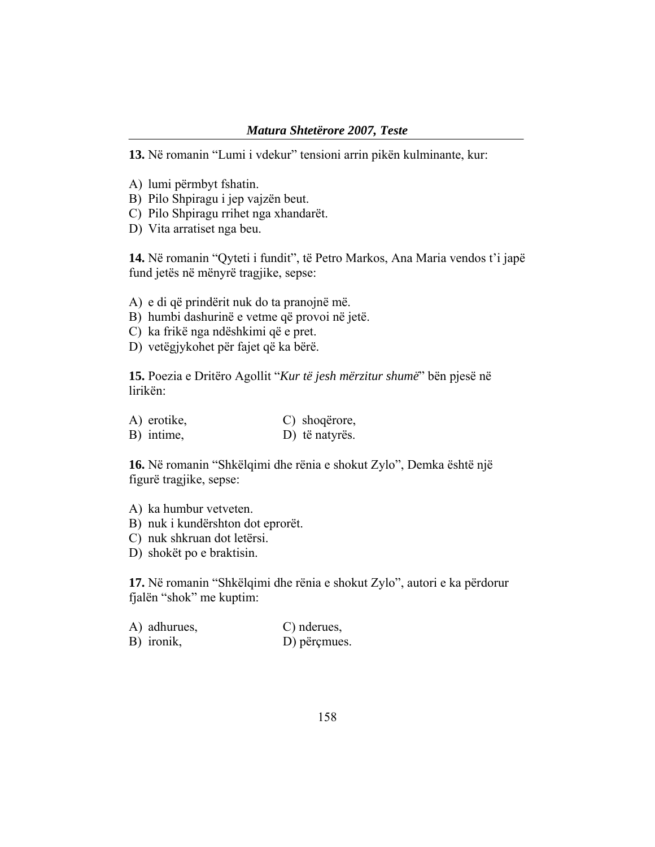#### *Matura Shtetërore 2007, Teste*

**13.** Në romanin "Lumi i vdekur" tensioni arrin pikën kulminante, kur:

- A) lumi përmbyt fshatin.
- B) Pilo Shpiragu i jep vajzën beut.
- C) Pilo Shpiragu rrihet nga xhandarët.
- D) Vita arratiset nga beu.

**14.** Në romanin "Qyteti i fundit", të Petro Markos, Ana Maria vendos t'i japë fund jetës në mënyrë tragjike, sepse:

- A) e di që prindërit nuk do ta pranojnë më.
- B) humbi dashurinë e vetme që provoi në jetë.
- C) ka frikë nga ndëshkimi që e pret.
- D) vetëgjykohet për fajet që ka bërë.

**15.** Poezia e Dritëro Agollit "*Kur të jesh mërzitur shumë*" bën pjesë në lirikën:

| A) erotike, | C) shoqërore,  |
|-------------|----------------|
| B) intime,  | D) të natyrës. |

**16.** Në romanin "Shkëlqimi dhe rënia e shokut Zylo", Demka është një figurë tragjike, sepse:

- A) ka humbur vetveten.
- B) nuk i kundërshton dot eprorët.
- C) nuk shkruan dot letërsi.
- D) shokët po e braktisin.

**17.** Në romanin "Shkëlqimi dhe rënia e shokut Zylo", autori e ka përdorur fjalën "shok" me kuptim:

| A) adhurues, | C) nderues,  |
|--------------|--------------|
| B) ironik,   | D) përçmues. |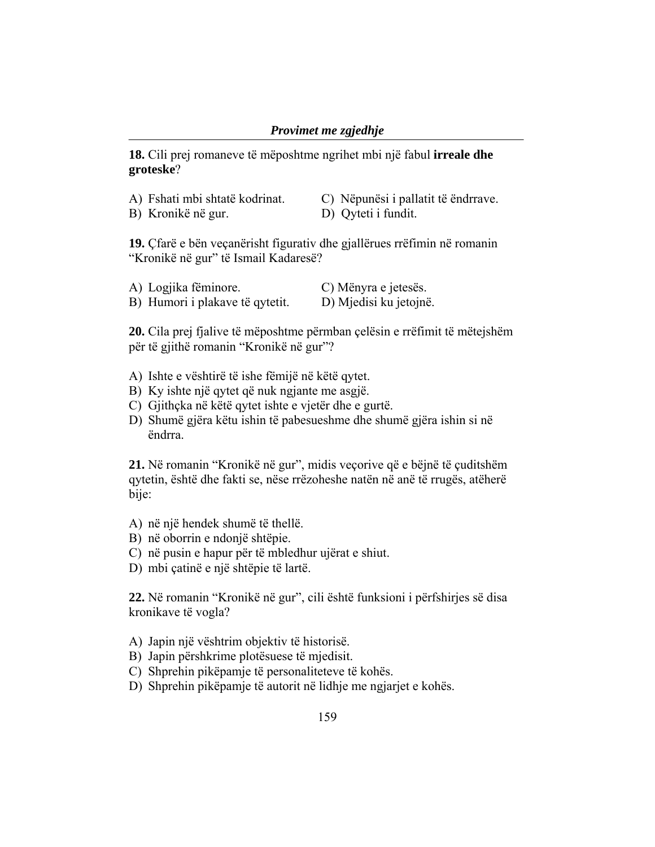**18.** Cili prej romaneve të mëposhtme ngrihet mbi një fabul **irreale dhe groteske**?

| A) Fshati mbi shtatë kodrinat. | C) Nëpunësi i pallatit të ëndrrave. |
|--------------------------------|-------------------------------------|
| B) Kronikë në gur.             | D) Qyteti i fundit.                 |

**19.** Çfarë e bën veçanërisht figurativ dhe gjallërues rrëfimin në romanin "Kronikë në gur" të Ismail Kadaresë?

| A) Logjika fëminore.            | C) Mënyra e jetesës.   |
|---------------------------------|------------------------|
| B) Humori i plakave të qytetit. | D) Mjedisi ku jetojnë. |

**20.** Cila prej fjalive të mëposhtme përmban çelësin e rrëfimit të mëtejshëm për të gjithë romanin "Kronikë në gur"?

- A) Ishte e vështirë të ishe fëmijë në këtë qytet.
- B) Ky ishte një qytet që nuk ngjante me asgjë.
- C) Gjithçka në këtë qytet ishte e vjetër dhe e gurtë.
- D) Shumë gjëra këtu ishin të pabesueshme dhe shumë gjëra ishin si në ëndrra.

**21.** Në romanin "Kronikë në gur", midis veçorive që e bëjnë të çuditshëm qytetin, është dhe fakti se, nëse rrëzoheshe natën në anë të rrugës, atëherë bije:

- A) në një hendek shumë të thellë.
- B) në oborrin e ndonjë shtëpie.
- C) në pusin e hapur për të mbledhur ujërat e shiut.
- D) mbi çatinë e një shtëpie të lartë.

**22.** Në romanin "Kronikë në gur", cili është funksioni i përfshirjes së disa kronikave të vogla?

- A) Japin një vështrim objektiv të historisë.
- B) Japin përshkrime plotësuese të mjedisit.
- C) Shprehin pikëpamje të personaliteteve të kohës.
- D) Shprehin pikëpamje të autorit në lidhje me ngjarjet e kohës.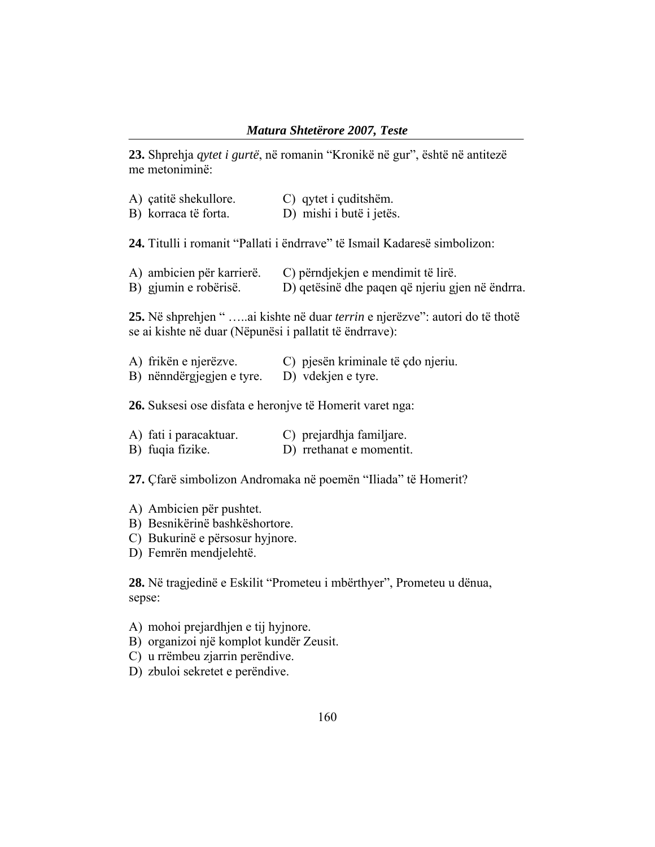**23.** Shprehja *qytet i gurtë*, në romanin "Kronikë në gur", është në antitezë me metoniminë:

| A) çatitë shekullore.<br>B) korraca të forta.      | C) qytet i çuditshëm.<br>D) mishi i butë i jetës.                                     |
|----------------------------------------------------|---------------------------------------------------------------------------------------|
|                                                    | 24. Titulli i romanit "Pallati i ëndrrave" të Ismail Kadaresë simbolizon:             |
| A) ambicien për karrierë.<br>B) gjumin e robërisë. | C) përndjekjen e mendimit të lirë.<br>D) qetësinë dhe paqen që njeriu gjen në ëndrra. |
|                                                    | 25. Në shprehjen " ai kishte në duar <i>terrin</i> e njerëzve": autori do të thotë    |

se ai kishte në duar (Nëpunësi i pallatit të ëndrrave):

| A) frikën e njerëzve.     | C) pjesën kriminale të çdo njeriu. |
|---------------------------|------------------------------------|
| B) nënndërgjegjen e tyre. | D) vdekjen e tyre.                 |

**26.** Suksesi ose disfata e heronjve të Homerit varet nga:

| A) fati i paracaktuar. | C) prejardhja familjare. |
|------------------------|--------------------------|
| B) fuqia fizike.       | D) rrethanat e momentit. |

**27.** Çfarë simbolizon Andromaka në poemën "Iliada" të Homerit?

- A) Ambicien për pushtet.
- B) Besnikërinë bashkëshortore.
- C) Bukurinë e përsosur hyjnore.
- D) Femrën mendjelehtë.

**28.** Në tragjedinë e Eskilit "Prometeu i mbërthyer", Prometeu u dënua, sepse:

- A) mohoi prejardhjen e tij hyjnore.
- B) organizoi një komplot kundër Zeusit.
- C) u rrëmbeu zjarrin perëndive.
- D) zbuloi sekretet e perëndive.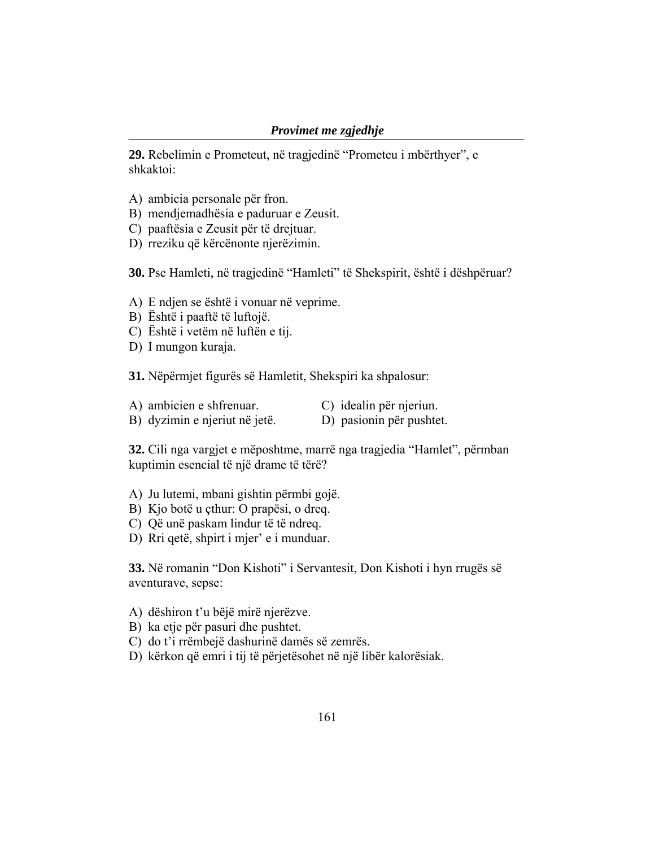**29.** Rebelimin e Prometeut, në tragjedinë "Prometeu i mbërthyer", e shkaktoi:

- A) ambicia personale për fron.
- B) mendjemadhësia e paduruar e Zeusit.
- C) paaftësia e Zeusit për të drejtuar.
- D) rreziku që kërcënonte njerëzimin.

**30.** Pse Hamleti, në tragjedinë "Hamleti" të Shekspirit, është i dëshpëruar?

- A) E ndjen se është i vonuar në veprime.
- B) Është i paaftë të luftojë.
- C) Është i vetëm në luftën e tij.
- D) I mungon kuraja.

**31.** Nëpërmjet figurës së Hamletit, Shekspiri ka shpalosur:

- A) ambicien e shfrenuar. C) idealin për njeriun.
- B) dyzimin e njeriut në jetë. D) pasionin për pushtet.

**32.** Cili nga vargjet e mëposhtme, marrë nga tragjedia "Hamlet", përmban kuptimin esencial të një drame të tërë?

- A) Ju lutemi, mbani gishtin përmbi gojë.
- B) Kjo botë u çthur: O prapësi, o dreq.
- C) Që unë paskam lindur të të ndreq.
- D) Rri qetë, shpirt i mjer' e i munduar.

**33.** Në romanin "Don Kishoti" i Servantesit, Don Kishoti i hyn rrugës së aventurave, sepse:

- A) dëshiron t'u bëjë mirë njerëzve.
- B) ka etje për pasuri dhe pushtet.
- C) do t'i rrëmbejë dashurinë damës së zemrës.
- D) kërkon që emri i tij të përjetësohet në një libër kalorësiak.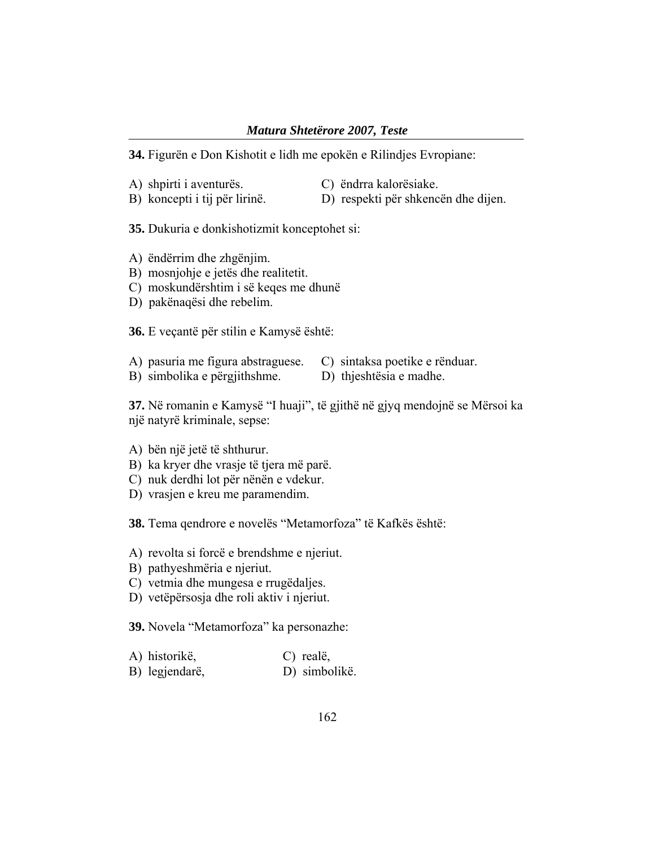**34.** Figurën e Don Kishotit e lidh me epokën e Rilindjes Evropiane:

- A) shpirti i aventurës. C) ëndrra kalorësiake.
- B) koncepti i tij për lirinë. D) respekti për shkencën dhe dijen.

**35.** Dukuria e donkishotizmit konceptohet si:

- A) ëndërrim dhe zhgënjim.
- B) mosnjohje e jetës dhe realitetit.
- C) moskundërshtim i së keqes me dhunë
- D) pakënaqësi dhe rebelim.

**36.** E veçantë për stilin e Kamysë është:

- A) pasuria me figura abstraguese. C) sintaksa poetike e rënduar.
- B) simbolika e përgjithshme. D) thjeshtësia e madhe.

**37.** Në romanin e Kamysë "I huaji", të gjithë në gjyq mendojnë se Mërsoi ka një natyrë kriminale, sepse:

A) bën një jetë të shthurur.

- B) ka kryer dhe vrasje të tjera më parë.
- C) nuk derdhi lot për nënën e vdekur.
- D) vrasjen e kreu me paramendim.

**38.** Tema qendrore e novelës "Metamorfoza" të Kafkës është:

- A) revolta si forcë e brendshme e njeriut.
- B) pathyeshmëria e njeriut.
- C) vetmia dhe mungesa e rrugëdaljes.
- D) vetëpërsosja dhe roli aktiv i njeriut.

**39.** Novela "Metamorfoza" ka personazhe:

| A) historikë,  | C) realë,     |
|----------------|---------------|
| B) legjendarë, | D) simbolikë. |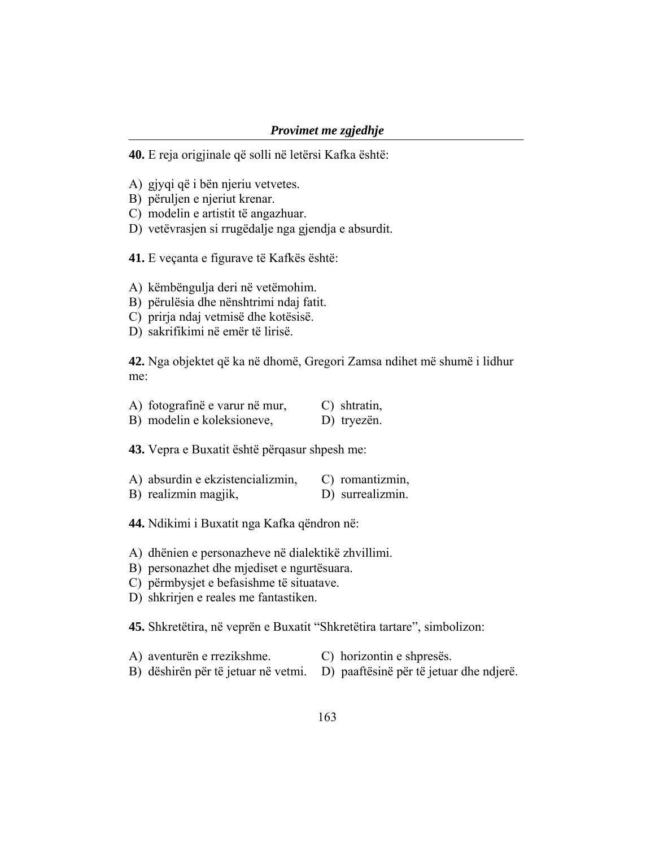#### *Provimet me zgjedhje*

**40.** E reja origjinale që solli në letërsi Kafka është:

- A) gjyqi që i bën njeriu vetvetes.
- B) përuljen e njeriut krenar.
- C) modelin e artistit të angazhuar.
- D) vetëvrasjen si rrugëdalje nga gjendja e absurdit.
- **41.** E veçanta e figurave të Kafkës është:

A) këmbëngulja deri në vetëmohim.

- B) përulësia dhe nënshtrimi ndaj fatit.
- C) prirja ndaj vetmisë dhe kotësisë.
- D) sakrifikimi në emër të lirisë.

**42.** Nga objektet që ka në dhomë, Gregori Zamsa ndihet më shumë i lidhur me:

| A) fotografinë e varur në mur, | $\mathcal{C}$ ) shtratin, |
|--------------------------------|---------------------------|
| B) modelin e koleksioneve,     | D) tryezën.               |

**43.** Vepra e Buxatit është përqasur shpesh me:

| A) absurdin e ekzistencializmin, | C) romantizmin,  |
|----------------------------------|------------------|
| B) realizmin magjik,             | D) surrealizmin. |

**44.** Ndikimi i Buxatit nga Kafka qëndron në:

- A) dhënien e personazheve në dialektikë zhvillimi.
- B) personazhet dhe mjediset e ngurtësuara.
- C) përmbysjet e befasishme të situatave.
- D) shkrirjen e reales me fantastiken.

**45.** Shkretëtira, në veprën e Buxatit "Shkretëtira tartare", simbolizon:

- A) aventurën e rrezikshme. C) horizontin e shpresës.
- B) dëshirën për të jetuar në vetmi. D) paaftësinë për të jetuar dhe ndjerë.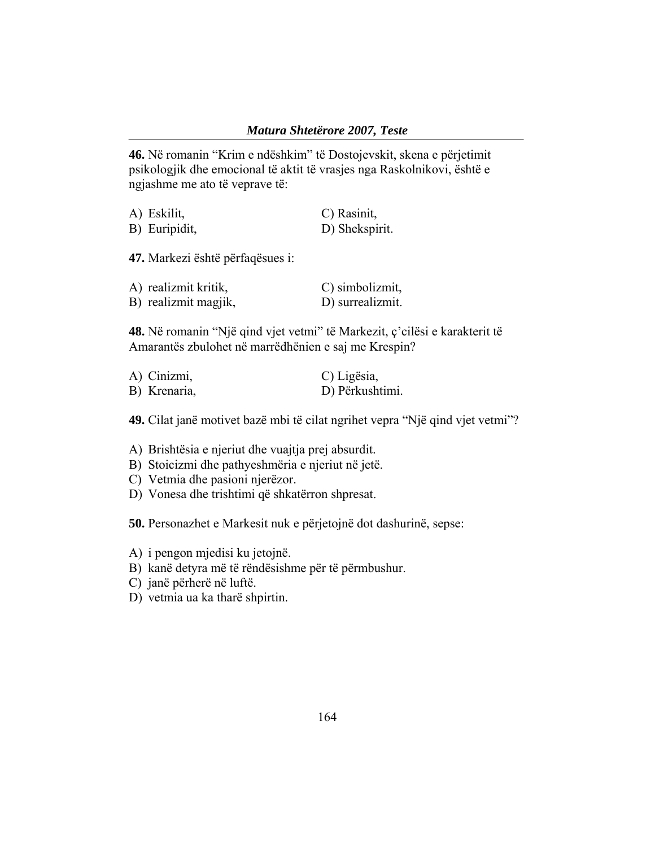**46.** Në romanin "Krim e ndëshkim" të Dostojevskit, skena e përjetimit psikologjik dhe emocional të aktit të vrasjes nga Raskolnikovi, është e ngjashme me ato të veprave të:

| A) Eskilit,   | C) Rasinit,    |
|---------------|----------------|
| B) Euripidit, | D) Shekspirit. |

**47.** Markezi është përfaqësues i:

| A) realizmit kritik, | C) simbolizmit,  |
|----------------------|------------------|
| B) realizmit magjik, | D) surrealizmit. |

**48.** Në romanin "Një qind vjet vetmi" të Markezit, ç'cilësi e karakterit të Amarantës zbulohet në marrëdhënien e saj me Krespin?

| A) Cinizmi,  | C) Ligësia,     |
|--------------|-----------------|
| B) Krenaria, | D) Përkushtimi. |

**49.** Cilat janë motivet bazë mbi të cilat ngrihet vepra "Një qind vjet vetmi"?

A) Brishtësia e njeriut dhe vuajtja prej absurdit.

- B) Stoicizmi dhe pathyeshmëria e njeriut në jetë.
- C) Vetmia dhe pasioni njerëzor.
- D) Vonesa dhe trishtimi që shkatërron shpresat.

**50.** Personazhet e Markesit nuk e përjetojnë dot dashurinë, sepse:

- A) i pengon mjedisi ku jetojnë.
- B) kanë detyra më të rëndësishme për të përmbushur.
- C) janë përherë në luftë.
- D) vetmia ua ka tharë shpirtin.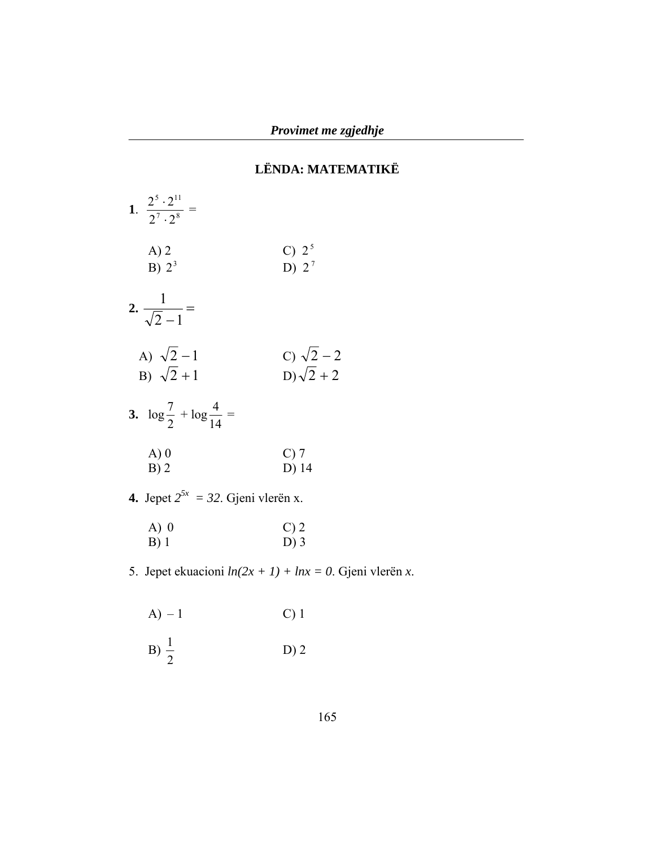# **LËNDA: MATEMATIKË**

| 1. $\frac{2^5 \cdot 2^{11}}{2^7 \cdot 2^8}$ = |                                   |
|-----------------------------------------------|-----------------------------------|
| A) 2<br>B) $2^3$                              | C) $2^5$<br>D) $2^7$              |
| 2. $\frac{1}{\sqrt{2}-1}$ =                   |                                   |
| A) $\sqrt{2}-1$<br>B) $\sqrt{2} + 1$          | C) $\sqrt{2}-2$<br>$D)\sqrt{2}+2$ |
| 3. $\log \frac{7}{2} + \log \frac{4}{14} =$   |                                   |
| A)0<br>B)2                                    | $C$ ) 7<br>D) 14                  |

**4.** Jepet  $2^{5x} = 32$ . Gjeni vlerën x.

| $A)$ 0 | $C$ ) 2 |
|--------|---------|
| $B)$ 1 | $D$ ) 3 |

5. Jepet ekuacioni *ln(2x + 1) + lnx = 0*. Gjeni vlerën *x*.

$$
A) - 1 \qquad C) 1
$$

$$
B) \frac{1}{2} \qquad \qquad D) 2
$$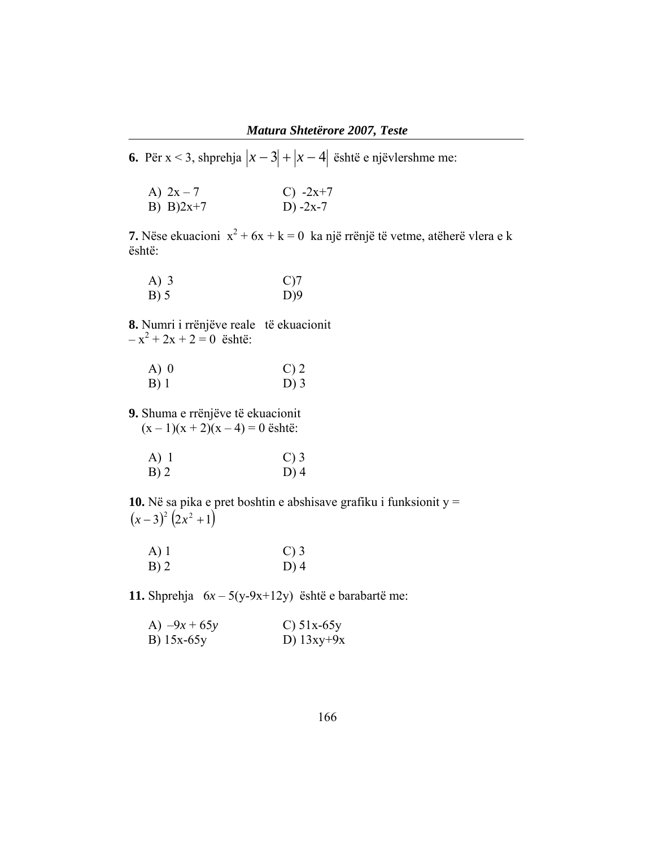**6.** Për x < 3, shprehja  $|x-3|+|x-4|$  është e njëvlershme me:

| A) $2x - 7$ | C) $-2x+7$ |
|-------------|------------|
| B) $B)2x+7$ | D) $-2x-7$ |

**7.** Nëse ekuacioni  $x^2 + 6x + k = 0$  ka një rrënjë të vetme, atëherë vlera e k është:

| $A)$ 3 | $C$ )7 |
|--------|--------|
| $B)$ 5 | D)9    |

**8.** Numri i rrënjëve reale të ekuacionit  $-x^2 + 2x + 2 = 0$  është:

| $A)$ 0 | $C$ ) 2 |
|--------|---------|
| $B)$ 1 | $D$ ) 3 |

**9.** Shuma e rrënjëve të ekuacionit  $(x-1)(x+2)(x-4) = 0$  është:

| $A)$ 1 | $\mathcal{C}$ ) 3 |
|--------|-------------------|
| $B)$ 2 | $D)$ 4            |

**10.** Në sa pika e pret boshtin e abshisave grafiku i funksionit y =  $(x-3)^2 (2x^2 + 1)$ 

| $A)$ 1 | $\mathcal{C}$ ) 3 |
|--------|-------------------|
| $B)$ 2 | $D)$ 4            |

**11.** Shprehja 6*x* – 5(y-9x+12y) është e barabartë me:

| A) $-9x + 65y$ | $C$ ) 51x-65y |
|----------------|---------------|
| B) $15x-65y$   | D) $13xy+9x$  |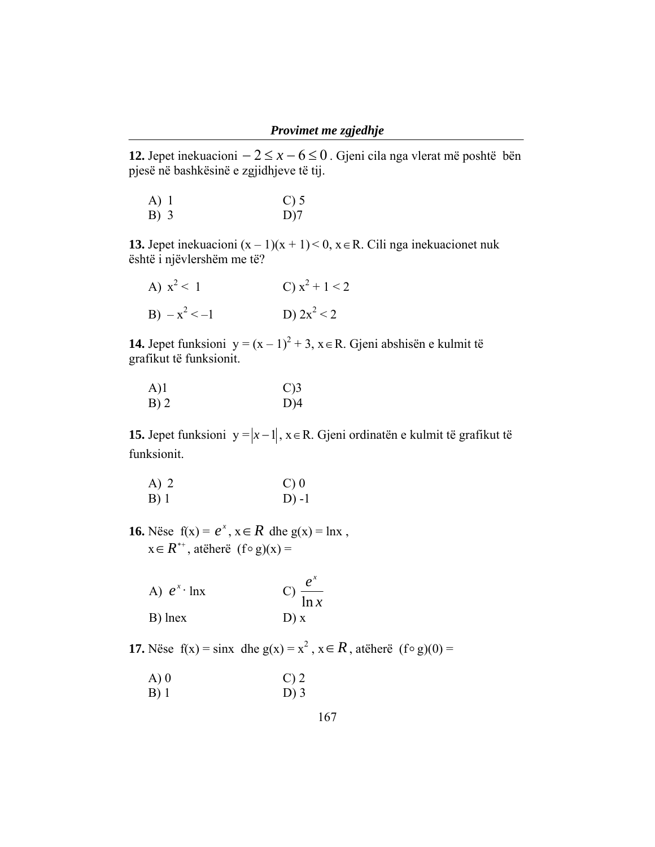**12.** Jepet inekuacioni  $-2 \le x - 6 \le 0$ . Gjeni cila nga vlerat më poshtë bën pjesë në bashkësinë e zgjidhjeve të tij.

| $A)$ 1 | $C$ ) 5 |
|--------|---------|
| B) 3   | $D$ )7  |

**13.** Jepet inekuacioni  $(x - 1)(x + 1) < 0$ ,  $x \in R$ . Cili nga inekuacionet nuk është i njëvlershëm me të?

| A) $x^2 < 1$    | C) $x^2 + 1 < 2$ |
|-----------------|------------------|
| $B) - x^2 < -1$ | D) $2x^2 < 2$    |

**14.** Jepet funksioni y =  $(x - 1)^2 + 3$ , x ∈ R. Gjeni abshisën e kulmit të grafikut të funksionit.

| A)1    | $C$ )3 |
|--------|--------|
| $B)$ 2 | $D$ )4 |

**15.** Jepet funksioni y = *x* −1 , x∈R. Gjeni ordinatën e kulmit të grafikut të funksionit.

| A) 2 | $C$ ) 0  |
|------|----------|
| B) 1 | $D$ ) -1 |

**16.** Nëse  $f(x) = e^x$ ,  $x \in R$  dhe  $g(x) = \ln x$ ,  $x \in R^{**}$ , atëherë  $(f \circ g)(x) =$ 

| A) $e^x$ lnx | C) $\frac{e^x}{\ln x}$ |
|--------------|------------------------|
| B) lnex      | D) x                   |

**17.** Nëse  $f(x) = \sin x$  dhe  $g(x) = x^2$ ,  $x \in R$ , atëherë  $(f \circ g)(0) =$ 

| A) 0 | $C$ ) 2 |
|------|---------|
| B) 1 | $D$ ) 3 |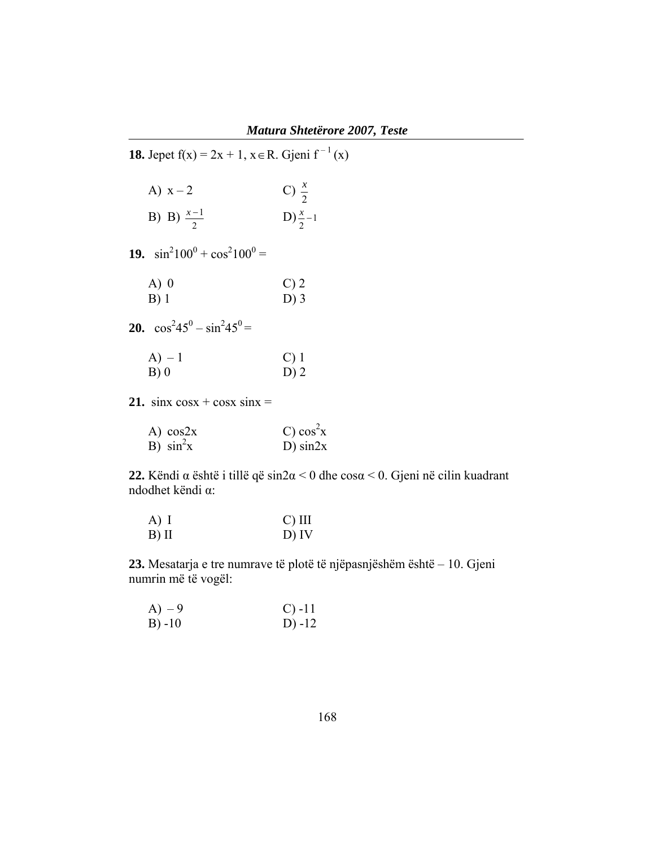**18.** Jepet f(x) = 2x + 1,  $x \in R$ . Gjeni f<sup>-1</sup>(x) A)  $x - 2$ C)  $\frac{x}{2}$ **B**) B)  $\frac{x-1}{2}$  D)  $\frac{x}{2}$ -1  $\frac{x}{2}$  − 19.  $\sin^2 100^0 + \cos^2 100^0 =$ A) 0 C) 2 B) 1 D) 3 **20.**  $\cos^2 45^\circ - \sin^2 45^\circ =$  $(A) - 1$  C) 1 B) 0 D) 2 **21.** sinx  $\cos x + \cos x \sin x =$ 

| A) $cos2x$    | C) cos <sup>2</sup> x |
|---------------|-----------------------|
| B) $\sin^2 x$ | $D)$ sin2x            |

**22.** Këndi α është i tillë që sin2α < 0 dhe cosα < 0. Gjeni në cilin kuadrant ndodhet këndi α:

| $A)$ I | $C)$ III |
|--------|----------|
| B) II  | $D)$ IV  |

**23.** Mesatarja e tre numrave të plotë të njëpasnjëshëm është – 10. Gjeni numrin më të vogël:

| $(A) - 9$ | $C) -11$ |
|-----------|----------|
| B) -10    | D) $-12$ |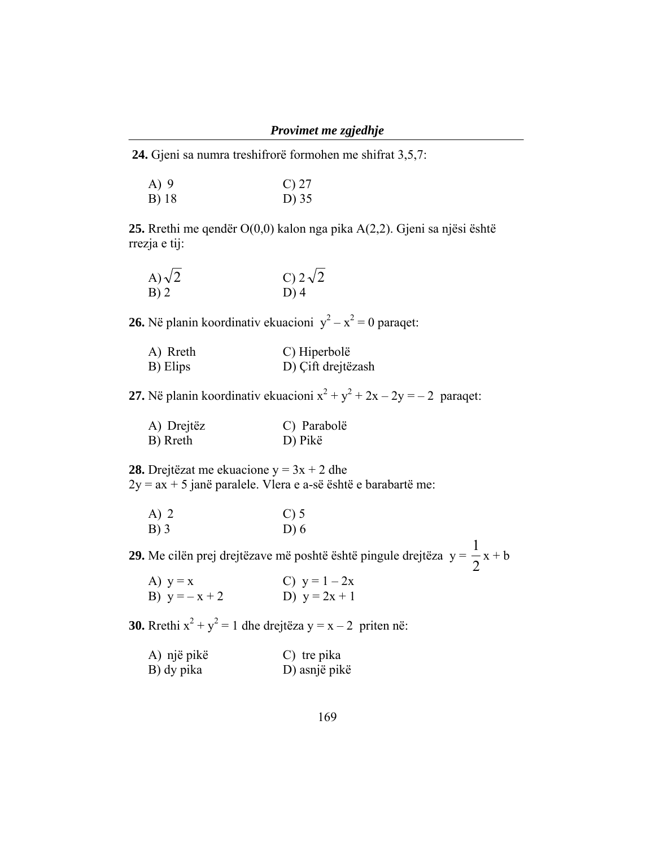**24.** Gjeni sa numra treshifrorë formohen me shifrat 3,5,7:

| $A)$ 9 | $C$ ) 27 |
|--------|----------|
| B) 18  | D) 35    |

**25.** Rrethi me qendër O(0,0) kalon nga pika A(2,2). Gjeni sa njësi është rrezja e tij:

| A) $\sqrt{2}$ | C) $2\sqrt{2}$ |
|---------------|----------------|
| B)2           | $D)$ 4         |

**26.** Në planin koordinativ ekuacioni  $y^2 - x^2 = 0$  paraqet:

| A) Rreth | C) Hiperbolë       |
|----------|--------------------|
| B) Elips | D) Çift drejtëzash |

**27.** Në planin koordinativ ekuacioni  $x^2 + y^2 + 2x - 2y = -2$  paraqet:

| A) Drejtëz | C) Parabolë |
|------------|-------------|
| B) Rreth   | D) Pikë     |

**28.** Drejtëzat me ekuacione y = 3x + 2 dhe  $2y = ax + 5$  janë paralele. Vlera e a-së është e barabartë me:

| $A)$ 2 | $C$ ) 5 |
|--------|---------|
| $B)$ 3 | D $(6)$ |

**29.** Me cilën prej drejtëzave më poshtë është pingule drejtëza  $y = \frac{1}{2}$ 1  $x + b$ 

| A) $y = x$      | C) $y = 1 - 2x$ |
|-----------------|-----------------|
| B) $y = -x + 2$ | D) $y = 2x + 1$ |

**30.** Rrethi  $x^2 + y^2 = 1$  dhe drejtëza y = x - 2 priten në:

| A) një pikë | C) tre pika   |
|-------------|---------------|
| B) dy pika  | D) asnjë pikë |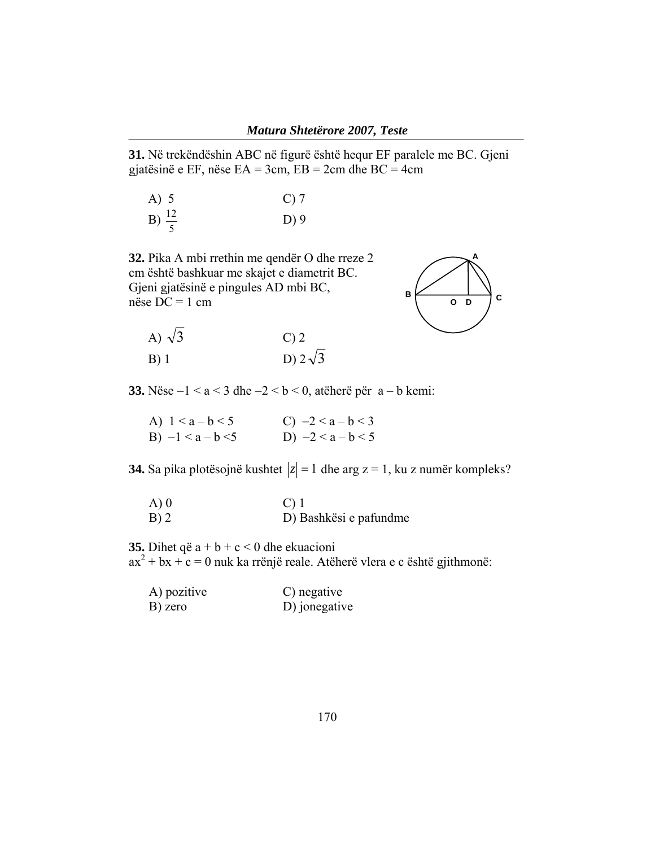**31.** Në trekëndëshin ABC në figurë është hequr EF paralele me BC. Gjeni gjatësinë e EF, nëse EA = 3cm, EB = 2cm dhe BC = 4cm

| A) 5              | $C$ ) 7 |
|-------------------|---------|
| B) $\frac{12}{5}$ | $D$ ) 9 |

**32.** Pika A mbi rrethin me qendër O dhe rreze 2 cm është bashkuar me skajet e diametrit BC. Gjeni gjatësinë e pingules AD mbi BC, nëse DC = 1 cm





**33.** Nëse −1 < a < 3 dhe −2 < b < 0, atëherë për a – b kemi:

| A) $1 < a - b < 5$  | C) $-2 < a - b < 3$ |
|---------------------|---------------------|
| B) $-1 < a - b < 5$ | D) $-2 < a - b < 5$ |

**34.** Sa pika plotësojnë kushtet  $|z| = 1$  dhe arg  $z = 1$ , ku z numër kompleks?

| A) 0 | $C$ ) 1                |
|------|------------------------|
| B) 2 | D) Bashkësi e pafundme |

**35.** Dihet që a + b + c < 0 dhe ekuacioni

 $ax^{2} + bx + c = 0$  nuk ka rrënjë reale. Atëherë vlera e c është gjithmonë:

| A) pozitive | C) negative   |
|-------------|---------------|
| B) zero     | D) jonegative |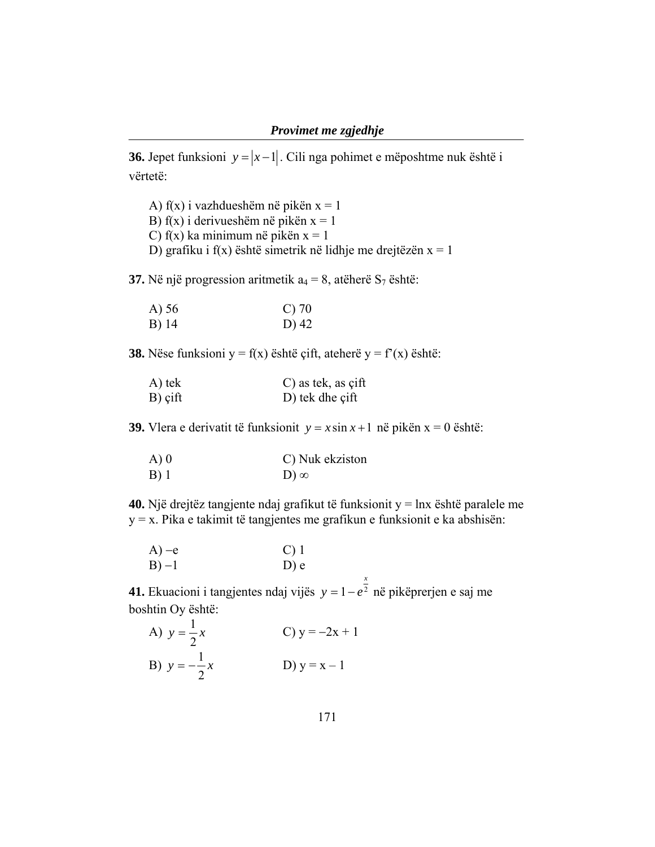**36.** Jepet funksioni  $y = |x-1|$ . Cili nga pohimet e mëposhtme nuk është i vërtetë:

A) f(x) i vazhdueshëm në pikën x = 1 B)  $f(x)$  i derivueshëm në pikën  $x = 1$ C) f(x) ka minimum në pikën  $x = 1$ D) grafiku i f(x) është simetrik në lidhje me drejtëzën  $x = 1$ 

**37.** Në një progression aritmetik  $a_4 = 8$ , atëherë  $S_7$  është:

| A) 56 | $C$ ) 70 |
|-------|----------|
| B) 14 | D) 42    |

**38.** Nëse funksioni y = f(x) është çift, ateherë y = f'(x) është:

| A) tek  | $C$ ) as tek, as cift |
|---------|-----------------------|
| B) çift | D) tek dhe çift       |

**39.** Vlera e derivatit të funksionit  $y = x \sin x + 1$  në pikën  $x = 0$  është:

| A) 0 | C) Nuk ekziston |
|------|-----------------|
| B) 1 | $D)$ $\infty$   |

**40.** Një drejtëz tangjente ndaj grafikut të funksionit y = lnx është paralele me y = x. Pika e takimit të tangjentes me grafikun e funksionit e ka abshisën:

*x*

| $A$ ) –e | $C$ ) 1 |
|----------|---------|
| $B) -1$  | $D$ ) e |

**41.** Ekuacioni i tangjentes ndaj vijës  $y = 1 - e^2$ y = 1 – e<sup>2</sup> në pikëprerjen e saj me boshtin Oy është:

A) 
$$
y = \frac{1}{2}x
$$
  
\nB)  $y = -\frac{1}{2}x$   
\nC)  $y = -2x + 1$   
\nD)  $y = x - 1$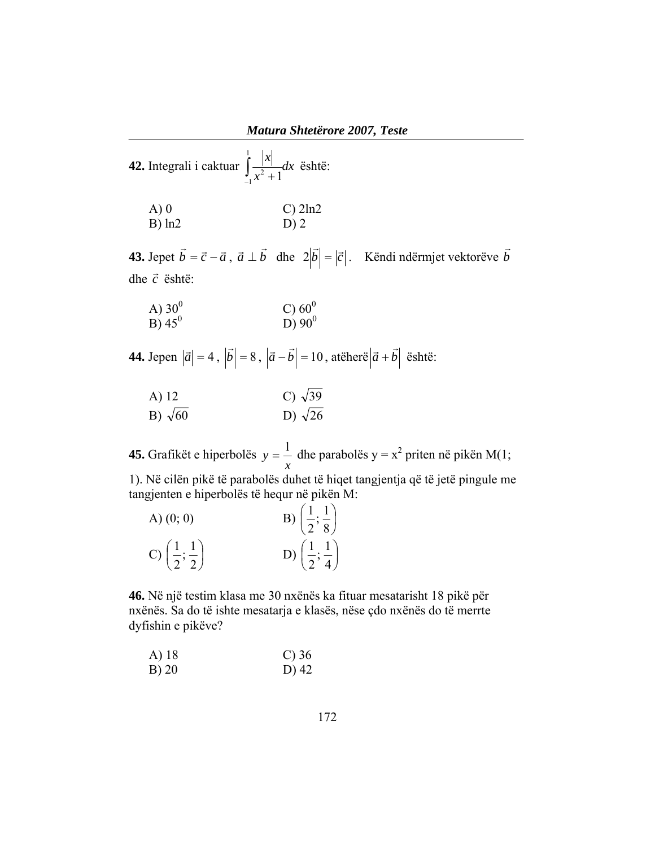| <b>42.</b> Integrali i caktuar $\int_{-1}^{1} \frac{ x }{x^2 + 1} dx$ është: |              |
|------------------------------------------------------------------------------|--------------|
| A)0<br>$\overline{B}$ ) ln2                                                  | $C$ ) $2ln2$ |

**43.** Jepet  $\vec{b} = \vec{c} - \vec{a}$ ,  $\vec{a} \perp \vec{b}$  dhe  $2|\vec{b}| = |\vec{c}|$ . Këndi ndërmjet vektorëve  $\vec{b}$  $\vec{r}$ dhe *c* është: <sup>r</sup>

| A) $30^0$ | C) $60^0$ |
|-----------|-----------|
| B) $45^0$ | D) $90^0$ |

**44.** Jepen  $|\vec{a}| = 4$ ,  $|\vec{b}| = 8$ ,  $|\vec{a} - \vec{b}| = 10$ , atëherë  $|\vec{a} + \vec{b}|$  është:

| A) 12          | C) $\sqrt{39}$ |
|----------------|----------------|
| B) $\sqrt{60}$ | D) $\sqrt{26}$ |

**45.** Grafikët e hiperbolës *x*  $y = \frac{1}{x}$  dhe parabolës y =  $x^2$  priten në pikën M(1;

1). Në cilën pikë të parabolës duhet të hiqet tangjentja që të jetë pingule me tangjenten e hiperbolës të hequr në pikën M:

| A) $(0; 0)$                               | B) $\left(\frac{1}{2},\frac{1}{8}\right)$ |
|-------------------------------------------|-------------------------------------------|
| C) $\left(\frac{1}{2},\frac{1}{2}\right)$ | D) $\left(\frac{1}{2},\frac{1}{4}\right)$ |

**46.** Në një testim klasa me 30 nxënës ka fituar mesatarisht 18 pikë për nxënës. Sa do të ishte mesatarja e klasës, nëse çdo nxënës do të merrte dyfishin e pikëve?

A) 18 C) 36 B) 20 D) 42